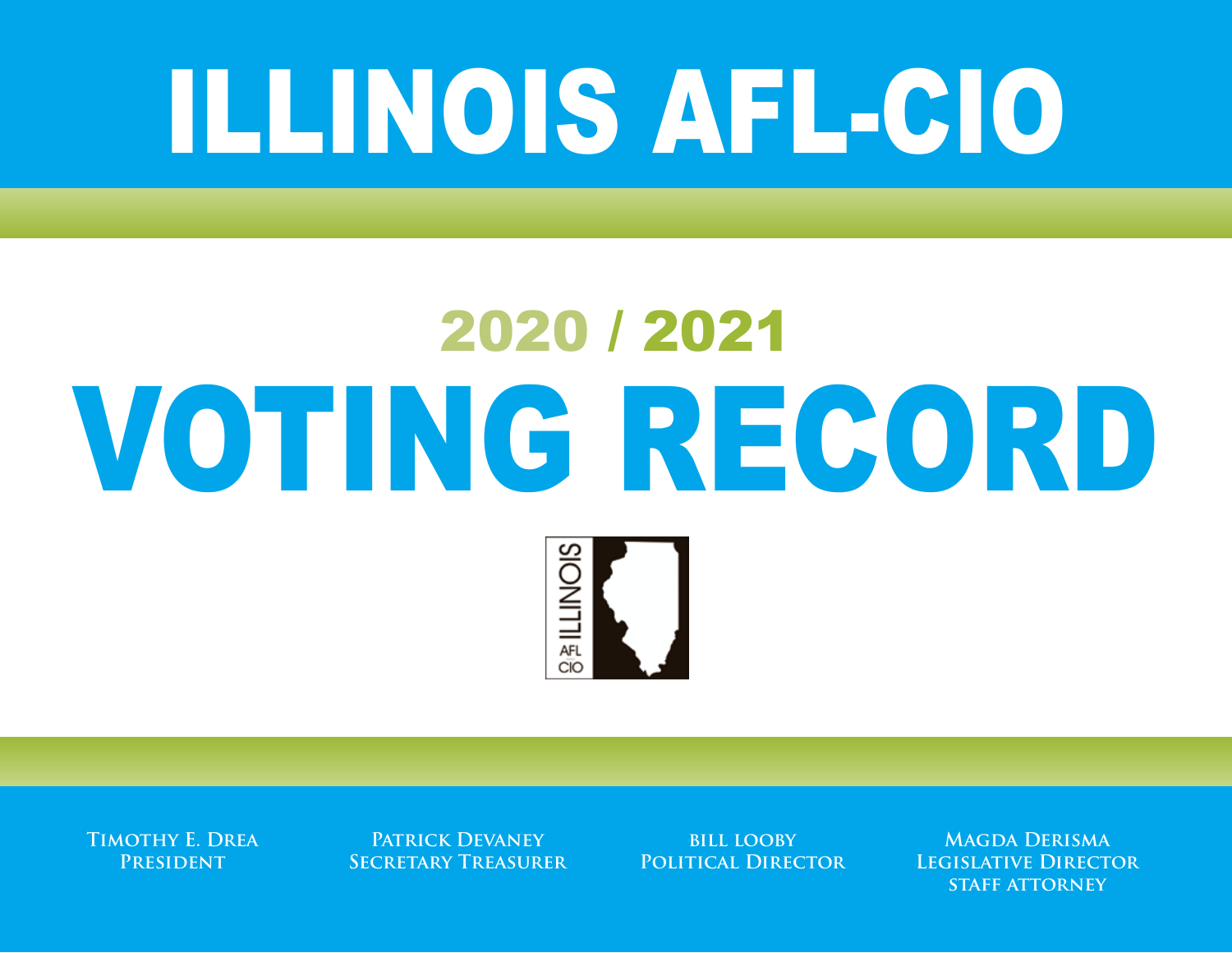## ILLINOIS AFL-CIO

# 2020 / 2021 VOTING RECORD

ILLIN AFL

**Timothy E. Drea** PRESIDENT

**Patrick Devaney Secretary Treasurer**

**bill looby Political Director** 

**Magda Derisma Legislative Director staff attorney**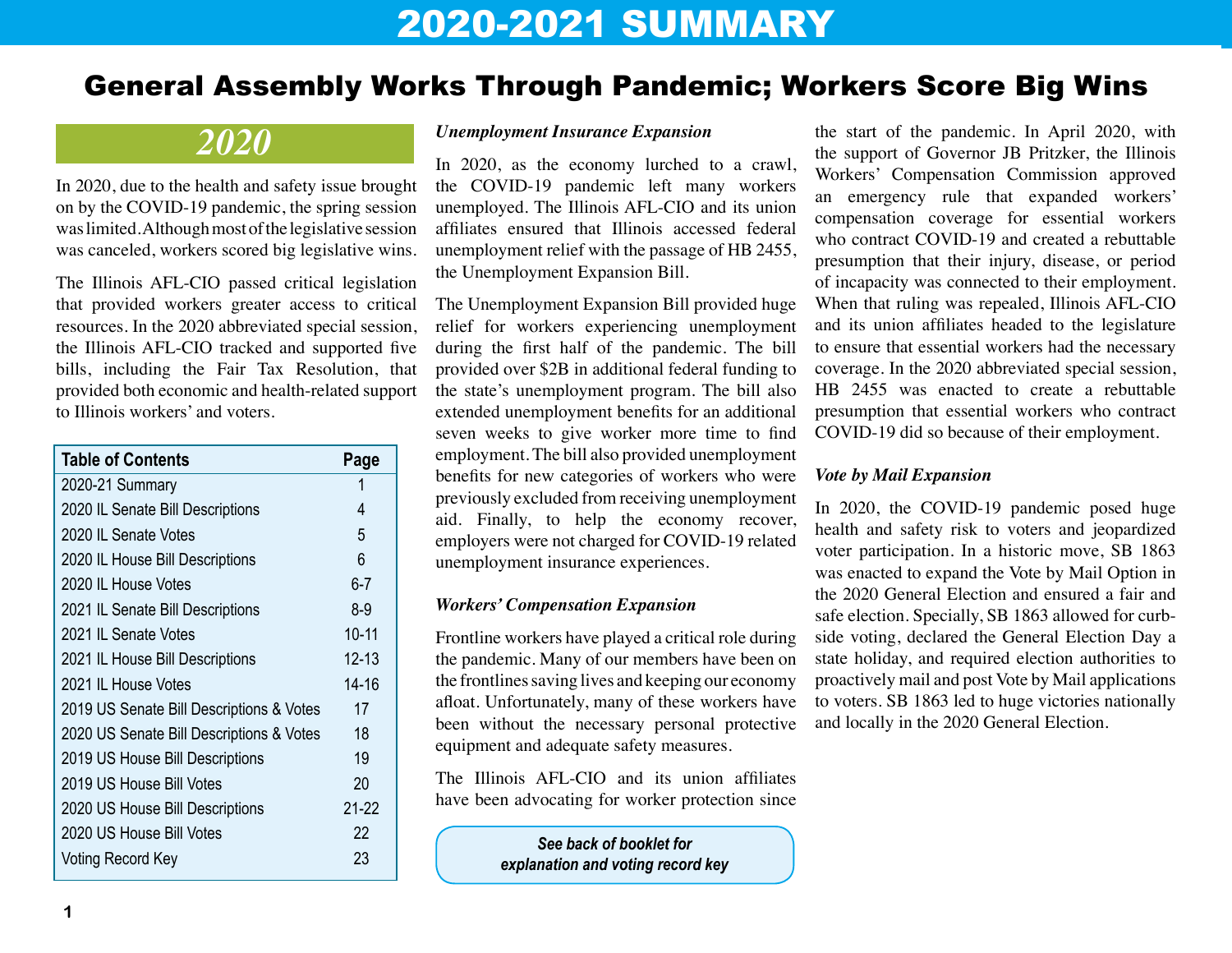## 2020-2021 SUMMARY

### General Assembly Works Through Pandemic; Workers Score Big Wins

## *2020*

In 2020, due to the health and safety issue brought on by the COVID-19 pandemic, the spring session was limited. Although most of the legislative session was canceled, workers scored big legislative wins.

The Illinois AFL-CIO passed critical legislation that provided workers greater access to critical resources. In the 2020 abbreviated special session, the Illinois AFL-CIO tracked and supported five bills, including the Fair Tax Resolution, that provided both economic and health-related support to Illinois workers' and voters.

| <b>Table of Contents</b>                 | Page      |
|------------------------------------------|-----------|
| 2020-21 Summary                          | 1         |
| 2020 IL Senate Bill Descriptions         | 4         |
| 2020 IL Senate Votes                     | 5         |
| 2020 IL House Bill Descriptions          | 6         |
| 2020 IL House Votes                      | $6 - 7$   |
| 2021 IL Senate Bill Descriptions         | $8-9$     |
| 2021 IL Senate Votes                     | $10 - 11$ |
| 2021 IL House Bill Descriptions          | $12 - 13$ |
| 2021 IL House Votes                      | $14 - 16$ |
| 2019 US Senate Bill Descriptions & Votes | 17        |
| 2020 US Senate Bill Descriptions & Votes | 18        |
| 2019 US House Bill Descriptions          | 19        |
| 2019 US House Bill Votes                 | 20        |
| 2020 US House Bill Descriptions          | 21-22     |
| 2020 US House Bill Votes                 | 22        |
| Voting Record Key                        | 23        |

#### *Unemployment Insurance Expansion*

In 2020, as the economy lurched to a crawl, the COVID-19 pandemic left many workers unemployed. The Illinois AFL-CIO and its union affiliates ensured that Illinois accessed federal unemployment relief with the passage of HB 2455, the Unemployment Expansion Bill.

The Unemployment Expansion Bill provided huge relief for workers experiencing unemployment during the first half of the pandemic. The bill provided over \$2B in additional federal funding to the state's unemployment program. The bill also extended unemployment benefits for an additional seven weeks to give worker more time to find employment. The bill also provided unemployment benefits for new categories of workers who were previously excluded from receiving unemployment aid. Finally, to help the economy recover, employers were not charged for COVID-19 related unemployment insurance experiences.

#### *Workers' Compensation Expansion*

Frontline workers have played a critical role during the pandemic. Many of our members have been on the frontlines saving lives and keeping our economy afloat. Unfortunately, many of these workers have been without the necessary personal protective equipment and adequate safety measures.

The Illinois AFL-CIO and its union affiliates have been advocating for worker protection since

> *See back of booklet for explanation and voting record key*

the start of the pandemic. In April 2020, with the support of Governor JB Pritzker, the Illinois Workers' Compensation Commission approved an emergency rule that expanded workers' compensation coverage for essential workers who contract COVID-19 and created a rebuttable presumption that their injury, disease, or period of incapacity was connected to their employment. When that ruling was repealed, Illinois AFL-CIO and its union affiliates headed to the legislature to ensure that essential workers had the necessary coverage. In the 2020 abbreviated special session, HB 2455 was enacted to create a rebuttable presumption that essential workers who contract COVID-19 did so because of their employment.

#### *Vote by Mail Expansion*

In 2020, the COVID-19 pandemic posed huge health and safety risk to voters and jeopardized voter participation. In a historic move, SB 1863 was enacted to expand the Vote by Mail Option in the 2020 General Election and ensured a fair and safe election. Specially, SB 1863 allowed for curbside voting, declared the General Election Day a state holiday, and required election authorities to proactively mail and post Vote by Mail applications to voters. SB 1863 led to huge victories nationally and locally in the 2020 General Election.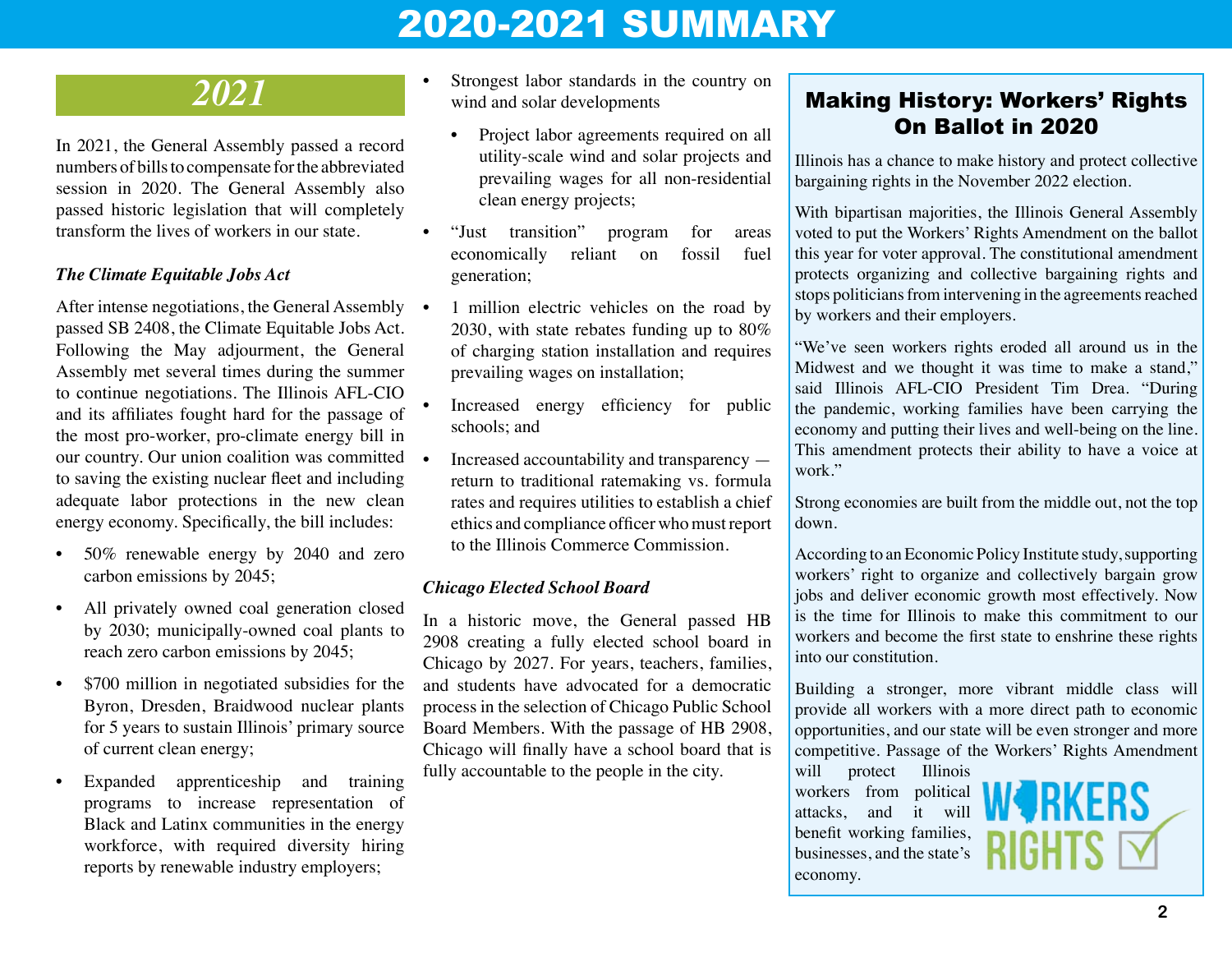## 2020-2021 SUMMARY

## *2021*

In 2021, the General Assembly passed a record numbers of bills to compensate for the abbreviated session in 2020. The General Assembly also passed historic legislation that will completely transform the lives of workers in our state.

#### *The Climate Equitable Jobs Act*

After intense negotiations, the General Assembly • passed SB 2408, the Climate Equitable Jobs Act. Following the May adjourment, the General Assembly met several times during the summer to continue negotiations. The Illinois AFL-CIO and its affiliates fought hard for the passage of the most pro-worker, pro-climate energy bill in our country. Our union coalition was committed to saving the existing nuclear fleet and including adequate labor protections in the new clean energy economy. Specifically, the bill includes:

- 50% renewable energy by 2040 and zero carbon emissions by 2045;
- All privately owned coal generation closed by 2030; municipally-owned coal plants to reach zero carbon emissions by 2045;
- \$700 million in negotiated subsidies for the Byron, Dresden, Braidwood nuclear plants for 5 years to sustain Illinois' primary source of current clean energy;
- Expanded apprenticeship and training programs to increase representation of Black and Latinx communities in the energy workforce, with required diversity hiring reports by renewable industry employers;
- Strongest labor standards in the country on wind and solar developments
- Project labor agreements required on all utility-scale wind and solar projects and prevailing wages for all non-residential clean energy projects;
- "Just transition" program for areas economically reliant on fossil fuel generation;
- 1 million electric vehicles on the road by 2030, with state rebates funding up to 80% of charging station installation and requires prevailing wages on installation;
- Increased energy efficiency for public schools; and
- Increased accountability and transparency return to traditional ratemaking vs. formula rates and requires utilities to establish a chief ethics and compliance officer who must report to the Illinois Commerce Commission.

#### *Chicago Elected School Board*

In a historic move, the General passed HB 2908 creating a fully elected school board in Chicago by 2027. For years, teachers, families, and students have advocated for a democratic process in the selection of Chicago Public School Board Members. With the passage of HB 2908, Chicago will finally have a school board that is fully accountable to the people in the city.

#### Making History: Workers' Rights On Ballot in 2020

Illinois has a chance to make history and protect collective bargaining rights in the November 2022 election.

With bipartisan majorities, the Illinois General Assembly voted to put the Workers' Rights Amendment on the ballot this year for voter approval. The constitutional amendment protects organizing and collective bargaining rights and stops politicians from intervening in the agreements reached by workers and their employers.

"We've seen workers rights eroded all around us in the Midwest and we thought it was time to make a stand," said Illinois AFL-CIO President Tim Drea. "During the pandemic, working families have been carrying the economy and putting their lives and well-being on the line. This amendment protects their ability to have a voice at work."

Strong economies are built from the middle out, not the top down.

According to an Economic Policy Institute study, supporting workers' right to organize and collectively bargain grow jobs and deliver economic growth most effectively. Now is the time for Illinois to make this commitment to our workers and become the first state to enshrine these rights into our constitution.

Building a stronger, more vibrant middle class will provide all workers with a more direct path to economic opportunities, and our state will be even stronger and more competitive. Passage of the Workers' Rights Amendment

will protect Illinois workers from political attacks, and it will benefit working families, businesses, and the state's economy.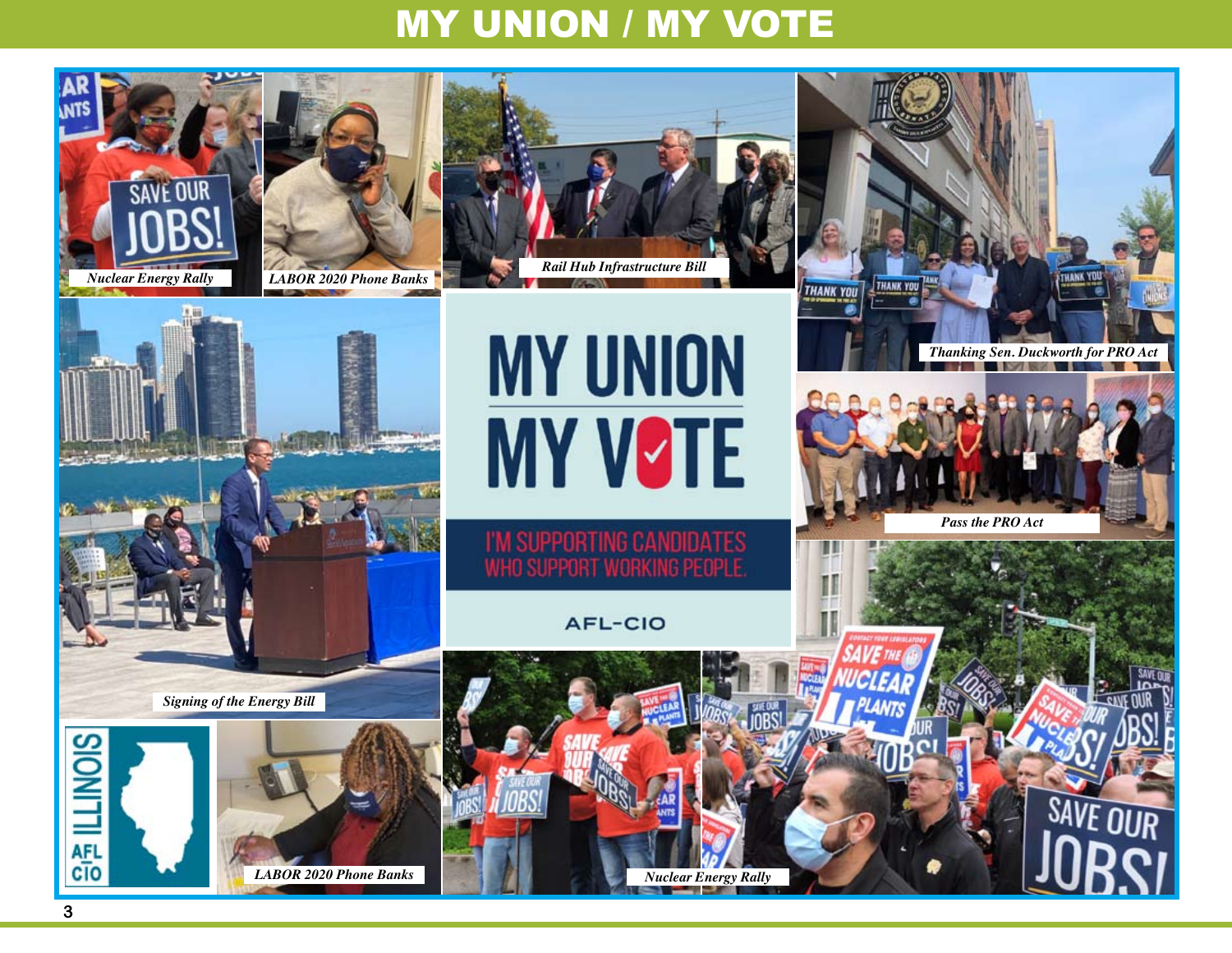## **MY UNION / MY VOTE**

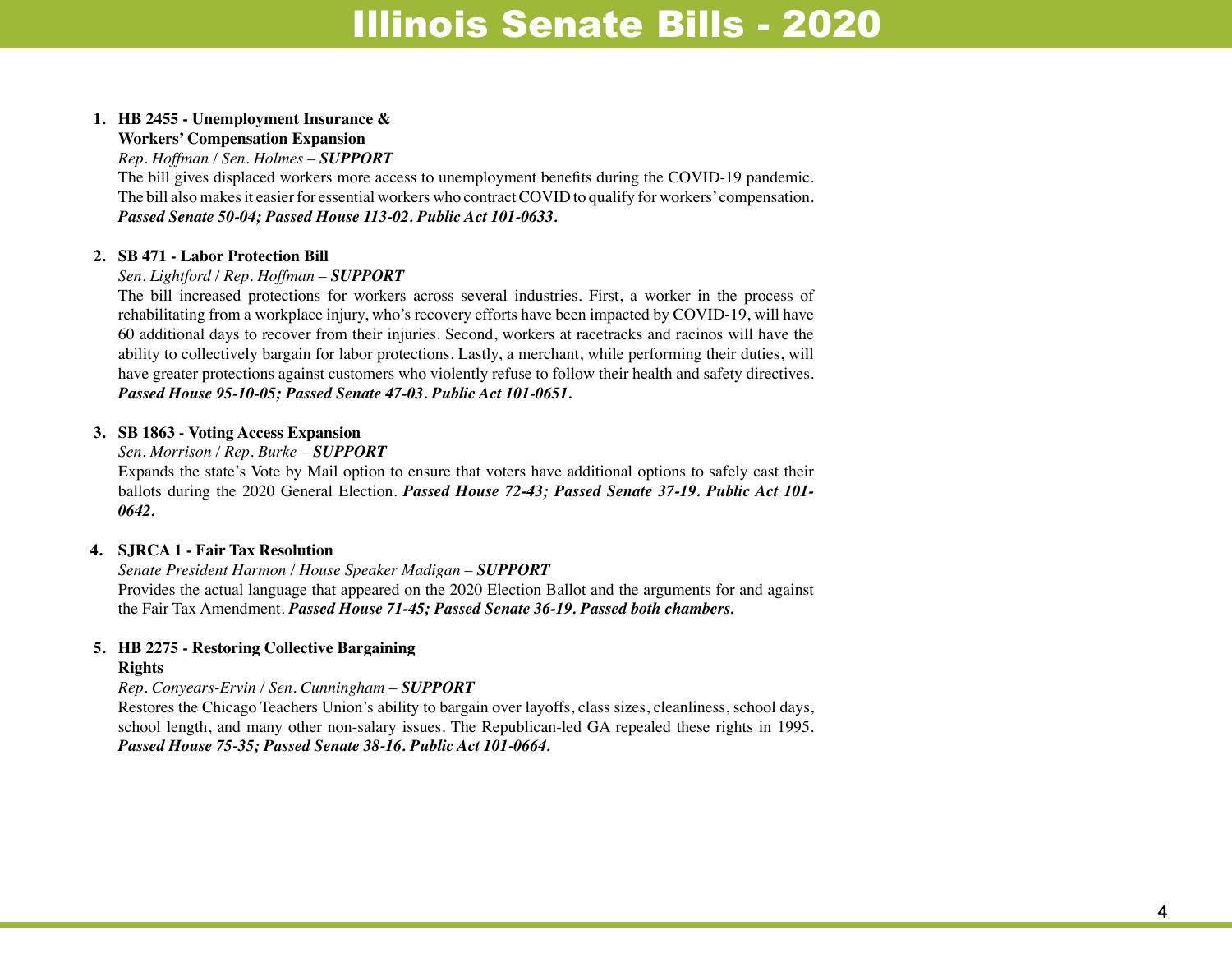#### **1. HB 2455 - Unemployment Insurance & Workers' Compensation Expansion**

*Rep. Hoffman / Sen. Holmes – SUPPORT*

The bill gives displaced workers more access to unemployment benefits during the COVID-19 pandemic. The bill also makes it easier for essential workers who contract COVID to qualify for workers' compensation. *Passed Senate 50-04; Passed House 113-02. Public Act 101-0633.*

#### **2. SB 471 - Labor Protection Bill**

#### *Sen. Lightford / Rep. Hoffman – SUPPORT*

The bill increased protections for workers across several industries. First, a worker in the process of rehabilitating from a workplace injury, who's recovery efforts have been impacted by COVID-19, will have 60 additional days to recover from their injuries. Second, workers at racetracks and racinos will have the ability to collectively bargain for labor protections. Lastly, a merchant, while performing their duties, will have greater protections against customers who violently refuse to follow their health and safety directives. *Passed House 95-10-05; Passed Senate 47-03. Public Act 101-0651.*

#### **3. SB 1863 - Voting Access Expansion**

#### *Sen. Morrison / Rep. Burke – SUPPORT*

Expands the state's Vote by Mail option to ensure that voters have additional options to safely cast their ballots during the 2020 General Election. *Passed House 72-43; Passed Senate 37-19. Public Act 101- 0642.*

#### **4. SJRCA 1 - Fair Tax Resolution**

*Senate President Harmon / House Speaker Madigan – SUPPORT* Provides the actual language that appeared on the 2020 Election Ballot and the arguments for and against the Fair Tax Amendment. *Passed House 71-45; Passed Senate 36-19. Passed both chambers.*

#### **5. HB 2275 - Restoring Collective Bargaining**

#### **Rights**

#### *Rep. Conyears-Ervin / Sen. Cunningham – SUPPORT*

Restores the Chicago Teachers Union's ability to bargain over layoffs, class sizes, cleanliness, school days, school length, and many other non-salary issues. The Republican-led GA repealed these rights in 1995. *Passed House 75-35; Passed Senate 38-16. Public Act 101-0664.*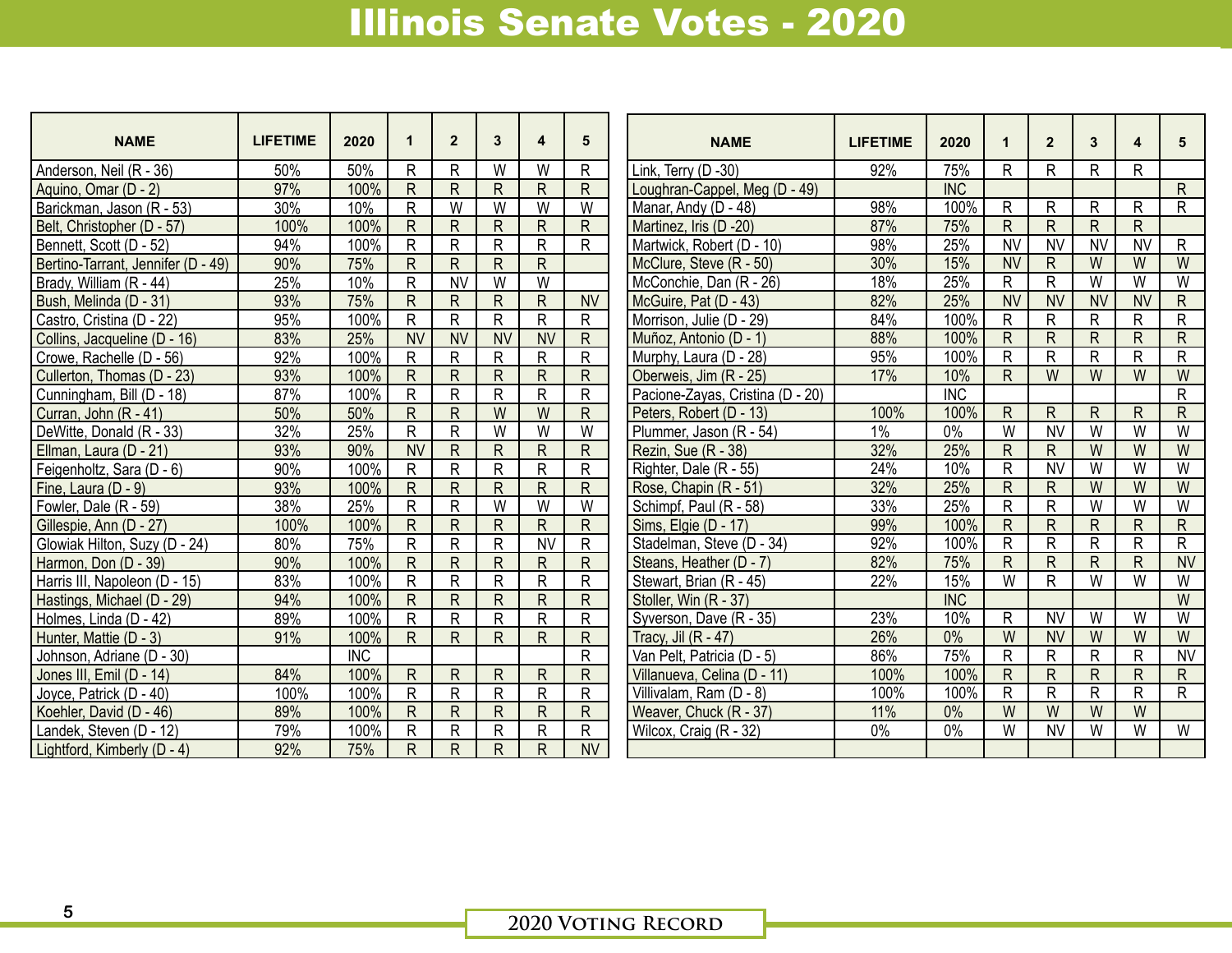## Illinois Senate Votes - 2020

| <b>NAME</b>                        | <b>LIFETIME</b> | 2020       | $\mathbf{1}$   | $\overline{2}$          | 3              | 4                       | 5            | <b>NAME</b>                      | <b>LIFETIME</b> | 2020                    | 1            | 2 <sup>2</sup> | 3              | 4              | 5              |
|------------------------------------|-----------------|------------|----------------|-------------------------|----------------|-------------------------|--------------|----------------------------------|-----------------|-------------------------|--------------|----------------|----------------|----------------|----------------|
| Anderson, Neil (R - 36)            | 50%             | 50%        | $\mathsf{R}$   | R                       | W              | W                       | R            | Link, Terry (D -30)              | 92%             | 75%                     | $\mathsf{R}$ | R              | R              | R              |                |
| Aguino, Omar (D - 2)               | 97%             | 100%       | $\mathsf{R}$   | $\mathsf{R}$            | R.             | R                       | R            | Loughran-Cappel, Meg (D - 49)    |                 | <b>INC</b>              |              |                |                |                | R              |
| Barickman, Jason (R - 53)          | 30%             | 10%        | $\mathsf{R}$   | W                       | W              | W                       | W            | Manar, Andy (D - 48)             | 98%             | 100%                    | $\mathsf{R}$ | R              | R              | R              | $\mathsf{R}$   |
| Belt, Christopher (D - 57)         | 100%            | 100%       | $\mathsf{R}$   | R                       | R              | $\mathsf{R}$            | $\mathsf{R}$ | Martinez, Iris (D-20)            | 87%             | 75%                     | R            | R              | $\mathsf{R}$   | R              |                |
| Bennett, Scott (D - 52)            | 94%             | 100%       | $\mathsf{R}$   | $\overline{\mathsf{R}}$ | R              | ${\sf R}$               | R.           | Martwick, Robert (D - 10)        | 98%             | 25%                     | <b>NV</b>    | <b>NV</b>      | <b>NV</b>      | <b>NV</b>      | $\mathsf{R}$   |
| Bertino-Tarrant, Jennifer (D - 49) | 90%             | 75%        | $\mathsf{R}$   | R.                      | $\mathsf{R}$   | R                       |              | McClure, Steve (R - 50)          | 30%             | 15%                     | <b>NV</b>    | R.             | W              | W              | W              |
| Brady, William (R - 44)            | 25%             | 10%        | ${\sf R}$      | <b>NV</b>               | W              | W                       |              | McConchie, Dan (R - 26)          | 18%             | 25%                     | $\mathsf{R}$ | R              | W              | W              | W              |
| Bush, Melinda (D - 31)             | 93%             | 75%        | $\mathsf{R}$   | R                       | R              | $\mathsf R$             | <b>NV</b>    | McGuire, Pat (D - 43)            | 82%             | 25%                     | <b>NV</b>    | <b>NV</b>      | <b>NV</b>      | <b>NV</b>      | $\overline{R}$ |
| Castro, Cristina (D - 22)          | 95%             | 100%       | $\mathsf{R}$   | $\mathsf{R}$            | R.             | $\mathsf R$             | R.           | Morrison, Julie (D - 29)         | 84%             | 100%                    | R            | R.             | R              | R              | $\overline{R}$ |
| Collins, Jacqueline (D - 16)       | 83%             | 25%        | <b>NV</b>      | <b>NV</b>               | <b>NV</b>      | <b>NV</b>               | $\mathsf{R}$ | Muñoz, Antonio (D - 1)           | 88%             | 100%                    | $\mathsf{R}$ | R              | $\mathsf{R}$   | $\mathsf{R}$   | $\overline{R}$ |
| Crowe, Rachelle (D - 56)           | 92%             | 100%       | $\mathsf{R}$   | R                       | R              | R                       | R            | Murphy, Laura (D - 28)           | 95%             | 100%                    | $\mathsf{R}$ | R              | $\mathsf{R}$   | R              | $\overline{R}$ |
| Cullerton, Thomas (D - 23)         | 93%             | 100%       | $\mathsf{R}$   | R                       | $\mathsf{R}$   | $\mathsf R$             | $\mathsf{R}$ | Oberweis, Jim (R - 25)           | 17%             | 10%                     | R            | W              | W              | W              | W              |
| Cunningham, Bill (D - 18)          | 87%             | 100%       | $\mathsf{R}$   | $\overline{\mathsf{R}}$ | R              | $\overline{\mathsf{R}}$ | R            | Pacione-Zayas, Cristina (D - 20) |                 | $\overline{\text{INC}}$ |              |                |                |                | $\overline{R}$ |
| Curran, John (R - 41)              | 50%             | 50%        | $\mathsf{R}$   | R                       | W              | W                       | $\mathsf{R}$ | Peters, Robert (D - 13)          | 100%            | 100%                    | R            | $\mathsf{R}$   | $\mathsf{R}$   | $\mathsf{R}$   | $\overline{R}$ |
| DeWitte, Donald (R - 33)           | 32%             | 25%        | $\overline{R}$ | $\overline{R}$          | $\overline{W}$ | $\overline{W}$          | W            | Plummer, Jason (R - 54)          | 1%              | $0\%$                   | W            | <b>NV</b>      | $\overline{W}$ | W              | $\overline{W}$ |
| Ellman, Laura (D - 21)             | 93%             | 90%        | <b>NV</b>      | R                       | R              | $\mathsf{R}$            | R            | Rezin, Sue (R - 38)              | 32%             | 25%                     | R            | R              | W              | W              | W              |
| Feigenholtz, Sara (D - 6)          | 90%             | 100%       | R              | $\overline{\mathsf{R}}$ | R              | $\mathsf{R}$            | R            | Righter, Dale (R - 55)           | 24%             | 10%                     | ${\sf R}$    | <b>NV</b>      | W              | W              | W              |
| Fine, Laura (D - 9)                | 93%             | 100%       | $\mathsf{R}$   | $\overline{\mathsf{R}}$ | R.             | $\mathsf{R}$            | $\mathsf{R}$ | Rose, Chapin (R - 51)            | 32%             | 25%                     | $\mathsf{R}$ | $\mathsf{R}$   | W              | W              | W              |
| Fowler, Dale (R - 59)              | 38%             | 25%        | $\mathsf R$    | R                       | W              | W                       | W            | Schimpf, Paul (R - 58)           | 33%             | 25%                     | R            | R.             | W              | W              | W              |
| Gillespie, Ann (D - 27)            | 100%            | 100%       | $\mathsf{R}$   | R                       | R              | $\mathsf{R}$            | R            | Sims, Elgie (D - 17)             | 99%             | 100%                    | $\mathsf{R}$ | $\mathsf{R}$   | $\mathsf{R}$   | R              | R              |
| Glowiak Hilton, Suzy (D - 24)      | 80%             | 75%        | R              | R                       | R              | <b>NV</b>               | R            | Stadelman, Steve (D - 34)        | 92%             | 100%                    | R            | R              | $\mathsf{R}$   | R              | $\mathsf{R}$   |
| Harmon, Don (D - 39)               | 90%             | 100%       | $\mathsf{R}$   | R                       | R              | $\mathsf{R}$            | $\mathsf{R}$ | Steans, Heather (D - 7)          | 82%             | 75%                     | R.           | $\mathsf{R}$   | $\mathsf{R}$   | $\overline{R}$ | <b>NV</b>      |
| Harris III, Napoleon (D - 15)      | 83%             | 100%       | R              | R                       | R              | $\mathsf{R}$            | R            | Stewart, Brian (R - 45)          | 22%             | 15%                     | W            | R.             | W              | W              | W              |
| Hastings, Michael (D - 29)         | 94%             | 100%       | $\mathsf{R}$   | $\overline{\mathsf{R}}$ | R              | $\mathsf{R}$            | R            | Stoller, Win (R - 37)            |                 | <b>INC</b>              |              |                |                |                | W              |
| Holmes, Linda (D - 42)             | 89%             | 100%       | R              | R                       | R              | R                       | R            | Syverson, Dave (R - 35)          | 23%             | 10%                     | R            | <b>NV</b>      | W              | W              | W              |
| Hunter, Mattie (D - 3)             | 91%             | 100%       | $\mathsf{R}$   | $\overline{\mathsf{R}}$ | R              | $\mathsf{R}$            | R            | Tracy, Jil $(R - 47)$            | 26%             | $0\%$                   | W            | <b>NV</b>      | W              | W              | W              |
| Johnson, Adriane (D - 30)          |                 | <b>INC</b> |                |                         |                |                         | R            | Van Pelt, Patricia (D - 5)       | 86%             | 75%                     | R            | R              | $\mathsf R$    | $\mathsf R$    | <b>NV</b>      |
| Jones III, Emil (D - 14)           | 84%             | 100%       | R              | $\mathsf{R}$            | R              | $\mathsf{R}$            | $\mathsf{R}$ | Villanueva, Celina (D - 11)      | 100%            | 100%                    | R.           | $\mathsf{R}$   | $\mathsf{R}$   | $\mathsf{R}$   | R              |
| Joyce, Patrick (D - 40)            | 100%            | 100%       | $\mathsf R$    | $\mathsf{R}$            | R              | $\mathsf{R}$            | R.           | Villivalam, Ram (D - 8)          | 100%            | 100%                    | R            | $\mathsf{R}$   | $\mathsf{R}$   | R              | $\mathsf{R}$   |
| Koehler, David (D - 46)            | 89%             | 100%       | $\mathsf{R}$   | $\mathsf{R}$            | R              | $\mathsf{R}$            | $\mathsf{R}$ | Weaver, Chuck (R - 37)           | 11%             | $0\%$                   | W            | W              | W              | W              |                |
| Landek, Steven (D - 12)            | 79%             | 100%       | R              | R                       | R              | R                       | R.           | Wilcox, Craig (R - 32)           | $0\%$           | $0\%$                   | W            | N <sub>V</sub> | W              | W              | W              |
| Lightford, Kimberly (D - 4)        | 92%             | 75%        | R              | R.                      | R.             | R                       | <b>NV</b>    |                                  |                 |                         |              |                |                |                |                |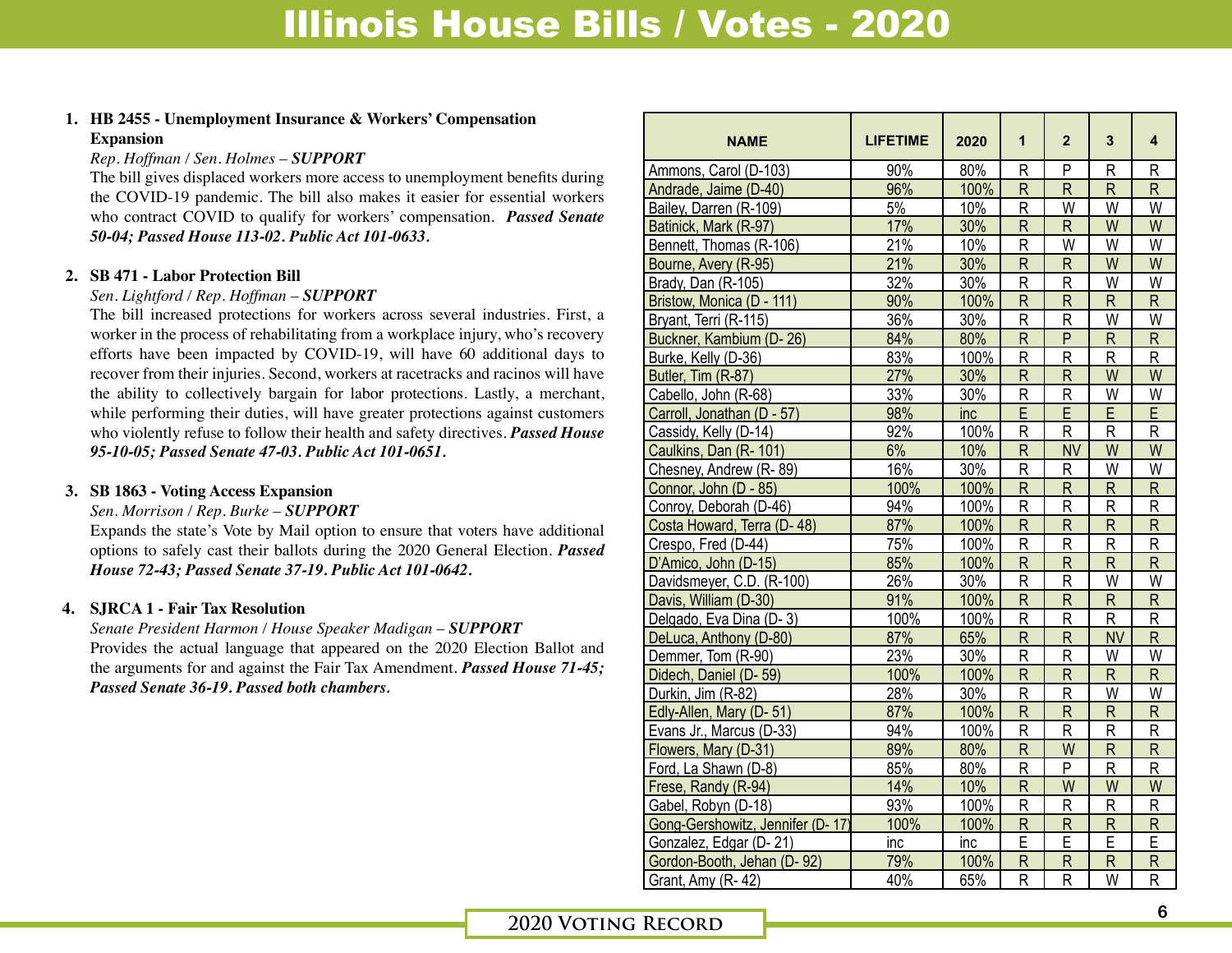#### **1. HB 2455 - Unemployment Insurance & Workers' Compensation Expansion**

#### *Rep. Hoffman / Sen. Holmes – SUPPORT*

The bill gives displaced workers more access to unemployment benefits during the COVID-19 pandemic. The bill also makes it easier for essential workers who contract COVID to qualify for workers' compensation. *Passed Senate 50-04; Passed House 113-02. Public Act 101-0633.*

#### **2. SB 471 - Labor Protection Bill**

#### *Sen. Lightford / Rep. Hoffman – SUPPORT*

The bill increased protections for workers across several industries. First, a worker in the process of rehabilitating from a workplace injury, who's recovery efforts have been impacted by COVID-19, will have 60 additional days to recover from their injuries. Second, workers at racetracks and racinos will have the ability to collectively bargain for labor protections. Lastly, a merchant, while performing their duties, will have greater protections against customers who violently refuse to follow their health and safety directives. *Passed House 95-10-05; Passed Senate 47-03. Public Act 101-0651.*

#### **3. SB 1863 - Voting Access Expansion**

*Sen. Morrison / Rep. Burke – SUPPORT*

Expands the state's Vote by Mail option to ensure that voters have additional options to safely cast their ballots during the 2020 General Election. *Passed House 72-43; Passed Senate 37-19. Public Act 101-0642.*

#### **4. SJRCA 1 - Fair Tax Resolution**

*Senate President Harmon / House Speaker Madigan – SUPPORT* Provides the actual language that appeared on the 2020 Election Ballot and the arguments for and against the Fair Tax Amendment. *Passed House 71-45; Passed Senate 36-19. Passed both chambers.*

| <b>NAME</b>                      | <b>LIFETIME</b> | 2020 | $\mathbf 1$             | $\overline{2}$          | 3                       | $\overline{\mathbf{4}}$ |
|----------------------------------|-----------------|------|-------------------------|-------------------------|-------------------------|-------------------------|
| Ammons, Carol (D-103)            | 90%             | 80%  | R                       | $\overline{P}$          | R                       | R                       |
| Andrade, Jaime (D-40)            | 96%             | 100% | $\overline{\mathsf{R}}$ | $\overline{\mathsf{R}}$ | $\overline{\mathsf{R}}$ | $\overline{\mathsf{R}}$ |
| Bailey, Darren (R-109)           | 5%              | 10%  | $\mathsf{R}$            | W                       | W                       | W                       |
| Batinick, Mark (R-97)            | 17%             | 30%  | $\overline{\mathsf{R}}$ | $\overline{\mathsf{R}}$ | W                       | W                       |
| Bennett, Thomas (R-106)          | 21%             | 10%  | R                       | W                       | W                       | W                       |
| Bourne, Avery (R-95)             | 21%             | 30%  | $\mathsf{R}$            | $\overline{\mathsf{R}}$ | W                       | W                       |
| Brady, Dan (R-105)               | 32%             | 30%  | $\overline{\mathsf{R}}$ | $\overline{\mathsf{R}}$ | W                       | $\overline{W}$          |
| Bristow, Monica (D - 111)        | 90%             | 100% | $\mathsf{R}$            | $\mathsf{R}$            | $\overline{\mathsf{R}}$ | $\overline{\mathsf{R}}$ |
| Bryant, Terri (R-115)            | 36%             | 30%  | R                       | $\mathsf R$             | W                       | W                       |
| Buckner, Kambium (D-26)          | 84%             | 80%  | $\overline{\mathsf{R}}$ | $\overline{P}$          | $\overline{\mathsf{R}}$ | $\overline{\mathsf{R}}$ |
| Burke, Kelly (D-36)              | 83%             | 100% | R                       | $\overline{\mathsf{R}}$ | $\mathsf{R}$            | R                       |
| Butler, Tim (R-87)               | 27%             | 30%  | $\overline{\mathsf{R}}$ | $\overline{\mathsf{R}}$ | W                       | W                       |
| Cabello, John (R-68)             | 33%             | 30%  | R                       | R                       | W                       | $\overline{W}$          |
| Carroll, Jonathan (D - 57)       | 98%             | inc  | E                       | E                       | $\overline{E}$          | Ē                       |
| Cassidy, Kelly (D-14)            | 92%             | 100% | R                       | $\mathsf{R}$            | $\mathsf{R}$            | R                       |
| Caulkins, Dan (R- 101)           | 6%              | 10%  | $\overline{\mathsf{R}}$ | <b>NV</b>               | $\overline{W}$          | $\overline{W}$          |
| Chesney, Andrew (R-89)           | 16%             | 30%  | R                       | R                       | W                       | W                       |
| Connor, John (D - 85)            | 100%            | 100% | $\mathsf{R}$            | $\mathsf{R}$            | $\overline{\mathsf{R}}$ | $\overline{\mathsf{R}}$ |
| Conroy, Deborah (D-46)           | 94%             | 100% | R                       | $\mathsf R$             | $\mathsf R$             | R                       |
| Costa Howard, Terra (D-48)       | 87%             | 100% | $\overline{\mathsf{R}}$ | $\overline{\mathsf{R}}$ | $\overline{\mathsf{R}}$ | $\overline{\mathsf{R}}$ |
| Crespo, Fred (D-44)              | 75%             | 100% | $\overline{\mathsf{R}}$ | $\overline{\mathsf{R}}$ | $\overline{\mathsf{R}}$ | $\overline{\mathsf{R}}$ |
| D'Amico, John (D-15)             | 85%             | 100% | $\mathsf R$             | ${\sf R}$               | ${\sf R}$               | $\mathsf{R}$            |
| Davidsmeyer, C.D. (R-100)        | 26%             | 30%  | R                       | R                       | W                       | W                       |
| Davis, William (D-30)            | 91%             | 100% | $\overline{\mathsf{R}}$ | ${\sf R}$               | ${\sf R}$               | $\overline{\mathsf{R}}$ |
| Delgado, Eva Dina (D-3)          | 100%            | 100% | R                       | $\mathsf{R}$            | $\mathsf{R}$            | R                       |
| DeLuca, Anthony (D-80)           | 87%             | 65%  | $\overline{\mathsf{R}}$ | $\overline{\mathsf{R}}$ | <b>NV</b>               | $\overline{\mathsf{R}}$ |
| Demmer, Tom (R-90)               | 23%             | 30%  | $\overline{\mathsf{R}}$ | $\overline{\mathsf{R}}$ | W                       | $\overline{W}$          |
| Didech, Daniel (D-59)            | 100%            | 100% | $\overline{\mathsf{R}}$ | ${\sf R}$               | $\mathsf{R}$            | $\mathsf{R}$            |
| Durkin, Jim (R-82)               | 28%             | 30%  | R                       | R                       | W                       | W                       |
| Edly-Allen, Mary (D-51)          | 87%             | 100% | $\overline{\mathsf{R}}$ | $\mathsf{R}$            | $\mathsf{R}$            | $\overline{\mathsf{R}}$ |
| Evans Jr., Marcus (D-33)         | 94%             | 100% | $\mathsf{R}$            | R                       | $\mathsf{R}$            | R                       |
| Flowers, Mary (D-31)             | 89%             | 80%  | $\mathsf{R}$            | W                       | $\mathsf{R}$            | $\mathsf{R}$            |
| Ford, La Shawn (D-8)             | 85%             | 80%  | R                       | P                       | $\mathsf R$             | R                       |
| Frese, Randy (R-94)              | 14%             | 10%  | $\mathsf{R}$            | W                       | W                       | W                       |
| Gabel, Robyn (D-18)              | 93%             | 100% | R                       | $\mathsf R$             | $\mathsf R$             | $\mathsf R$             |
| Gong-Gershowitz, Jennifer (D-17) | 100%            | 100% | $\overline{\mathsf{R}}$ | $\mathsf R$             | ${\sf R}$               | $\mathsf R$             |
| Gonzalez, Edgar (D-21)           | inc             | inc  | E                       | E                       | E                       | E                       |
| Gordon-Booth, Jehan (D-92)       | 79%             | 100% | $\overline{\mathsf{R}}$ | $\mathsf R$             | ${\sf R}$               | $\overline{\mathsf{R}}$ |
| Grant, Amy (R-42)                | 40%             | 65%  | $\overline{\mathsf{R}}$ | $\overline{\mathsf{R}}$ | $\overline{W}$          | $\overline{\mathsf{R}}$ |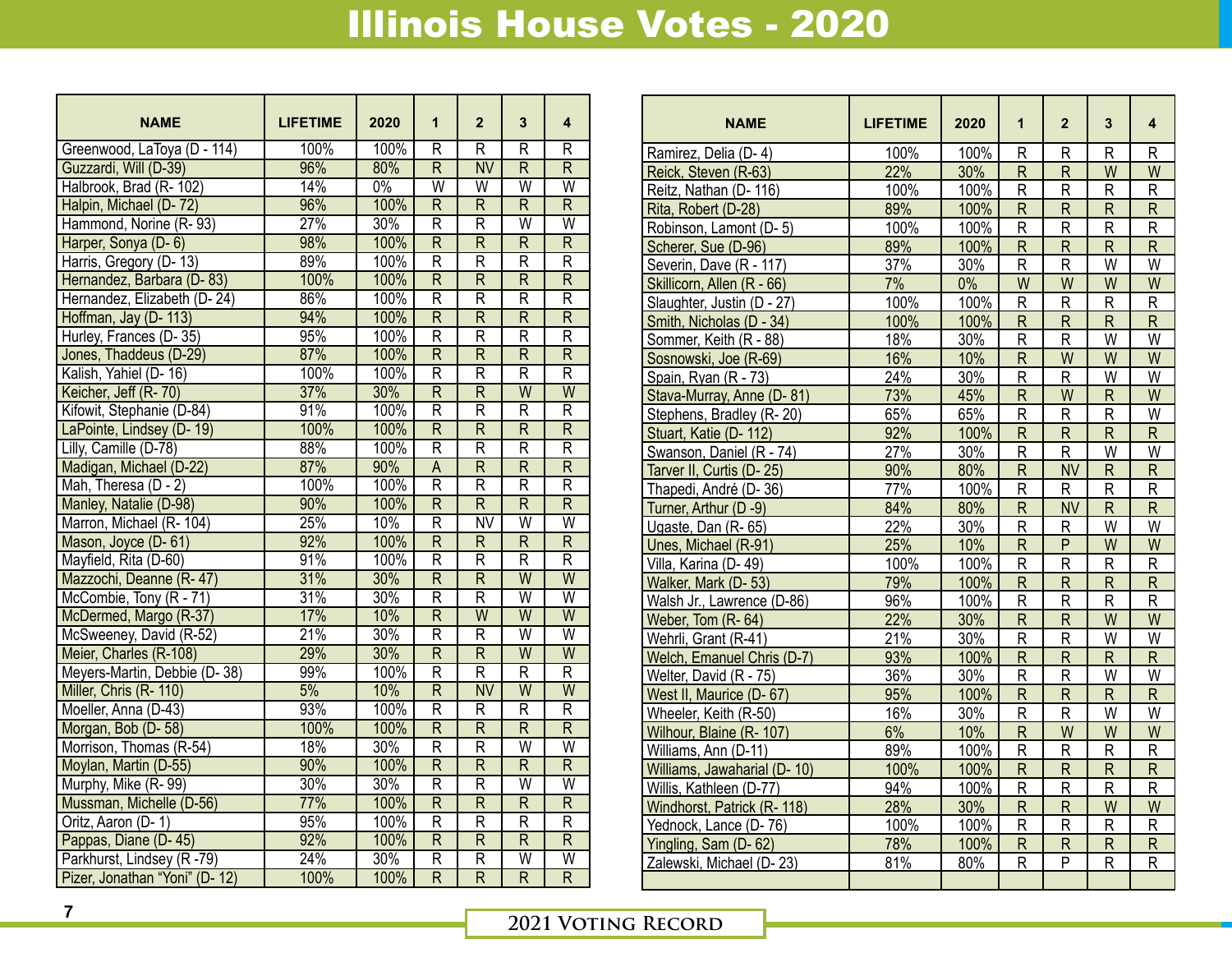| <b>NAME</b>                   | <b>LIFETIME</b> | 2020  | $\overline{1}$          | $\overline{2}$          | 3                       | 4                       |
|-------------------------------|-----------------|-------|-------------------------|-------------------------|-------------------------|-------------------------|
| Greenwood, LaToya (D - 114)   | 100%            | 100%  | $\overline{\mathsf{R}}$ | $\overline{\mathsf{R}}$ | $\overline{\mathsf{R}}$ | $\overline{\mathsf{R}}$ |
| Guzzardi, Will (D-39)         | 96%             | 80%   | $\overline{\mathsf{R}}$ | <b>NV</b>               | $\overline{\mathsf{R}}$ | $\overline{R}$          |
| Halbrook, Brad (R-102)        | 14%             | $0\%$ | $\overline{\mathsf{w}}$ | $\overline{\mathsf{W}}$ | $\overline{\mathsf{W}}$ | $\overline{\mathsf{w}}$ |
| Halpin, Michael (D-72)        | 96%             | 100%  | $\overline{\mathsf{R}}$ | $\overline{\mathsf{R}}$ | $\overline{\mathsf{R}}$ | $\overline{\mathsf{R}}$ |
| Hammond, Norine (R-93)        | 27%             | 30%   | $\overline{\mathsf{R}}$ | $\overline{\mathsf{R}}$ | $\overline{\mathsf{W}}$ | $\overline{\mathsf{W}}$ |
| Harper, Sonya (D-6)           | 98%             | 100%  | $\overline{\mathsf{R}}$ | $\overline{R}$          | $\overline{R}$          | $\overline{R}$          |
| Harris, Gregory (D-13)        | 89%             | 100%  | $\overline{\mathsf{R}}$ | $\overline{\mathsf{R}}$ | $\overline{\mathsf{R}}$ | $\overline{\mathsf{R}}$ |
| Hernandez, Barbara (D-83)     | 100%            | 100%  | $\overline{\mathsf{R}}$ | $\overline{\mathsf{R}}$ | $\overline{\mathsf{R}}$ | $\overline{\mathsf{R}}$ |
| Hernandez, Elizabeth (D-24)   | 86%             | 100%  | $\overline{\mathsf{R}}$ | $\overline{\mathsf{R}}$ | $\overline{\mathsf{R}}$ | $\overline{\mathsf{R}}$ |
| Hoffman, Jay (D-113)          | 94%             | 100%  | $\overline{\mathsf{R}}$ | $\overline{\mathsf{R}}$ | $\overline{\mathsf{R}}$ | $\overline{\mathsf{R}}$ |
| Hurley, Frances (D-35)        | 95%             | 100%  | $\overline{\mathsf{R}}$ | $\overline{\mathsf{R}}$ | $\overline{\mathsf{R}}$ | $\overline{\mathsf{R}}$ |
| Jones, Thaddeus (D-29)        | 87%             | 100%  | $\overline{\mathsf{R}}$ | $\overline{\mathsf{R}}$ | $\overline{\mathsf{R}}$ | $\overline{\mathsf{R}}$ |
| Kalish, Yahiel (D-16)         | 100%            | 100%  | $\overline{\mathsf{R}}$ | $\overline{\mathsf{R}}$ | $\overline{\mathsf{R}}$ | $\overline{\mathsf{R}}$ |
| Keicher, Jeff (R-70)          | 37%             | 30%   | $\overline{\mathsf{R}}$ | $\overline{R}$          | $\overline{\mathsf{W}}$ | $\overline{W}$          |
| Kifowit, Stephanie (D-84)     | 91%             | 100%  | $\overline{\mathsf{R}}$ | $\overline{\mathsf{R}}$ | $\overline{\mathsf{R}}$ | $\overline{\mathsf{R}}$ |
| LaPointe, Lindsey (D-19)      | 100%            | 100%  | $\overline{\mathsf{R}}$ | $\overline{\mathsf{R}}$ | $\overline{\mathsf{R}}$ | $\overline{\mathsf{R}}$ |
| Lilly, Camille (D-78)         | 88%             | 100%  | $\overline{\mathsf{R}}$ | $\overline{\mathsf{R}}$ | $\overline{\mathsf{R}}$ | $\overline{\mathsf{R}}$ |
| Madigan, Michael (D-22)       | 87%             | 90%   | $\overline{A}$          | $\overline{R}$          | $\overline{R}$          | $\overline{R}$          |
| Mah, Theresa (D - 2)          | 100%            | 100%  | $\overline{\mathsf{R}}$ | $\overline{\mathsf{R}}$ | $\overline{\mathsf{R}}$ | $\overline{R}$          |
| Manley, Natalie (D-98)        | 90%             | 100%  | $\overline{R}$          | $\overline{R}$          | $\overline{\mathsf{R}}$ | $\overline{\mathsf{R}}$ |
| Marron, Michael (R- 104)      | 25%             | 10%   | $\overline{\mathsf{R}}$ | $\overline{\text{NV}}$  | $\overline{\mathsf{W}}$ | $\overline{\mathsf{W}}$ |
| Mason, Joyce (D-61)           | 92%             | 100%  | $\overline{\mathsf{R}}$ | $\overline{R}$          | $\overline{R}$          | $\overline{R}$          |
| Mayfield, Rita (D-60)         | 91%             | 100%  | $\overline{\mathsf{R}}$ | $\overline{\mathsf{R}}$ | $\overline{\mathsf{R}}$ | $\overline{\mathsf{R}}$ |
| Mazzochi, Deanne (R-47)       | 31%             | 30%   | $\overline{\mathsf{R}}$ | $\overline{\mathsf{R}}$ | $\overline{W}$          | $\overline{W}$          |
| McCombie, Tony (R - 71)       | 31%             | 30%   | $\overline{\mathsf{R}}$ | $\overline{\mathsf{R}}$ | $\overline{\mathsf{W}}$ | $\overline{\mathsf{W}}$ |
| McDermed, Margo (R-37)        | 17%             | 10%   | $\overline{\mathsf{R}}$ | $\overline{\mathsf{W}}$ | $\overline{\mathsf{W}}$ | $\overline{W}$          |
| McSweeney, David (R-52)       | 21%             | 30%   | $\overline{\mathsf{R}}$ | $\overline{\mathsf{R}}$ | $\overline{\mathsf{W}}$ | $\overline{\mathsf{W}}$ |
| Meier, Charles (R-108)        | 29%             | 30%   | $\overline{\mathsf{R}}$ | $\overline{\mathsf{R}}$ | $\overline{W}$          | $\overline{W}$          |
| Meyers-Martin, Debbie (D-38)  | 99%             | 100%  | $\overline{\mathsf{R}}$ | $\overline{\mathsf{R}}$ | $\overline{\mathsf{R}}$ | $\overline{\mathsf{R}}$ |
| Miller, Chris (R- 110)        | 5%              | 10%   | $\overline{\mathsf{R}}$ | <b>NV</b>               | $\overline{\mathsf{W}}$ | $\overline{W}$          |
| Moeller, Anna (D-43)          | 93%             | 100%  | $\overline{\mathsf{R}}$ | $\overline{\mathsf{R}}$ | $\overline{\mathsf{R}}$ | $\overline{\mathsf{R}}$ |
| Morgan, Bob (D-58)            | 100%            | 100%  | $\overline{\mathsf{R}}$ | $\overline{\mathsf{R}}$ | $\overline{\mathsf{R}}$ | $\overline{\mathsf{R}}$ |
| Morrison, Thomas (R-54)       | 18%             | 30%   | $\overline{\mathsf{R}}$ | $\overline{\mathsf{R}}$ | $\overline{\mathsf{w}}$ | $\overline{\mathsf{w}}$ |
| Moylan, Martin (D-55)         | 90%             | 100%  | $\overline{\mathsf{R}}$ | $\overline{R}$          | $\overline{R}$          | $\overline{R}$          |
| Murphy, Mike (R-99)           | 30%             | 30%   | $\overline{\mathsf{R}}$ | R                       | $\overline{\mathsf{W}}$ | $\overline{\mathsf{W}}$ |
| Mussman, Michelle (D-56)      | 77%             | 100%  | $\overline{\mathsf{R}}$ | $\overline{\mathsf{R}}$ | $\overline{\mathsf{R}}$ | $\overline{\mathsf{R}}$ |
| Oritz, Aaron (D-1)            | 95%             | 100%  | $\overline{\mathsf{R}}$ | $\overline{\mathsf{R}}$ | $\overline{\mathsf{R}}$ | $\overline{\mathsf{R}}$ |
| Pappas, Diane (D-45)          | 92%             | 100%  | $\overline{\mathsf{R}}$ | $\overline{\mathsf{R}}$ | $\overline{R}$          | $\overline{\mathsf{R}}$ |
| Parkhurst, Lindsey (R-79)     | 24%             | 30%   | $\overline{R}$          | R                       | $\overline{\mathsf{W}}$ | $\overline{\mathsf{W}}$ |
| Pizer, Jonathan "Yoni" (D-12) | 100%            | 100%  | $\overline{\mathsf{R}}$ | $\overline{\mathsf{R}}$ | $\overline{\mathsf{R}}$ | $\overline{\mathsf{R}}$ |

| <b>NAME</b>                  | <b>LIFETIME</b> | 2020  | $\mathbf 1$             | $\overline{2}$          | 3                       | 4                       |
|------------------------------|-----------------|-------|-------------------------|-------------------------|-------------------------|-------------------------|
| Ramirez, Delia (D-4)         | 100%            | 100%  | $\mathsf{R}$            | $\mathsf R$             | R                       | R                       |
| Reick, Steven (R-63)         | 22%             | 30%   | $\mathsf{R}$            | $\mathsf{R}$            | W                       | W                       |
| Reitz, Nathan (D-116)        | 100%            | 100%  | R                       | R                       | R                       | R                       |
| Rita, Robert (D-28)          | 89%             | 100%  | $\overline{\mathsf{R}}$ | $\overline{\mathsf{R}}$ | $\overline{\mathsf{R}}$ | $\overline{R}$          |
| Robinson, Lamont (D-5)       | 100%            | 100%  | $\overline{\mathsf{R}}$ | $\overline{\mathsf{R}}$ | $\overline{\mathsf{R}}$ | $\overline{\mathsf{R}}$ |
| Scherer, Sue (D-96)          | 89%             | 100%  | $\overline{\mathsf{R}}$ | $\overline{\mathsf{R}}$ | $\overline{\mathsf{R}}$ | $\overline{R}$          |
| Severin, Dave (R - 117)      | 37%             | 30%   | R                       | R                       | W                       | W                       |
| Skillicorn, Allen (R - 66)   | 7%              | $0\%$ | W                       | W                       | W                       | W                       |
| Slaughter, Justin (D - 27)   | 100%            | 100%  | $\mathsf{R}$            | R                       | R                       | R                       |
| Smith, Nicholas (D - 34)     | 100%            | 100%  | $\mathsf{R}$            | R                       | R                       | R                       |
| Sommer, Keith (R - 88)       | 18%             | 30%   | R                       | R                       | W                       | W                       |
| Sosnowski, Joe (R-69)        | 16%             | 10%   | R                       | W                       | W                       | W                       |
| Spain, Ryan (R - 73)         | 24%             | 30%   | R                       | $\overline{\mathsf{R}}$ | W                       | W                       |
| Stava-Murray, Anne (D-81)    | 73%             | 45%   | $\overline{\mathsf{R}}$ | W                       | R                       | W                       |
| Stephens, Bradley (R-20)     | 65%             | 65%   | R                       | R                       | R                       | W                       |
| Stuart, Katie (D-112)        | 92%             | 100%  | R                       | $\overline{\mathsf{R}}$ | R                       | R                       |
| Swanson, Daniel (R - 74)     | 27%             | 30%   | R                       | R                       | W                       | W                       |
| Tarver II, Curtis (D-25)     | 90%             | 80%   | $\overline{\mathsf{R}}$ | <b>NV</b>               | $\mathsf{R}$            | $\mathsf{R}$            |
| Thapedi, André (D-36)        | 77%             | 100%  | R                       | R                       | R                       | R                       |
| Turner, Arthur (D -9)        | 84%             | 80%   | $\mathsf{R}$            | <b>NV</b>               | R                       | $\mathsf{R}$            |
| Ugaste, Dan (R-65)           | 22%             | 30%   | R                       | R                       | W                       | W                       |
| Unes, Michael (R-91)         | 25%             | 10%   | $\overline{\mathsf{R}}$ | $\overline{P}$          | W                       | W                       |
| Villa, Karina (D-49)         | 100%            | 100%  | $\mathsf{R}$            | R                       | R                       | R                       |
| Walker, Mark (D-53)          | 79%             | 100%  | $\overline{\mathsf{R}}$ | $\overline{\mathsf{R}}$ | $\overline{\mathsf{R}}$ | $\overline{\mathsf{R}}$ |
| Walsh Jr., Lawrence (D-86)   | 96%             | 100%  | $\mathsf{R}$            | R                       | R                       | R                       |
| Weber, Tom (R-64)            | 22%             | 30%   | $\overline{R}$          | $\overline{\mathsf{R}}$ | W                       | W                       |
| Wehrli, Grant (R-41)         | 21%             | 30%   | $\mathsf R$             | R                       | W                       | W                       |
| Welch, Emanuel Chris (D-7)   | 93%             | 100%  | $\mathsf{R}$            | R                       | R                       | $\mathsf{R}$            |
| Welter, David (R - 75)       | 36%             | 30%   | R                       | $\overline{\mathsf{R}}$ | W                       | W                       |
| West II, Maurice (D-67)      | 95%             | 100%  | R                       | R                       | R.                      | R                       |
| Wheeler, Keith (R-50)        | 16%             | 30%   | $\mathsf R$             | R                       | W                       | W                       |
| Wilhour, Blaine (R- 107)     | 6%              | 10%   | R                       | W                       | W                       | W                       |
| Williams, Ann (D-11)         | 89%             | 100%  | R                       | R                       | R                       | R                       |
| Williams, Jawaharial (D- 10) | 100%            | 100%  | R                       | R                       | $\overline{\mathsf{R}}$ | R                       |
| Willis, Kathleen (D-77)      | 94%             | 100%  | R                       | R                       | R                       | R.                      |
| Windhorst, Patrick (R- 118)  | 28%             | 30%   | R                       | R                       | W                       | W                       |
| Yednock, Lance (D-76)        | 100%            | 100%  | R                       | R                       | R                       | R                       |
| Yingling, Sam (D-62)         | 78%             | 100%  | R                       | R                       | $\mathsf{R}$            | R                       |
| Zalewski, Michael (D-23)     | 81%             | 80%   | R                       | P                       | R                       | R                       |
|                              |                 |       |                         |                         |                         |                         |

## **2021 VOTING RECORD**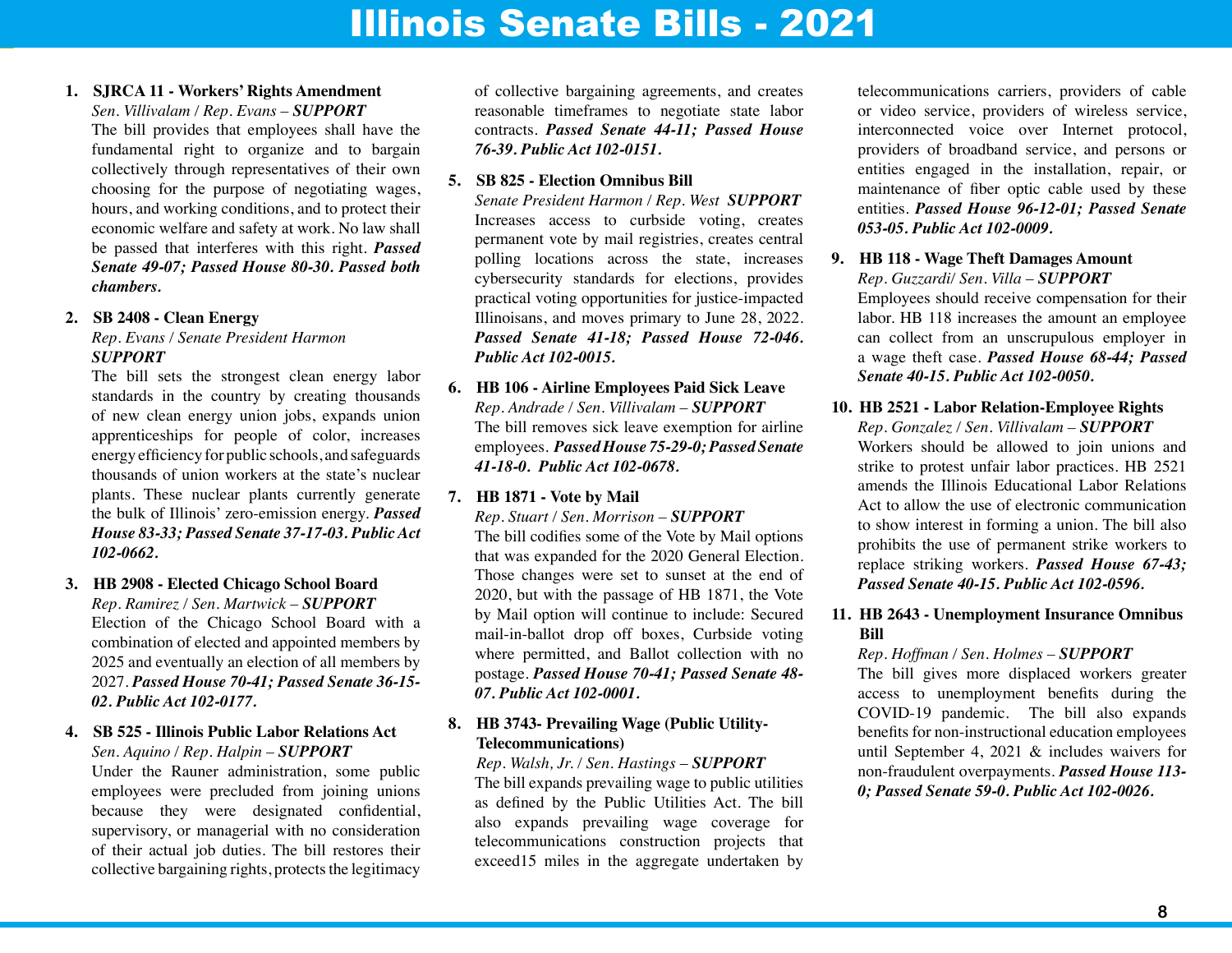#### **1. SJRCA 11 - Workers' Rights Amendment**

*Sen. Villivalam / Rep. Evans – SUPPORT* The bill provides that employees shall have the fundamental right to organize and to bargain collectively through representatives of their own choosing for the purpose of negotiating wages, hours, and working conditions, and to protect their economic welfare and safety at work. No law shall be passed that interferes with this right. *Passed Senate 49-07; Passed House 80-30. Passed both chambers.*

#### **2. SB 2408 - Clean Energy**

#### *Rep. Evans / Senate President Harmon SUPPORT*

The bill sets the strongest clean energy labor standards in the country by creating thousands of new clean energy union jobs, expands union apprenticeships for people of color, increases energy efficiency for public schools, and safeguards thousands of union workers at the state's nuclear plants. These nuclear plants currently generate the bulk of Illinois' zero-emission energy. *Passed House 83-33; Passed Senate 37-17-03. Public Act 102-0662.*

#### **3. HB 2908 - Elected Chicago School Board** *Rep. Ramirez / Sen. Martwick – SUPPORT* Election of the Chicago School Board with a combination of elected and appointed members by 2025 and eventually an election of all members by 2027. *Passed House 70-41; Passed Senate 36-15- 02. Public Act 102-0177.*

#### **4. SB 525 - Illinois Public Labor Relations Act** *Sen. Aquino / Rep. Halpin – SUPPORT*

Under the Rauner administration, some public employees were precluded from joining unions because they were designated confidential, supervisory, or managerial with no consideration of their actual job duties. The bill restores their collective bargaining rights, protects the legitimacy

of collective bargaining agreements, and creates reasonable timeframes to negotiate state labor contracts. *Passed Senate 44-11; Passed House 76-39. Public Act 102-0151.*

#### **5. SB 825 - Election Omnibus Bill**

*Senate President Harmon / Rep. West SUPPORT* Increases access to curbside voting, creates permanent vote by mail registries, creates central polling locations across the state, increases cybersecurity standards for elections, provides practical voting opportunities for justice-impacted Illinoisans, and moves primary to June 28, 2022. *Passed Senate 41-18; Passed House 72-046. Public Act 102-0015.*

**6. HB 106 - Airline Employees Paid Sick Leave** *Rep. Andrade / Sen. Villivalam – SUPPORT* The bill removes sick leave exemption for airline employees. *Passed House 75-29-0; Passed Senate 41-18-0. Public Act 102-0678.*

#### **7. HB 1871 - Vote by Mail**

*Rep. Stuart / Sen. Morrison – SUPPORT* The bill codifies some of the Vote by Mail options that was expanded for the 2020 General Election. Those changes were set to sunset at the end of 2020, but with the passage of HB 1871, the Vote by Mail option will continue to include: Secured mail-in-ballot drop off boxes, Curbside voting where permitted, and Ballot collection with no postage. *Passed House 70-41; Passed Senate 48- 07. Public Act 102-0001.*

#### **8. HB 3743- Prevailing Wage (Public Utility-Telecommunications)**

*Rep. Walsh, Jr. / Sen. Hastings* – *SUPPORT* The bill expands prevailing wage to public utilities as defined by the Public Utilities Act. The bill also expands prevailing wage coverage for telecommunications construction projects that exceed15 miles in the aggregate undertaken by

telecommunications carriers, providers of cable or video service, providers of wireless service, interconnected voice over Internet protocol, providers of broadband service, and persons or entities engaged in the installation, repair, or maintenance of fiber optic cable used by these entities. *Passed House 96-12-01; Passed Senate 053-05. Public Act 102-0009.*

**9. HB 118 - Wage Theft Damages Amount** *Rep. Guzzardi/ Sen. Villa – SUPPORT* Employees should receive compensation for their labor. HB 118 increases the amount an employee can collect from an unscrupulous employer in a wage theft case. *Passed House 68-44; Passed Senate 40-15. Public Act 102-0050.*

#### **10. HB 2521 - Labor Relation-Employee Rights** *Rep. Gonzalez / Sen. Villivalam – SUPPORT* Workers should be allowed to join unions and strike to protest unfair labor practices. HB 2521 amends the Illinois Educational Labor Relations Act to allow the use of electronic communication to show interest in forming a union. The bill also prohibits the use of permanent strike workers to replace striking workers. *Passed House 67-43; Passed Senate 40-15. Public Act 102-0596.*

#### **11. HB 2643 - Unemployment Insurance Omnibus Bill**

#### *Rep. Hoffman / Sen. Holmes – SUPPORT*

The bill gives more displaced workers greater access to unemployment benefits during the COVID-19 pandemic. The bill also expands benefits for non-instructional education employees until September 4, 2021 & includes waivers for non-fraudulent overpayments. *Passed House 113- 0; Passed Senate 59-0. Public Act 102-0026.*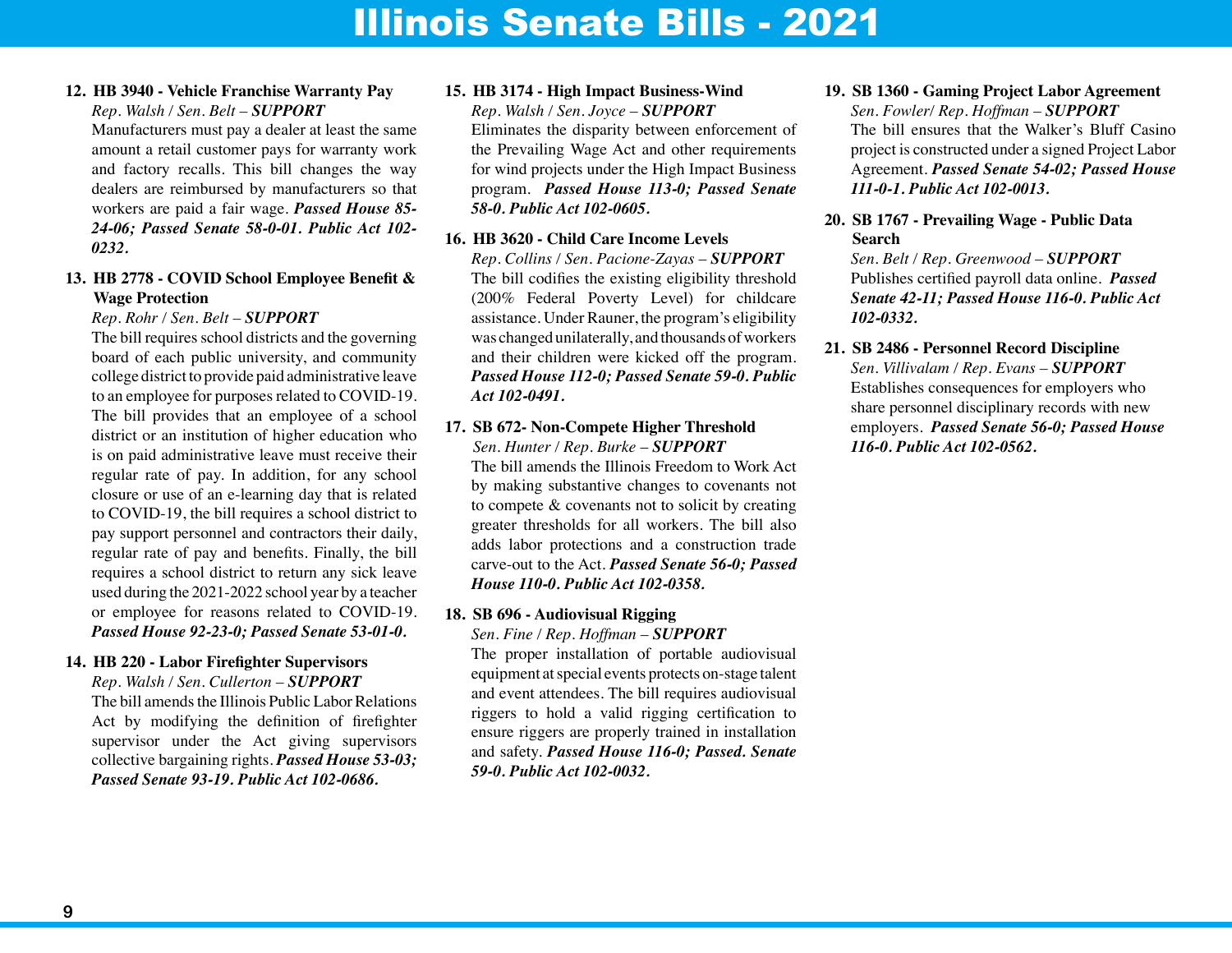## Illinois Senate Bills - 2021

#### **12. HB 3940 - Vehicle Franchise Warranty Pay** *Rep. Walsh / Sen. Belt – SUPPORT*

Manufacturers must pay a dealer at least the same amount a retail customer pays for warranty work and factory recalls. This bill changes the way dealers are reimbursed by manufacturers so that workers are paid a fair wage. *Passed House 85- 24-06; Passed Senate 58-0-01. Public Act 102- 0232.*

#### **13. HB 2778 - COVID School Employee Benefit & Wage Protection**

*Rep. Rohr / Sen. Belt – SUPPORT*

The bill requires school districts and the governing board of each public university, and community college district to provide paid administrative leave to an employee for purposes related to COVID-19. The bill provides that an employee of a school district or an institution of higher education who is on paid administrative leave must receive their regular rate of pay. In addition, for any school closure or use of an e-learning day that is related to COVID-19, the bill requires a school district to pay support personnel and contractors their daily, regular rate of pay and benefits. Finally, the bill requires a school district to return any sick leave used during the 2021-2022 school year by a teacher or employee for reasons related to COVID-19. *Passed House 92-23-0; Passed Senate 53-01-0.*

#### **14. HB 220 - Labor Firefighter Supervisors**

*Rep. Walsh / Sen. Cullerton – SUPPORT* The bill amends the Illinois Public Labor Relations Act by modifying the definition of firefighter supervisor under the Act giving supervisors collective bargaining rights. *Passed House 53-03; Passed Senate 93-19. Public Act 102-0686.*

#### **15. HB 3174 - High Impact Business-Wind** *Rep. Walsh / Sen. Joyce – SUPPORT*

Eliminates the disparity between enforcement of the Prevailing Wage Act and other requirements for wind projects under the High Impact Business program. *Passed House 113-0; Passed Senate 58-0. Public Act 102-0605.*

#### **16. HB 3620 - Child Care Income Levels**

*Rep. Collins / Sen. Pacione-Zayas – SUPPORT* The bill codifies the existing eligibility threshold (200% Federal Poverty Level) for childcare assistance. Under Rauner, the program's eligibility was changed unilaterally, and thousands of workers and their children were kicked off the program. *Passed House 112-0; Passed Senate 59-0. Public Act 102-0491.*

**17. SB 672- Non-Compete Higher Threshold** *Sen. Hunter / Rep. Burke* – *SUPPORT* The bill amends the Illinois Freedom to Work Act by making substantive changes to covenants not to compete & covenants not to solicit by creating greater thresholds for all workers. The bill also adds labor protections and a construction trade carve-out to the Act. *Passed Senate 56-0; Passed House 110-0. Public Act 102-0358.*

#### **18. SB 696 - Audiovisual Rigging**

*Sen. Fine / Rep. Hoffman – SUPPORT*

The proper installation of portable audiovisual equipment at special events protects on-stage talent and event attendees. The bill requires audiovisual riggers to hold a valid rigging certification to ensure riggers are properly trained in installation and safety. *Passed House 116-0; Passed. Senate 59-0. Public Act 102-0032.*

**19. SB 1360 - Gaming Project Labor Agreement** *Sen. Fowler/ Rep. Hoffman – SUPPORT* The bill ensures that the Walker's Bluff Casino project is constructed under a signed Project Labor Agreement. *Passed Senate 54-02; Passed House 111-0-1. Public Act 102-0013.*

#### **20. SB 1767 - Prevailing Wage - Public Data Search**

*Sen. Belt / Rep. Greenwood – SUPPORT* Publishes certified payroll data online. *Passed Senate 42-11; Passed House 116-0. Public Act 102-0332.*

**21. SB 2486 - Personnel Record Discipline** *Sen. Villivalam / Rep. Evans – SUPPORT* Establishes consequences for employers who share personnel disciplinary records with new employers. *Passed Senate 56-0; Passed House 116-0. Public Act 102-0562.*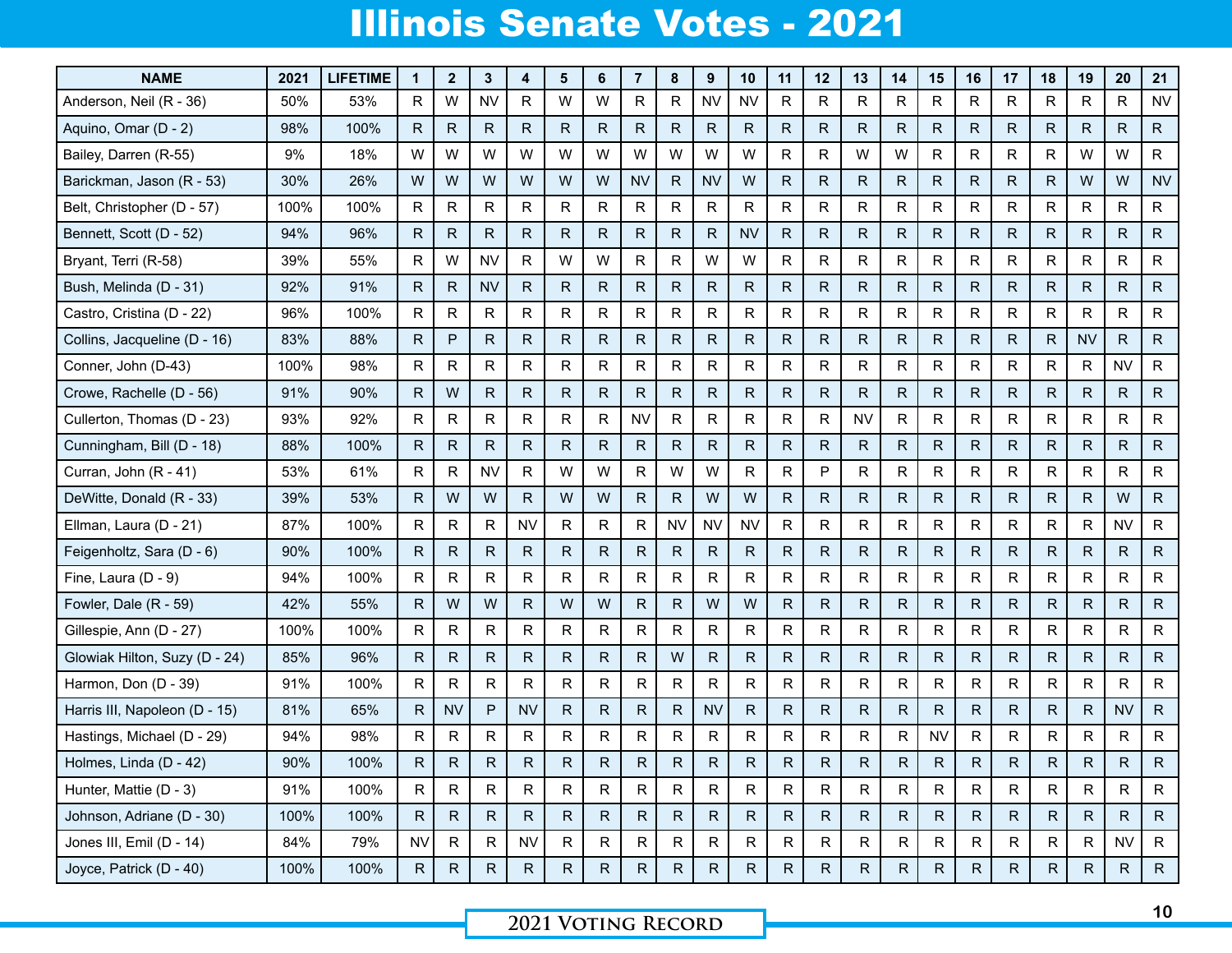## Illinois Senate Votes - 2021

| <b>NAME</b>                   | 2021 | <b>LIFETIME</b> | 1            | $\mathbf{2}$ | 3            | 4            | 5            | 6            | $\overline{7}$          | 8                  | 9            | 10           | 11           | 12           | 13           | 14           | 15           | 16           | 17           | 18           | 19           | 20           | 21           |
|-------------------------------|------|-----------------|--------------|--------------|--------------|--------------|--------------|--------------|-------------------------|--------------------|--------------|--------------|--------------|--------------|--------------|--------------|--------------|--------------|--------------|--------------|--------------|--------------|--------------|
| Anderson, Neil (R - 36)       | 50%  | 53%             | R            | W            | <b>NV</b>    | R            | W            | W            | R                       | R                  | <b>NV</b>    | <b>NV</b>    | R            | $\mathsf R$  | R            | R            | R            | R            | R            | R            | R            | $\mathsf{R}$ | <b>NV</b>    |
| Aquino, Omar (D - 2)          | 98%  | 100%            | $\mathsf{R}$ | R            | R.           | R            | R.           | $\mathsf{R}$ | R.                      | R.                 | R            | R            | R            | R            | $\mathsf{R}$ | R            | $\mathsf{R}$ | $\mathsf{R}$ | R            | $\mathsf{R}$ | R            | R            | ${\sf R}$    |
| Bailey, Darren (R-55)         | 9%   | 18%             | W            | W            | W            | W            | W            | W            | W                       | W                  | W            | W            | R            | R            | W            | W            | R            | R            | R            | $\mathsf{R}$ | W            | W            | ${\sf R}$    |
| Barickman, Jason (R - 53)     | 30%  | 26%             | W            | W            | W            | W            | ${\sf W}$    | W            | <b>NV</b>               | R                  | <b>NV</b>    | W            | R            | R            | $\mathsf{R}$ | $\mathsf{R}$ | $\mathsf{R}$ | $\mathsf{R}$ | $\mathsf{R}$ | $\mathsf{R}$ | W            | W            | <b>NV</b>    |
| Belt, Christopher (D - 57)    | 100% | 100%            | R            | R            | R            | R            | R            | R            | R                       | R                  | R            | R            | R            | R            | R            | R            | R            | R            | R            | $\mathsf{R}$ | $\mathsf R$  | R            | ${\sf R}$    |
| Bennett, Scott (D - 52)       | 94%  | 96%             | R            | $\mathsf{R}$ | R            | R            | R.           | $\mathsf{R}$ | R.                      | $\mathsf{R}$       | $\mathsf{R}$ | <b>NV</b>    | R            | R            | $\mathsf{R}$ | $\mathsf{R}$ | R            | R            | $\mathsf{R}$ | $\mathsf{R}$ | R            | R.           | ${\sf R}$    |
| Bryant, Terri (R-58)          | 39%  | 55%             | R            | W            | <b>NV</b>    | R            | W            | W            | R                       | R                  | W            | W            | R            | R            | R            | R            | R            | R            | R            | R            | R            | R            | R            |
| Bush, Melinda (D - 31)        | 92%  | 91%             | R            | R            | <b>NV</b>    | R            | R            | $\mathsf R$  | R.                      | R                  | $\mathsf{R}$ | ${\sf R}$    | $\mathsf{R}$ | R            | $\mathsf R$  | R            | R            | R            | $\mathsf R$  | R            | R            | R.           | $\mathsf{R}$ |
| Castro, Cristina (D - 22)     | 96%  | 100%            | R            | $\mathsf R$  | R            | R            | R            | R            | R                       | R                  | R            | R            | R            | R            | R            | R            | R            | R            | R            | R            | R            | R            | ${\sf R}$    |
| Collins, Jacqueline (D - 16)  | 83%  | 88%             | $\mathsf R$  | P            | $\mathsf{R}$ | R            | R            | $\mathsf{R}$ | R.                      | R                  | $\mathsf{R}$ | R            | $\mathsf{R}$ | $\mathsf R$  | $\mathsf{R}$ | $\mathsf R$  | $\mathsf{R}$ | $\mathsf{R}$ | $\mathsf{R}$ | $\mathsf{R}$ | <b>NV</b>    | R            | $\mathsf{R}$ |
| Conner, John (D-43)           | 100% | 98%             | R            | R            | R            | R            | $\mathsf{R}$ | R            | $\mathsf{R}$            | R                  | R            | R            | $\mathsf R$  | R            | R            | R            | $\mathsf R$  | R            | R            | R            | R            | <b>NV</b>    | ${\sf R}$    |
| Crowe, Rachelle (D - 56)      | 91%  | 90%             | $\mathsf R$  | W            | R            | R            | R            | $\mathsf{R}$ | R.                      | R                  | $\mathsf R$  | R            | R.           | R            | $\mathsf{R}$ | $\mathsf{R}$ | R            | R.           | $\mathsf{R}$ | $\mathsf{R}$ | R            | R            | R            |
| Cullerton, Thomas (D - 23)    | 93%  | 92%             | R            | $\mathsf R$  | R            | R            | R            | R            | <b>NV</b>               | R                  | $\mathsf R$  | $\mathsf{R}$ | R            | R            | <b>NV</b>    | R            | R            | R            | R            | R            | R            | R            | $\mathsf{R}$ |
| Cunningham, Bill (D - 18)     | 88%  | 100%            | $\mathsf{R}$ | $\mathsf{R}$ | R            | R            | R            | $\mathsf{R}$ | R                       | R                  | ${\sf R}$    | $\mathsf{R}$ | R.           | $\mathsf{R}$ | R            | ${\sf R}$    | R            | R            | $\mathsf R$  | R.           | $\mathsf{R}$ | R            | $\mathsf{R}$ |
| Curran, John (R - 41)         | 53%  | 61%             | $\mathsf{R}$ | R            | <b>NV</b>    | R            | W            | W            | $\mathsf{R}$            | W                  | W            | $\mathsf{R}$ | R            | P            | R            | R            | R            | R            | R            | R            | R            | R            | $\mathsf R$  |
| DeWitte, Donald (R - 33)      | 39%  | 53%             | $\mathsf{R}$ | W            | W            | $\mathsf{R}$ | ${\sf W}$    | W            | R.                      | R                  | W            | W            | $\mathsf{R}$ | R.           | R            | R            | R            | $\mathsf{R}$ | $\mathsf{R}$ | $\mathsf{R}$ | R            | W            | $\mathsf{R}$ |
| Ellman, Laura (D - 21)        | 87%  | 100%            | R            | R            | R.           | <b>NV</b>    | R            | R            | $\mathsf{R}$            | <b>NV</b>          | <b>NV</b>    | <b>NV</b>    | R            | R            | R            | R            | R            | R            | $\mathsf R$  | R            | R            | <b>NV</b>    | $\mathsf{R}$ |
| Feigenholtz, Sara (D - 6)     | 90%  | 100%            | $\mathsf{R}$ | $\mathsf{R}$ | R.           | $\mathsf{R}$ | R            | R            | R.                      | $\mathsf{R}$       | R            | R            | R.           | R            | R            | R            | R            | R.           | $\mathsf{R}$ | R            | $\mathsf{R}$ | R            | ${\sf R}$    |
| Fine, Laura $(D - 9)$         | 94%  | 100%            | $\mathsf R$  | R            | R            | R            | R            | R            | R                       | R                  | R            | R            | R            | R            | R            | R            | R            | R            | R            | R            | R            | R            | R            |
| Fowler, Dale (R - 59)         | 42%  | 55%             | $\mathsf{R}$ | W            | W            | R            | W            | W            | R.                      | R                  | W            | W            | R            | $\mathsf{R}$ | R.           | R            | R.           | R            | $\mathsf{R}$ | R            | R            | $\mathsf{R}$ | R.           |
| Gillespie, Ann (D - 27)       | 100% | 100%            | $\mathsf R$  | R            | R            | R            | R            | R            | R                       | R                  | R            | R            | R            | R            | R            | R            | R            | R            | R            | R            | R            | R            | $\mathsf{R}$ |
| Glowiak Hilton, Suzy (D - 24) | 85%  | 96%             | $\mathsf{R}$ | $\mathsf{R}$ | R            | $\mathsf{R}$ | R            | R            | R.                      | W                  | R            | $\mathsf{R}$ | R.           | R            | R            | $\mathsf{R}$ | R            | R            | $\mathsf{R}$ | R            | R            | $\mathsf{R}$ | $\mathsf{R}$ |
| Harmon, Don (D - 39)          | 91%  | 100%            | $\mathsf{R}$ | $\mathsf R$  | $\mathsf{R}$ | R            | R            | $\mathsf R$  | R                       | R                  | R            | $\mathsf R$  | R            | R            | R            | R            | R            | R            | R            | R            | R            | R            | $\mathsf{R}$ |
| Harris III, Napoleon (D - 15) | 81%  | 65%             | $\mathsf{R}$ | <b>NV</b>    | P            | <b>NV</b>    | $\mathsf{R}$ | $\mathsf{R}$ | R.                      | R                  | <b>NV</b>    | $\mathsf{R}$ | R.           | R            | R            | $\mathsf R$  | R            | R            | R.           | R            | R.           | <b>NV</b>    | $\mathsf{R}$ |
| Hastings, Michael (D - 29)    | 94%  | 98%             | $\mathsf{R}$ | R            | R            | R            | R            | R            | R                       | R                  | R            | R            | R            | $\mathsf R$  | R            | R            | <b>NV</b>    | R            | R            | R            | R            | R            | R            |
| Holmes, Linda (D - 42)        | 90%  | 100%            | ${\sf R}$    | ${\sf R}$    | $\mathsf{R}$ | ${\sf R}$    | ${\sf R}$    | ${\sf R}$    | $\overline{\mathsf{R}}$ | $\mathsf{R}% _{T}$ | $\mathsf R$  | ${\sf R}$    | ${\sf R}$    | ${\sf R}$    | $\mathsf R$  | ${\sf R}$    | ${\sf R}$    | ${\sf R}$    | $\mathsf R$  | ${\sf R}$    | ${\sf R}$    | ${\sf R}$    | ${\sf R}$    |
| Hunter, Mattie (D - 3)        | 91%  | 100%            | $\mathsf{R}$ | $\mathsf{R}$ | $\mathsf{R}$ | $\mathsf{R}$ | $\mathsf{R}$ | $\mathsf{R}$ | $\mathsf{R}$            | $\mathsf{R}$       | $\mathsf{R}$ | $\mathsf{R}$ | $\mathsf{R}$ | $\mathsf{R}$ | $\mathsf{R}$ | $\mathsf{R}$ | ${\sf R}$    | $\mathsf{R}$ | $\mathsf{R}$ | $\mathsf{R}$ | $\mathsf{R}$ | $\mathsf{R}$ | $\mathsf{R}$ |
| Johnson, Adriane (D - 30)     | 100% | 100%            | $\mathsf{R}$ | ${\sf R}$    | $\mathsf{R}$ | $\mathsf{R}$ | $\mathsf{R}$ | ${\sf R}$    | $\mathsf{R}$            | $\mathsf{R}$       | R.           | $\mathsf{R}$ | $\mathsf{R}$ | ${\sf R}$    | R            | $\mathsf{R}$ | $\mathsf{R}$ | $\mathsf{R}$ | R.           | $\mathsf{R}$ | $\mathsf{R}$ | $\mathsf{R}$ | $\mathsf{R}$ |
| Jones III, Emil (D - 14)      | 84%  | 79%             | <b>NV</b>    | ${\sf R}$    | $\mathsf{R}$ | <b>NV</b>    | R            | $\mathsf R$  | $\mathsf{R}$            | R                  | R            | R            | $\mathsf{R}$ | $\mathsf{R}$ | $\mathsf{R}$ | $\mathsf{R}$ | R            | R            | $\mathsf{R}$ | R            | R            | <b>NV</b>    | $\mathsf{R}$ |
| Joyce, Patrick (D - 40)       | 100% | 100%            | ${\sf R}$    | ${\sf R}$    | R.           | R.           | $\mathsf{R}$ | ${\sf R}$    | $\mathsf{R}$            | $\mathsf R$        | $\mathsf{R}$ | ${\sf R}$    | $\mathsf{R}$ | $\mathsf{R}$ | $\mathsf{R}$ | $\mathsf{R}$ | R            | ${\sf R}$    | $\mathsf{R}$ | $\mathsf{R}$ | $\mathsf{R}$ | $\mathsf{R}$ | $\mathsf{R}$ |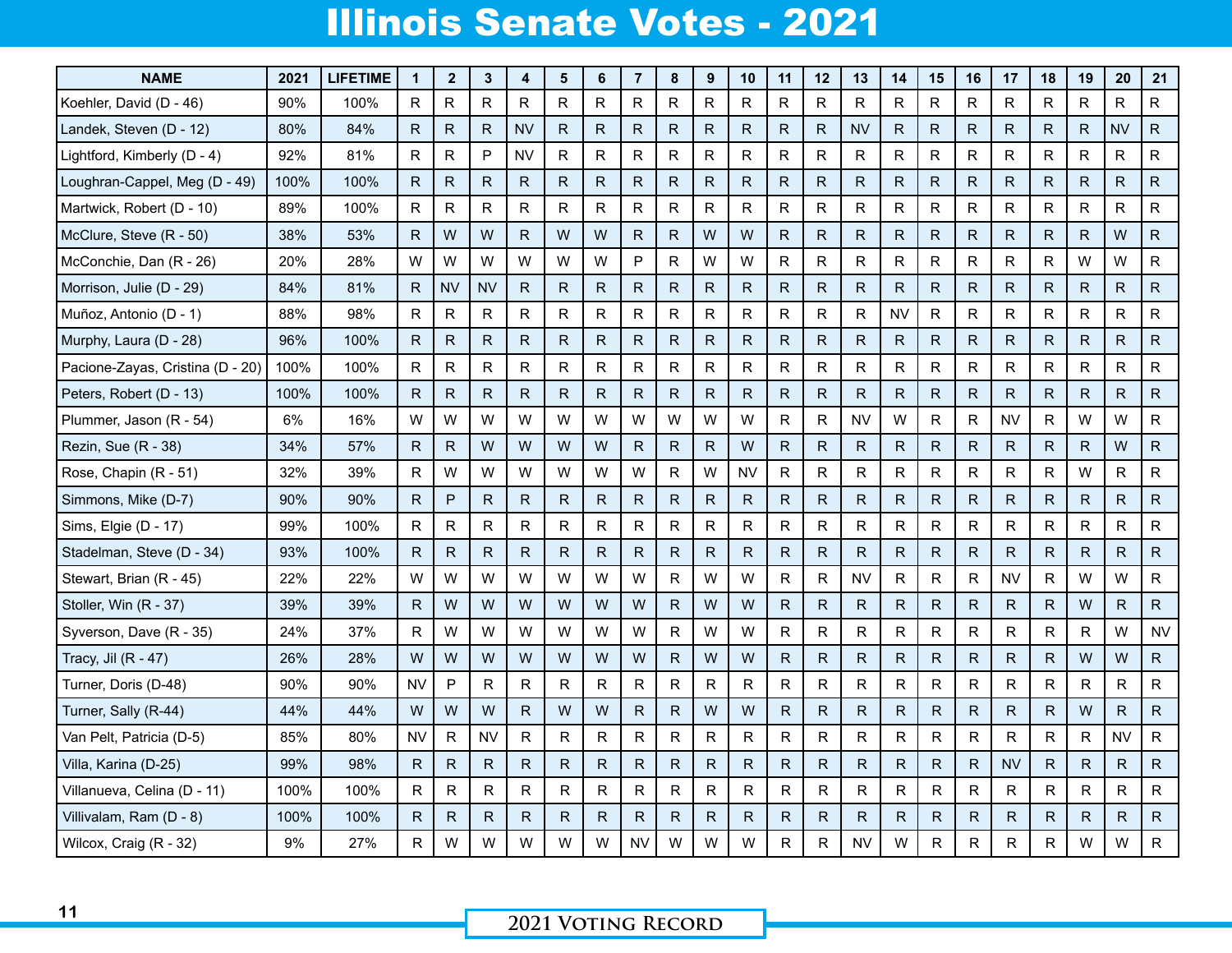## Illinois Senate Votes - 2021

| <b>NAME</b>                      | 2021 | <b>LIFETIME</b> | $\mathbf{1}$ | $\overline{2}$ | $\mathbf{3}$ | 4         | 5            | 6            | $\overline{7}$ | 8            | 9            | 10           | 11           | 12           | 13           | 14           | 15           | 16           | 17           | 18           | 19           | 20           | 21           |
|----------------------------------|------|-----------------|--------------|----------------|--------------|-----------|--------------|--------------|----------------|--------------|--------------|--------------|--------------|--------------|--------------|--------------|--------------|--------------|--------------|--------------|--------------|--------------|--------------|
| Koehler, David (D - 46)          | 90%  | 100%            | R            | ${\sf R}$      | R            | R.        | R            | ${\sf R}$    | R              | R            | R.           | R            | $\mathsf{R}$ | R            | R            | $\mathsf{R}$ | $\mathsf{R}$ | $\mathsf{R}$ | R            | R            | $\mathsf{R}$ | R            | ${\sf R}$    |
| Landek, Steven (D - 12)          | 80%  | 84%             | R            | R              | R            | <b>NV</b> | R            | $\mathsf{R}$ | R              | $\mathsf{R}$ | R            | R            | R            | R.           | <b>NV</b>    | ${\sf R}$    | R            | R            | R            | R            | R            | <b>NV</b>    | $\mathsf{R}$ |
| Lightford, Kimberly (D - 4)      | 92%  | 81%             | R.           | R              | P            | <b>NV</b> | R.           | R            | R.             | $\mathsf{R}$ | R            | R            | R            | R.           | R            | $\mathsf{R}$ | $\mathsf{R}$ | $\mathsf{R}$ | R            | R            | R            | R.           | $\mathsf{R}$ |
| Loughran-Cappel, Meg (D - 49)    | 100% | 100%            | R.           | R.             | R.           | R         | R            | ${\sf R}$    | R.             | $\mathsf{R}$ | R            | R            | R            | R.           | R            | ${\sf R}$    | R            | R            | R            | R            | R            | R.           | $\mathsf{R}$ |
| Martwick, Robert (D - 10)        | 89%  | 100%            | R            | R              | R.           | R.        | R.           | R            | R.             | R            | R            | R            | R            | R            | R            | $\mathsf{R}$ | R            | $\mathsf{R}$ | R            | $\mathsf R$  | R            | R.           | $\mathsf{R}$ |
| McClure, Steve (R - 50)          | 38%  | 53%             | R            | W              | W            | R         | W            | W            | R              | $\mathsf{R}$ | W            | W            | $\mathsf{R}$ | $\mathsf{R}$ | $\mathsf{R}$ | $\mathsf{R}$ | $\mathsf{R}$ | R            | $\mathsf{R}$ | R            | $\mathsf{R}$ | W            | $\mathsf{R}$ |
| McConchie, Dan (R - 26)          | 20%  | 28%             | W            | W              | W            | W         | W            | W            | P              | $\mathsf{R}$ | W            | W            | R            | R.           | R            | $\mathsf{R}$ | R            | R            | R            | R            | W            | W            | $\mathsf{R}$ |
| Morrison, Julie (D - 29)         | 84%  | 81%             | R.           | <b>NV</b>      | <b>NV</b>    | R         | R            | ${\sf R}$    | R              | R            | $\mathsf{R}$ | $\mathsf{R}$ | $\mathsf{R}$ | $\mathsf{R}$ | $\mathsf{R}$ | $\mathsf{R}$ | R            | $\mathsf{R}$ | $\mathsf{R}$ | R            | $\mathsf{R}$ | R            | ${\sf R}$    |
| Muñoz, Antonio (D - 1)           | 88%  | 98%             | R            | R.             | R.           | R         | R            | R.           | R.             | $\mathsf{R}$ | R            | $\mathsf{R}$ | R            | R            | R            | <b>NV</b>    | R            | R            | R            | $\mathsf{R}$ | R            | R.           | $\mathsf{R}$ |
| Murphy, Laura (D - 28)           | 96%  | 100%            | $\mathsf{R}$ | R              | R            | R         | R            | R            | R              | $\mathsf{R}$ | R            | $\mathsf{R}$ | $\mathsf{R}$ | R            | $\mathsf{R}$ | $\mathsf{R}$ | R            | $\mathsf{R}$ | $\mathsf{R}$ | R            | $\mathsf{R}$ | R            | ${\sf R}$    |
| Pacione-Zayas, Cristina (D - 20) | 100% | 100%            | R            | R              | R.           | R         | R.           | R            | R.             | R            | R            | R.           | R            | $\mathsf{R}$ | R            | $\mathsf{R}$ | R            | R            | R            | $\mathsf{R}$ | R            | R.           | $\mathsf{R}$ |
| Peters, Robert (D - 13)          | 100% | 100%            | R            | R              | R.           | R         | $\mathsf{R}$ | $\mathsf{R}$ | R              | R            | $\mathsf{R}$ | R            | $\mathsf{R}$ | R            | ${\sf R}$    | $\mathsf{R}$ | R            | R            | $\mathsf{R}$ | $\mathsf{R}$ | $\mathsf{R}$ | R            | ${\sf R}$    |
| Plummer, Jason (R - 54)          | 6%   | 16%             | W            | W              | W            | W         | W            | W            | W              | W            | W            | W            | R            | $\mathsf{R}$ | NV           | W            | R            | R            | <b>NV</b>    | R            | W            | W            | ${\sf R}$    |
| Rezin, Sue (R - 38)              | 34%  | 57%             | R            | $\mathsf{R}$   | W            | W         | W            | W            | R              | $\mathsf{R}$ | $\mathsf{R}$ | W            | ${\sf R}$    | ${\sf R}$    | $\mathsf{R}$ | R            | $\mathsf{R}$ | $\mathsf{R}$ | R            | $\mathsf{R}$ | $\mathsf{R}$ | W            | ${\sf R}$    |
| Rose, Chapin (R - 51)            | 32%  | 39%             | $\mathsf{R}$ | W              | W            | W         | W            | W            | W              | $\mathsf R$  | W            | <b>NV</b>    | R            | $\mathsf{R}$ | R            | $\mathsf{R}$ | R            | R            | R            | $\mathsf{R}$ | W            | $\mathsf{R}$ | ${\sf R}$    |
| Simmons, Mike (D-7)              | 90%  | 90%             | R            | P              | R            | R         | $\mathsf{R}$ | $\mathsf{R}$ | R              | $\mathsf{R}$ | $\mathsf{R}$ | R            | $\mathsf{R}$ | R            | $\mathsf{R}$ | $\mathsf{R}$ | $\mathsf{R}$ | ${\sf R}$    | $\mathsf R$  | R            | $\mathsf{R}$ | R            | $\mathsf{R}$ |
| Sims, Elgie (D - 17)             | 99%  | 100%            | R            | R              | R            | R         | R            | R            | R              | R            | R            | R            | R            | $\mathsf R$  | R            | R            | R            | $\mathsf{R}$ | R            | $\mathsf{R}$ | R            | R            | $\mathsf{R}$ |
| Stadelman, Steve (D - 34)        | 93%  | 100%            | $\mathsf{R}$ | R              | $\mathsf{R}$ | R.        | $\mathsf{R}$ | ${\sf R}$    | R              | $\mathsf{R}$ | ${\sf R}$    | $\mathsf R$  | R            | ${\sf R}$    | $\mathsf{R}$ | $\mathsf{R}$ | $\mathsf{R}$ | ${\sf R}$    | R            | ${\sf R}$    | ${\sf R}$    | $\mathsf{R}$ | ${\sf R}$    |
| Stewart, Brian (R - 45)          | 22%  | 22%             | W            | W              | W            | W         | W            | W            | W              | R            | W            | W            | ${\sf R}$    | R            | <b>NV</b>    | $\mathsf{R}$ | $\mathsf R$  | $\mathsf R$  | <b>NV</b>    | $\mathsf{R}$ | W            | W            | $\mathsf{R}$ |
| Stoller, Win (R - 37)            | 39%  | 39%             | R            | W              | W            | W         | W            | W            | W              | $\mathsf{R}$ | W            | W            | $\mathsf{R}$ | R            | ${\sf R}$    | ${\sf R}$    | $\mathsf{R}$ | ${\sf R}$    | $\mathsf R$  | ${\sf R}$    | W            | $\mathsf{R}$ | ${\sf R}$    |
| Syverson, Dave (R - 35)          | 24%  | 37%             | R            | W              | W            | W         | W            | W            | W              | R            | W            | W            | R            | R            | R            | R            | R            | $\mathsf R$  | R            | R            | R            | W            | <b>NV</b>    |
| Tracy, Jil (R - 47)              | 26%  | 28%             | W            | W              | W            | W         | W            | W            | W              | $\mathsf{R}$ | W            | W            | $\mathsf{R}$ | R            | $\mathsf{R}$ | $\mathsf R$  | R.           | ${\sf R}$    | $\mathsf R$  | $\mathsf R$  | W            | W            | ${\sf R}$    |
| Turner, Doris (D-48)             | 90%  | 90%             | <b>NV</b>    | P              | R            | R         | R            | R            | R              | R            | R            | R            | R            | R            | R            | R            | R            | R            | R            | R            | R            | R            | R            |
| Turner, Sally (R-44)             | 44%  | 44%             | W            | W              | W            | R         | W            | W            | R.             | R            | W            | W            | R            | R            | R.           | R            | R.           | $\mathsf{R}$ | R            | R            | W            | R            | R            |
| Van Pelt, Patricia (D-5)         | 85%  | 80%             | <b>NV</b>    | R              | <b>NV</b>    | R         | R            | R            | R              | R            | R            | R            | R            | R            | R            | R            | R            | R            | R            | R            | R            | <b>NV</b>    | R            |
| Villa, Karina (D-25)             | 99%  | 98%             | R            | $\mathsf{R}$   | R.           | R         | R            | $\mathsf{R}$ | R              | R            | R            | $\mathsf{R}$ | R            | R            | R            | R            | R.           | $\mathsf{R}$ | <b>NV</b>    | R            | R            | R            | $\mathsf{R}$ |
| Villanueva, Celina (D - 11)      | 100% | 100%            | R            | R              | R            | R         | $\mathsf{R}$ | $\mathsf{R}$ | $\mathsf{R}$   | R            | ${\sf R}$    | $\mathsf{R}$ | $\mathsf R$  | R            | R            | R            | $\mathsf R$  | $\mathsf{R}$ | R            | R            | R            | R            | ${\sf R}$    |
| Villivalam, Ram (D - 8)          | 100% | 100%            | R            | R              | R            | R         | R.           | $\mathsf{R}$ | R              | R            | R            | R            | R.           | R            | R.           | R.           | R            | R            | R.           | R            | R            | R            | $\mathsf{R}$ |
| Wilcox, Craig (R - 32)           | 9%   | 27%             | R            | W              | W            | W         | W            | W            | <b>NV</b>      | W            | W            | W            | R            | $\mathsf R$  | <b>NV</b>    | W            | R            | $\mathsf{R}$ | R            | R            | W            | W            | $\mathsf R$  |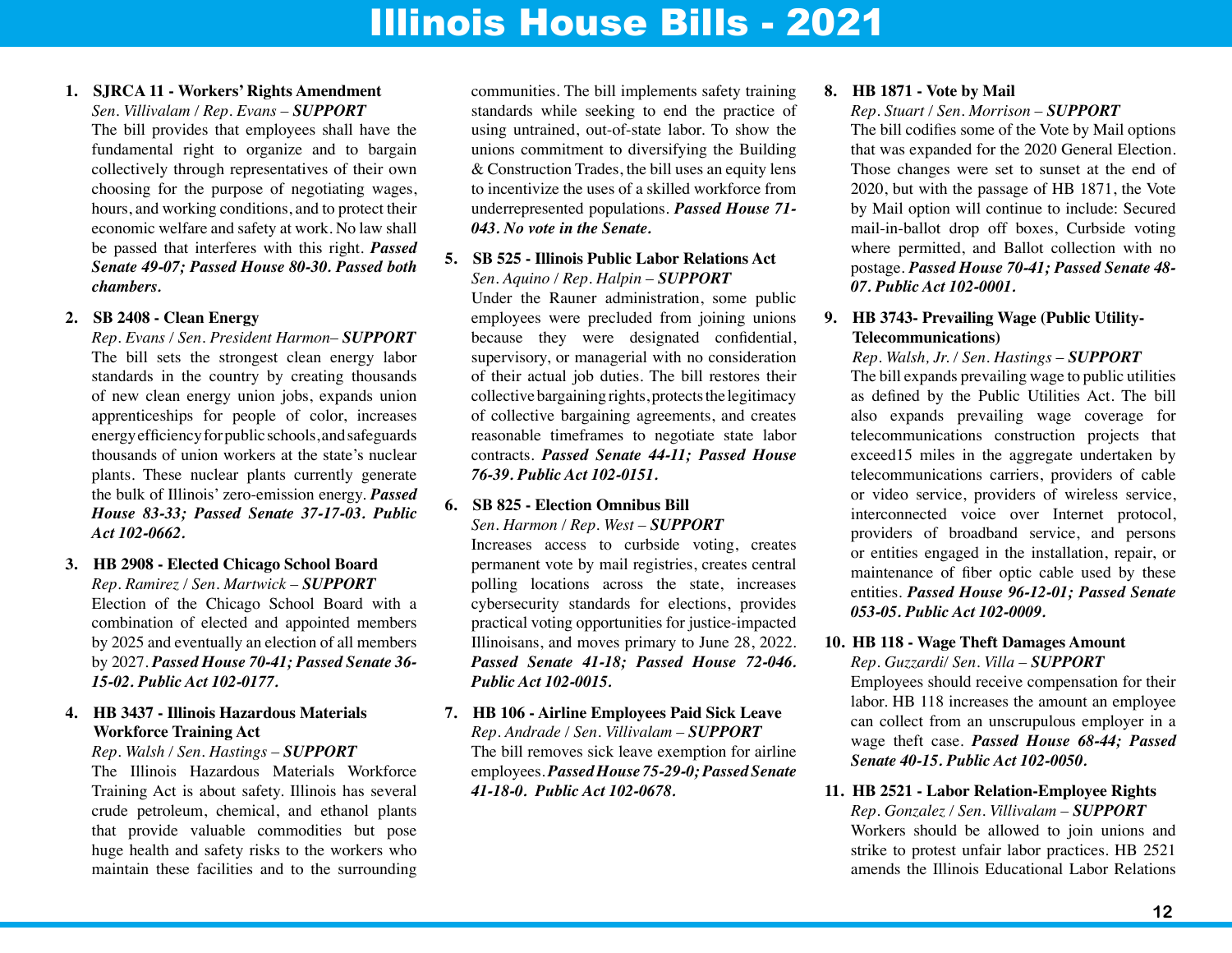#### **1. SJRCA 11 - Workers' Rights Amendment**

*Sen. Villivalam / Rep. Evans – SUPPORT* The bill provides that employees shall have the fundamental right to organize and to bargain collectively through representatives of their own choosing for the purpose of negotiating wages, hours, and working conditions, and to protect their economic welfare and safety at work. No law shall be passed that interferes with this right. *Passed Senate 49-07; Passed House 80-30. Passed both chambers.*

#### **2. SB 2408 - Clean Energy**

*Rep. Evans / Sen. President Harmon– SUPPORT* The bill sets the strongest clean energy labor standards in the country by creating thousands of new clean energy union jobs, expands union apprenticeships for people of color, increases energy efficiency for public schools, and safeguards thousands of union workers at the state's nuclear plants. These nuclear plants currently generate the bulk of Illinois' zero-emission energy. *Passed House 83-33; Passed Senate 37-17-03. Public Act 102-0662.*

#### **3. HB 2908 - Elected Chicago School Board** *Rep. Ramirez / Sen. Martwick – SUPPORT* Election of the Chicago School Board with a combination of elected and appointed members by 2025 and eventually an election of all members by 2027. *Passed House 70-41; Passed Senate 36- 15-02. Public Act 102-0177.*

**4. HB 3437 - Illinois Hazardous Materials Workforce Training Act**

*Rep. Walsh / Sen. Hastings – SUPPORT*

The Illinois Hazardous Materials Workforce Training Act is about safety. Illinois has several crude petroleum, chemical, and ethanol plants that provide valuable commodities but pose huge health and safety risks to the workers who maintain these facilities and to the surrounding

communities. The bill implements safety training standards while seeking to end the practice of using untrained, out-of-state labor. To show the unions commitment to diversifying the Building & Construction Trades, the bill uses an equity lens to incentivize the uses of a skilled workforce from underrepresented populations. *Passed House 71- 043. No vote in the Senate.*

#### **5. SB 525 - Illinois Public Labor Relations Act** *Sen. Aquino / Rep. Halpin – SUPPORT*

Under the Rauner administration, some public employees were precluded from joining unions because they were designated confidential, supervisory, or managerial with no consideration of their actual job duties. The bill restores their collective bargaining rights, protects the legitimacy of collective bargaining agreements, and creates reasonable timeframes to negotiate state labor contracts. *Passed Senate 44-11; Passed House 76-39. Public Act 102-0151.*

#### **6. SB 825 - Election Omnibus Bill**

*Sen. Harmon / Rep. West – SUPPORT* Increases access to curbside voting, creates permanent vote by mail registries, creates central polling locations across the state, increases cybersecurity standards for elections, provides practical voting opportunities for justice-impacted Illinoisans, and moves primary to June 28, 2022. *Passed Senate 41-18; Passed House 72-046. Public Act 102-0015.*

#### **7. HB 106 - Airline Employees Paid Sick Leave** *Rep. Andrade / Sen. Villivalam – SUPPORT* The bill removes sick leave exemption for airline employees. *Passed House 75-29-0; Passed Senate 41-18-0. Public Act 102-0678.*

#### **8. HB 1871 - Vote by Mail**

*Rep. Stuart / Sen. Morrison – SUPPORT* The bill codifies some of the Vote by Mail options that was expanded for the 2020 General Election. Those changes were set to sunset at the end of 2020, but with the passage of HB 1871, the Vote by Mail option will continue to include: Secured mail-in-ballot drop off boxes, Curbside voting where permitted, and Ballot collection with no postage. *Passed House 70-41; Passed Senate 48- 07. Public Act 102-0001.*

#### **9. HB 3743- Prevailing Wage (Public Utility-Telecommunications)**

#### *Rep. Walsh, Jr. / Sen. Hastings* – *SUPPORT*

The bill expands prevailing wage to public utilities as defined by the Public Utilities Act. The bill also expands prevailing wage coverage for telecommunications construction projects that exceed15 miles in the aggregate undertaken by telecommunications carriers, providers of cable or video service, providers of wireless service, interconnected voice over Internet protocol, providers of broadband service, and persons or entities engaged in the installation, repair, or maintenance of fiber optic cable used by these entities. *Passed House 96-12-01; Passed Senate 053-05. Public Act 102-0009.*

#### **10. HB 118 - Wage Theft Damages Amount**

*Rep. Guzzardi/ Sen. Villa – SUPPORT* Employees should receive compensation for their labor. HB 118 increases the amount an employee can collect from an unscrupulous employer in a wage theft case. *Passed House 68-44; Passed Senate 40-15. Public Act 102-0050.*

#### **11. HB 2521 - Labor Relation-Employee Rights** *Rep. Gonzalez / Sen. Villivalam – SUPPORT* Workers should be allowed to join unions and strike to protest unfair labor practices. HB 2521 amends the Illinois Educational Labor Relations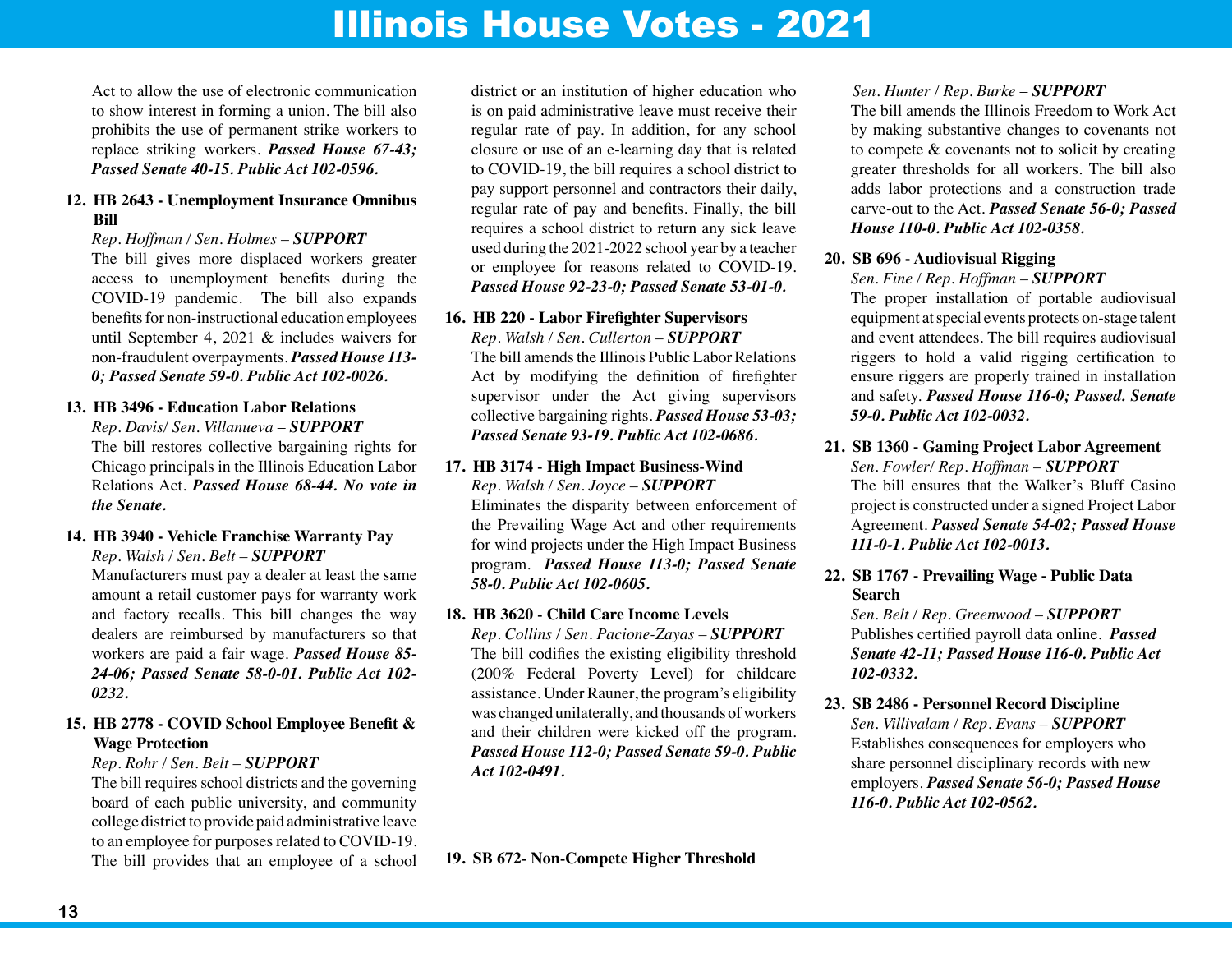Act to allow the use of electronic communication to show interest in forming a union. The bill also prohibits the use of permanent strike workers to replace striking workers. *Passed House 67-43; Passed Senate 40-15. Public Act 102-0596.*

#### **12. HB 2643 - Unemployment Insurance Omnibus Bill**

*Rep. Hoffman / Sen. Holmes – SUPPORT* The bill gives more displaced workers greater access to unemployment benefits during the COVID-19 pandemic. The bill also expands benefits for non-instructional education employees until September 4, 2021 & includes waivers for non-fraudulent overpayments. *Passed House 113- 0; Passed Senate 59-0. Public Act 102-0026.*

#### **13. HB 3496 - Education Labor Relations**

*Rep. Davis/ Sen. Villanueva* – *SUPPORT* The bill restores collective bargaining rights for Chicago principals in the Illinois Education Labor Relations Act. *Passed House 68-44. No vote in the Senate.*

#### **14. HB 3940 - Vehicle Franchise Warranty Pay** *Rep. Walsh / Sen. Belt – SUPPORT*

Manufacturers must pay a dealer at least the same amount a retail customer pays for warranty work and factory recalls. This bill changes the way dealers are reimbursed by manufacturers so that workers are paid a fair wage. *Passed House 85- 24-06; Passed Senate 58-0-01. Public Act 102- 0232.*

#### **15. HB 2778 - COVID School Employee Benefit & Wage Protection**

#### *Rep. Rohr / Sen. Belt – SUPPORT*

The bill requires school districts and the governing board of each public university, and community college district to provide paid administrative leave to an employee for purposes related to COVID-19. The bill provides that an employee of a school

district or an institution of higher education who is on paid administrative leave must receive their regular rate of pay. In addition, for any school closure or use of an e-learning day that is related to COVID-19, the bill requires a school district to pay support personnel and contractors their daily, regular rate of pay and benefits. Finally, the bill requires a school district to return any sick leave used during the 2021-2022 school year by a teacher or employee for reasons related to COVID-19. *Passed House 92-23-0; Passed Senate 53-01-0.*

#### **16. HB 220 - Labor Firefighter Supervisors**

*Rep. Walsh / Sen. Cullerton – SUPPORT* The bill amends the Illinois Public Labor Relations Act by modifying the definition of firefighter supervisor under the Act giving supervisors collective bargaining rights. *Passed House 53-03; Passed Senate 93-19. Public Act 102-0686.*

#### **17. HB 3174 - High Impact Business-Wind** *Rep. Walsh / Sen. Joyce – SUPPORT* Eliminates the disparity between enforcement of the Prevailing Wage Act and other requirements

for wind projects under the High Impact Business program. *Passed House 113-0; Passed Senate 58-0. Public Act 102-0605.*

#### **18. HB 3620 - Child Care Income Levels**

*Rep. Collins / Sen. Pacione-Zayas – SUPPORT* The bill codifies the existing eligibility threshold (200% Federal Poverty Level) for childcare assistance. Under Rauner, the program's eligibility was changed unilaterally, and thousands of workers and their children were kicked off the program. *Passed House 112-0; Passed Senate 59-0. Public Act 102-0491.*

#### **19. SB 672- Non-Compete Higher Threshold**

#### *Sen. Hunter / Rep. Burke* – *SUPPORT*

The bill amends the Illinois Freedom to Work Act by making substantive changes to covenants not to compete & covenants not to solicit by creating greater thresholds for all workers. The bill also adds labor protections and a construction trade carve-out to the Act. *Passed Senate 56-0; Passed House 110-0. Public Act 102-0358.*

#### **20. SB 696 - Audiovisual Rigging**

*Sen. Fine / Rep. Hoffman – SUPPORT*

The proper installation of portable audiovisual equipment at special events protects on-stage talent and event attendees. The bill requires audiovisual riggers to hold a valid rigging certification to ensure riggers are properly trained in installation and safety. *Passed House 116-0; Passed. Senate 59-0. Public Act 102-0032.*

#### **21. SB 1360 - Gaming Project Labor Agreement** *Sen. Fowler/ Rep. Hoffman – SUPPORT* The bill ensures that the Walker's Bluff Casino project is constructed under a signed Project Labor Agreement. *Passed Senate 54-02; Passed House 111-0-1. Public Act 102-0013.*

#### **22. SB 1767 - Prevailing Wage - Public Data Search**

*Sen. Belt / Rep. Greenwood – SUPPORT* Publishes certified payroll data online. *Passed Senate 42-11; Passed House 116-0. Public Act 102-0332.*

#### **23. SB 2486 - Personnel Record Discipline** *Sen. Villivalam / Rep. Evans – SUPPORT* Establishes consequences for employers who share personnel disciplinary records with new

employers. *Passed Senate 56-0; Passed House 116-0. Public Act 102-0562.*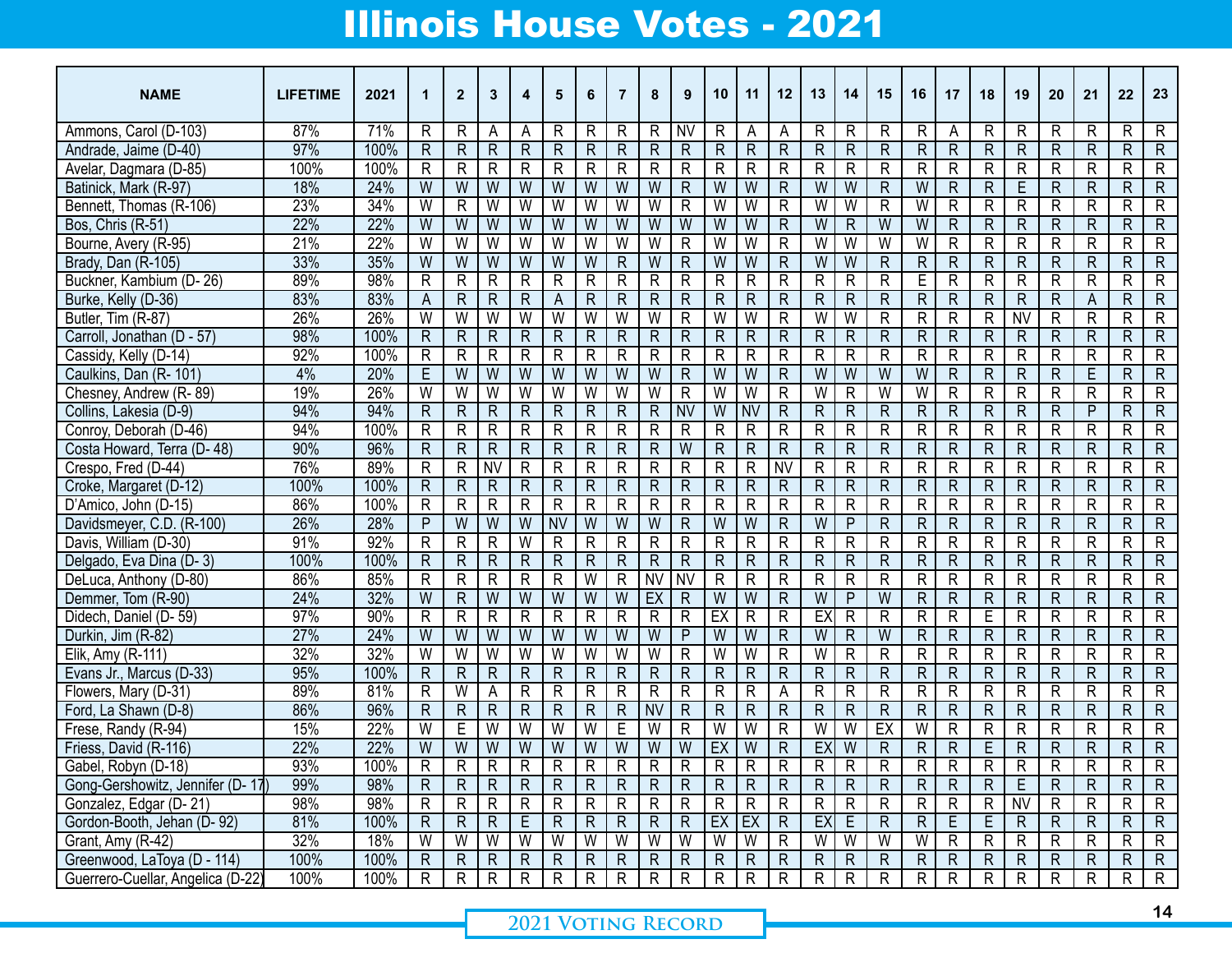| <b>NAME</b>                       | <b>LIFETIME</b> | 2021 | 1                       | $\overline{2}$  | 3                       | 4                       | 5              | 6              | $\overline{7}$ | 8              | 9                       | 10                      | 11                      | 12             | 13             | 14                      | 15                      | 16                      | 17                      | 18                      | 19             | 20             | 21             | 22             | 23                      |
|-----------------------------------|-----------------|------|-------------------------|-----------------|-------------------------|-------------------------|----------------|----------------|----------------|----------------|-------------------------|-------------------------|-------------------------|----------------|----------------|-------------------------|-------------------------|-------------------------|-------------------------|-------------------------|----------------|----------------|----------------|----------------|-------------------------|
| Ammons, Carol (D-103)             | 87%             | 71%  | R                       | R               | Α                       | Α                       | R              | R              | R              | R              | <b>NV</b>               | R                       | Α                       | A              | R              | R                       | R                       | R                       | A                       | R                       | R              | R              | R              | R              | $\mathsf{R}$            |
| Andrade, Jaime (D-40)             | 97%             | 100% | $\mathsf{R}$            | R               | $\mathsf R$             | $\overline{R}$          | $\mathsf{R}$   | $\mathsf{R}$   | $\mathsf{R}$   | $\mathsf{R}$   | $\mathsf{R}$            | $\mathsf R$             | $\mathsf R$             | $\mathsf{R}$   | R              | $\overline{\mathsf{R}}$ | $\mathsf R$             | $\mathsf{R}$            | $\mathsf{R}$            | $\overline{R}$          | R              | $\mathsf R$    | R              | $\overline{R}$ | $\mathsf R$             |
| Avelar, Dagmara (D-85)            | 100%            | 100% | R                       | R               | R                       | R                       | R              | R              | R              | R              | R                       | R                       | R                       | R              | R              | R                       | R                       | R                       | $\mathsf{R}$            | R                       | R              | R              | $\mathsf{R}$   | R              | $\overline{R}$          |
| Batinick, Mark (R-97)             | 18%             | 24%  | W                       | W               | W                       | W                       | W              | W              | W              | W              | $\mathsf{R}$            | W                       | W                       | $\mathsf{R}$   | W              | W                       | $\mathsf R$             | W                       | $\mathsf{R}$            | $\overline{R}$          | E              | $\mathsf{R}$   | R              | R              | $\mathsf R$             |
| Bennett, Thomas (R-106)           | 23%             | 34%  | W                       | R               | W                       | W                       | W              | W              | W              | W              | $\mathsf{R}$            | $\overline{W}$          | W                       | R              | W              | W                       | $\mathsf{R}$            | W                       | $\mathsf{R}$            | R                       | R              | R              | R              | R              | $\mathsf{R}$            |
| Bos, Chris (R-51)                 | 22%             | 22%  | W                       | W               | W                       | W                       | W              | W              | W              | W              | W                       | W                       | W                       | $\mathsf{R}$   | W              | $\mathsf{R}$            | W                       | W                       | $\mathsf{R}$            | $\overline{R}$          | R              | $\mathsf{R}$   | R              | $\overline{R}$ | $\overline{R}$          |
| Bourne, Avery (R-95)              | 21%             | 22%  | W                       | W               | $\overline{\mathsf{W}}$ | $\overline{\mathsf{W}}$ | W              | W              | W              | W              | $\mathsf{R}$            | W                       | W                       | R              | $\overline{W}$ | W                       | $\overline{W}$          | W                       | $\overline{R}$          | R                       | R              | R              | R              | R              | $\overline{R}$          |
| Brady, Dan (R-105)                | 33%             | 35%  | W                       | $\overline{W}$  | $\overline{\mathsf{W}}$ | $\overline{\mathsf{W}}$ | W              | W              | $\mathsf{R}$   | W              | $\overline{R}$          | W                       | W                       | $\mathsf{R}$   | W              | W                       | R                       | $\mathsf{R}$            | $\mathsf{R}$            | $\overline{R}$          | R              | $\mathsf R$    | R              | $\overline{R}$ | $\overline{R}$          |
| Buckner, Kambium (D-26)           | 89%             | 98%  | R                       | $\mathsf{R}$    | R                       | R                       | $\mathsf R$    | R              | $\mathsf{R}$   | R              | $\mathsf{R}$            | $\mathsf R$             | R                       | R              | R              | R                       | R                       | E                       | $\mathsf{R}$            | $\overline{\mathsf{R}}$ | R              | R              | R              | R              | $\overline{R}$          |
| Burke, Kelly (D-36)               | 83%             | 83%  | A                       | R               | R                       | $\mathsf R$             | A              | $\mathsf{R}$   | $\mathsf{R}$   | $\mathsf{R}$   | $\mathsf{R}$            | ${\sf R}$               | R                       | $\mathsf{R}$   | $\mathsf{R}$   | $\mathsf{R}$            | R                       | $\mathsf{R}$            | $\overline{\mathsf{R}}$ | $\overline{R}$          | $\mathsf{R}$   | $\mathsf R$    | Α              | R              | $\overline{R}$          |
| Butler, Tim (R-87)                | 26%             | 26%  | W                       | W               | W                       | $\overline{\mathsf{W}}$ | W              | W              | W              | W              | $\mathsf{R}$            | W                       | W                       | R              | W              | W                       | R                       | R                       | $\mathsf{R}$            | R                       | <b>NV</b>      | R              | R              | R              | $\overline{R}$          |
| Carroll, Jonathan (D - 57)        | 98%             | 100% | $\mathsf{R}$            | R               | $\mathsf R$             | $\overline{R}$          | $\mathsf R$    | $\mathsf{R}$   | $\mathsf{R}$   | $\mathsf{R}$   | $\mathsf{R}$            | ${\sf R}$               | R                       | $\mathsf{R}$   | $\mathsf{R}$   | $\mathsf{R}$            | R                       | $\mathsf{R}$            | $\mathsf{R}$            | R                       | R              | R              | R              | R              | $\overline{R}$          |
| Cassidy, Kelly (D-14)             | 92%             | 100% | R                       | R               | $\overline{\mathsf{R}}$ | R                       | R              | R              | $\mathsf{R}$   | R              | $\mathsf{R}$            | R                       | R                       | R              | R              | R                       | R                       | R                       | $\mathsf{R}$            | R                       | R              | R              | R              | R              | $\mathsf{R}$            |
| Caulkins, Dan (R-101)             | 4%              | 20%  | E                       | W               | $\overline{\mathsf{W}}$ | $\overline{\mathsf{W}}$ | W              | W              | W              | W              | $\overline{R}$          | W                       | W                       | $\mathsf{R}$   | W              | W                       | $\overline{W}$          | W                       | $\mathsf{R}$            | $\overline{R}$          | R              | $\mathsf R$    | E              | $\overline{R}$ | $\overline{R}$          |
| Chesney, Andrew (R-89)            | 19%             | 26%  | W                       | W               | $\overline{\mathsf{W}}$ | $\overline{\mathsf{W}}$ | W              | W              | W              | W              | $\overline{R}$          | W                       | W                       | R              | $\overline{W}$ | R                       | $\overline{W}$          | W                       | $\overline{R}$          | R                       | R              | R              | R              | R              | $\overline{R}$          |
| Collins, Lakesia (D-9)            | 94%             | 94%  | $\mathsf{R}$            | R               | $\overline{R}$          | $\overline{R}$          | $\mathsf R$    | $\overline{R}$ | $\mathsf{R}$   | $\mathsf{R}$   | <b>NV</b>               | W                       | <b>NV</b>               | $\mathsf{R}$   | $\mathsf{R}$   | $\mathsf{R}$            | $\overline{R}$          | $\overline{\mathsf{R}}$ | $\mathsf{R}$            | $\overline{R}$          | R              | $\mathsf R$    | $\overline{P}$ | $\overline{R}$ | $\overline{R}$          |
| Conroy, Deborah (D-46)            | 94%             | 100% | R                       | R               | R                       | R                       | R              | R              | $\mathsf{R}$   | R              | $\mathsf{R}$            | R                       | R                       | R              | R              | R                       | R                       | R                       | $\mathsf{R}$            | $\overline{\mathsf{R}}$ | R              | R              | R              | R              | $\overline{R}$          |
| Costa Howard, Terra (D-48)        | 90%             | 96%  | $\mathsf R$             | R               | R                       | $\mathsf R$             | $\mathsf R$    | $\mathsf{R}$   | $\mathsf{R}$   | $\mathsf{R}$   | W                       | $\overline{\mathsf{R}}$ | R                       | $\mathsf{R}$   | $\mathsf R$    | $\mathsf{R}$            | R                       | $\mathsf{R}$            | $\mathsf{R}$            | $\overline{R}$          | R              | $\mathsf{R}$   | R              | $\mathsf R$    | $\overline{R}$          |
| Crespo, Fred (D-44)               | 76%             | 89%  | R                       | R               | $\overline{\text{NV}}$  | R                       | $\overline{R}$ | R              | R              | R              | R                       | R                       | R                       | <b>NV</b>      | R              | R                       | R                       | R                       | $\mathsf{R}$            | R                       | R              | R              | R              | R              | $\overline{R}$          |
| Croke, Margaret (D-12)            | 100%            | 100% | $\mathsf{R}$            | R               | $\mathsf R$             | R                       | $\mathsf{R}$   | $\mathsf{R}$   | $\mathsf{R}$   | R              | $\mathsf{R}$            | $\mathsf{R}$            | $\mathsf{R}$            | $\mathsf{R}$   | $\mathsf{R}$   | $\mathsf{R}$            | R                       | $\mathsf{R}$            | $\mathsf{R}$            | R                       | $\mathsf R$    | R              | R              | $\overline{R}$ | $\overline{R}$          |
| D'Amico, John (D-15)              | 86%             | 100% | R                       | R               | R                       | R                       | $\mathsf{R}$   | R              | $\mathsf{R}$   | R              | R                       | R                       | R                       | R              | R              | R                       | R                       | R                       | $\overline{R}$          | R                       | R              | R              | R              | R              | $\overline{R}$          |
| Davidsmeyer, C.D. (R-100)         | 26%             | 28%  | P                       | W               | $\overline{\mathsf{W}}$ | $\overline{W}$          | <b>NV</b>      | W              | W              | W              | $\overline{R}$          | W                       | W                       | $\mathsf{R}$   | W              | P                       | $\overline{\mathsf{R}}$ | $\mathsf{R}$            | $\mathsf{R}$            | R                       | $\mathsf{R}$   | $\mathsf R$    | R              | $\overline{R}$ | $\overline{R}$          |
| Davis, William (D-30)             | 91%             | 92%  | R                       | R               | R                       | $\overline{\mathsf{W}}$ | $\overline{R}$ | $\mathsf R$    | R              | R              | $\overline{R}$          | $\mathsf R$             | R                       | R              | $\mathsf R$    | $\mathsf{R}$            | R                       | $\mathsf{R}$            | $\mathsf{R}$            | R                       | R              | R              | R              | R              | $\overline{R}$          |
| Delgado, Eva Dina (D-3)           | 100%            | 100% | $\mathsf{R}$            | R               | $\overline{R}$          | $\overline{R}$          | $\mathsf{R}$   | $\mathsf{R}$   | $\mathsf{R}$   | R              | $\mathsf{R}$            | $\mathsf R$             | $\mathsf R$             | $\mathsf{R}$   | $\mathsf R$    | $\mathsf{R}$            | R                       | $\mathsf{R}$            | $\mathsf{R}$            | R                       | $\mathsf{R}$   | $\mathsf R$    | R              | $\overline{R}$ | $\overline{R}$          |
| DeLuca, Anthony (D-80)            | 86%             | 85%  | R                       | R               | R                       | R                       | $\overline{R}$ | W              | R              | <b>NV</b>      | $\overline{\text{NV}}$  | R                       | R                       | R              | R              | R                       | R                       | R                       | $\mathsf{R}$            | R                       | R              | R              | R              | R              | $\overline{R}$          |
| Demmer, Tom (R-90)                | 24%             | 32%  | W                       | R               | W                       | $\overline{W}$          | W              | W              | W              | EX             | $\mathsf{R}$            | W                       | W                       | $\mathsf{R}$   | W              | P                       | $\overline{W}$          | $\mathsf{R}$            | $\mathsf{R}$            | R                       | R              | R              | R              | $\mathsf R$    | $\overline{R}$          |
| Didech, Daniel (D-59)             | 97%             | 90%  | R                       | R               | R                       | R                       | $\mathsf{R}$   | R              | $\mathsf{R}$   | R              | R                       | EX                      | $\overline{R}$          | R              | <b>EX</b>      | R                       | R                       | R                       | $\mathsf{R}$            | E                       | R              | R              | R              | R              | $\mathsf{R}$            |
| Durkin, Jim (R-82)                | 27%             | 24%  | W                       | $\overline{W}$  | W                       | $\overline{W}$          | W              | W              | W              | W              | P                       | W                       | W                       | $\mathsf{R}$   | W              | $\mathsf{R}$            | W                       | $\mathsf{R}$            | $\mathsf{R}$            | R                       | $\mathsf R$    | R              | R              | $\overline{R}$ | $\overline{R}$          |
| Elik, Amy (R-111)                 | 32%             | 32%  | W                       | $\overline{W}$  | $\overline{\mathsf{W}}$ | $\overline{\mathsf{W}}$ | W              | W              | W              | W              | R                       | W                       | W                       | R              | W              | R                       | R                       | $\overline{R}$          | $\overline{R}$          | R                       | R              | R              | R              | R              | $\overline{R}$          |
| Evans Jr., Marcus (D-33)          | 95%             | 100% | $\mathsf{R}$            | R               | $\overline{R}$          | $\overline{R}$          | $\mathsf{R}$   | $\mathsf{R}$   | $\mathsf{R}$   | R              | $\overline{R}$          | $\mathsf R$             | $\mathsf R$             | $\mathsf{R}$   | $\mathsf R$    | $\mathsf{R}$            | R                       | $\mathsf{R}$            | $\mathsf{R}$            | R                       | $\mathsf R$    | $\mathsf R$    | R              | $\overline{R}$ | $\overline{R}$          |
| Flowers, Mary (D-31)              | 89%             | 81%  | R                       | W               | Α                       | R                       | $\overline{R}$ | R              | R              | R              | R                       | R                       | R                       | A              | R              | R                       | R                       | $\mathsf{R}$            | $\mathsf{R}$            | R                       | R              | R              | R              | R              | $\overline{R}$          |
| Ford, La Shawn (D-8)              | 86%             | 96%  | $\mathsf{R}$            | R               | R                       | $\mathsf R$             | $\mathsf R$    | $\mathsf{R}$   | $\mathsf{R}$   | <b>NV</b>      | $\mathsf{R}$            | $\mathsf R$             | $\mathsf R$             | $\mathsf{R}$   | $\mathsf{R}$   | $\mathsf{R}$            | $\mathsf R$             | $\mathsf{R}$            | $\mathsf{R}$            | R                       | $\mathsf R$    | $\mathsf R$    | R              | R              | $\overline{\mathsf{R}}$ |
| Frese, Randy (R-94)               | 15%             | 22%  | W                       | Е               | W                       | W                       | W              | W              | Е              | W              | R                       | W                       | W                       | R              | W              | W                       | EX                      | W                       | $\mathsf{R}$            | R                       | R              | R              | R              | R              | $\mathsf{R}$            |
| Friess, David (R-116)             | 22%             | 22%  | W                       | W               | W                       | $\overline{\mathsf{W}}$ | W              | W              | W              | W              | W                       | EX                      | $\overline{\mathsf{W}}$ | $\mathsf{R}$   | EX             | W                       | $\mathsf R$             | $\mathsf{R}$            | $\mathsf{R}$            | E                       | $\mathsf R$    | R              | R              | R              | $\overline{\mathsf{R}}$ |
| Gabel, Robyn (D-18)               | 93%             | 100% | $\overline{R}$          | R               | $\overline{R}$          | $\overline{R}$          | $\overline{R}$ | $\overline{R}$ | $\overline{R}$ | $\overline{R}$ | $\overline{R}$          | $\overline{R}$          | $\overline{R}$          | $\overline{R}$ | $\overline{R}$ | $\overline{R}$          | $\overline{R}$          | $\overline{R}$          | $\overline{R}$          | $\overline{R}$          | $\overline{R}$ | $\overline{R}$ | $\overline{R}$ | $\overline{R}$ | $\overline{R}$          |
| Gong-Gershowitz, Jennifer (D-17)  | 99%             | 98%  | $\mathsf{R}$            | $\mathsf{R}$    | $\mathsf{R}$            | $\mathsf{R}$            | $\mathsf{R}$   | $\mathsf{R}$   | $\mathsf{R}$   | $\mathsf{R}$   | $\mathsf{R}$            | $\mathsf{R}$            | $\mathsf{R}$            | $\mathsf{R}$   | $\mathsf{R}$   | $\mathsf{R}$            | $\mathsf{R}$            | $\mathsf{R}$            | $\mathsf{R}$            | $\overline{R}$          | E              | R              | $\mathsf{R}$   | R              | $\mathsf{R}$            |
| Gonzalez, Edgar (D-21)            | 98%             | 98%  | $\mathsf{R}$            | $\mathsf{R}$    | $\overline{R}$          | $\overline{R}$          | $\overline{R}$ | $\mathsf{R}$   | $\mathsf{R}$   | R              | $\mathsf{R}$            | $\overline{R}$          | $\mathsf{R}$            | $\mathsf{R}$   | $\overline{R}$ | $\overline{R}$          | $\overline{R}$          | $\overline{R}$          | $\mathsf{R}$            | $R_{\parallel}$         | <b>NV</b>      | $\mathsf{R}$   | R              | R              | $\mathsf{R}$            |
| Gordon-Booth, Jehan (D-92)        | 81%             | 100% | $\mathsf{R}$            | R               | $\overline{R}$          | E                       | $\mathsf{R}$   | $\mathsf{R}$   | $\mathsf{R}$   | $\mathsf{R}$   | $\mathsf{R}$            | EX                      | EX                      | $\mathsf{R}$   | EX             | E                       | $\overline{R}$          | $\mathsf{R}$            | E                       | E                       | $\mathsf{R}$   | R              | R              | R              | $\overline{R}$          |
| Grant, Amy (R-42)                 | 32%             | 18%  | $\overline{\mathsf{W}}$ | $\overline{W}$  | $\overline{\mathsf{W}}$ | $\overline{W}$          | W              | W              | W              | W              | $\overline{\mathsf{W}}$ | W                       | W                       | R              | W              | $\overline{W}$          | $\overline{W}$          | W                       | $\mathsf{R}$            | $R_{\parallel}$         | $\mathsf{R}$   | R              | R              | R              | $\overline{R}$          |
| Greenwood, LaToya (D - 114)       | 100%            | 100% | $\mathsf{R}$            | $R_{\parallel}$ | $\overline{R}$          | $\mathsf{R}$            | $\mathsf{R}$   | $\mathsf{R}$   | $\mathsf{R}$   | $\mathsf{R}$   | $\mathsf{R}$            | $\mathsf{R}$            | $\mathsf{R}$            | $\mathsf{R}$   | $\mathsf{R}$   | $\mathsf{R}$            | $\mathsf{R}$            | $\mathsf{R}$            | $\mathsf{R}$            | $R_{\parallel}$         | $\mathsf{R}$   | R              | R.             | $\mathsf{R}$   | $\overline{R}$          |
| Guerrero-Cuellar, Angelica (D-22) | 100%            | 100% | $\mathsf{R}$            | $R_{\parallel}$ | $\overline{R}$          | $\overline{R}$          | $\overline{R}$ | $\mathsf{R}$   | $\mathsf{R}$   | $\overline{R}$ | $\overline{R}$          | $\mathsf{R}$            | $\mathsf{R}$            | $\mathsf{R}$   | $\mathsf{R}$   | $\overline{R}$          | $\overline{R}$          | $\overline{R}$          | $\mathsf{R}$            | $\overline{R}$          | $\mathsf{R}$   | $\mathsf{R}$   | R              | $\overline{R}$ | $\overline{R}$          |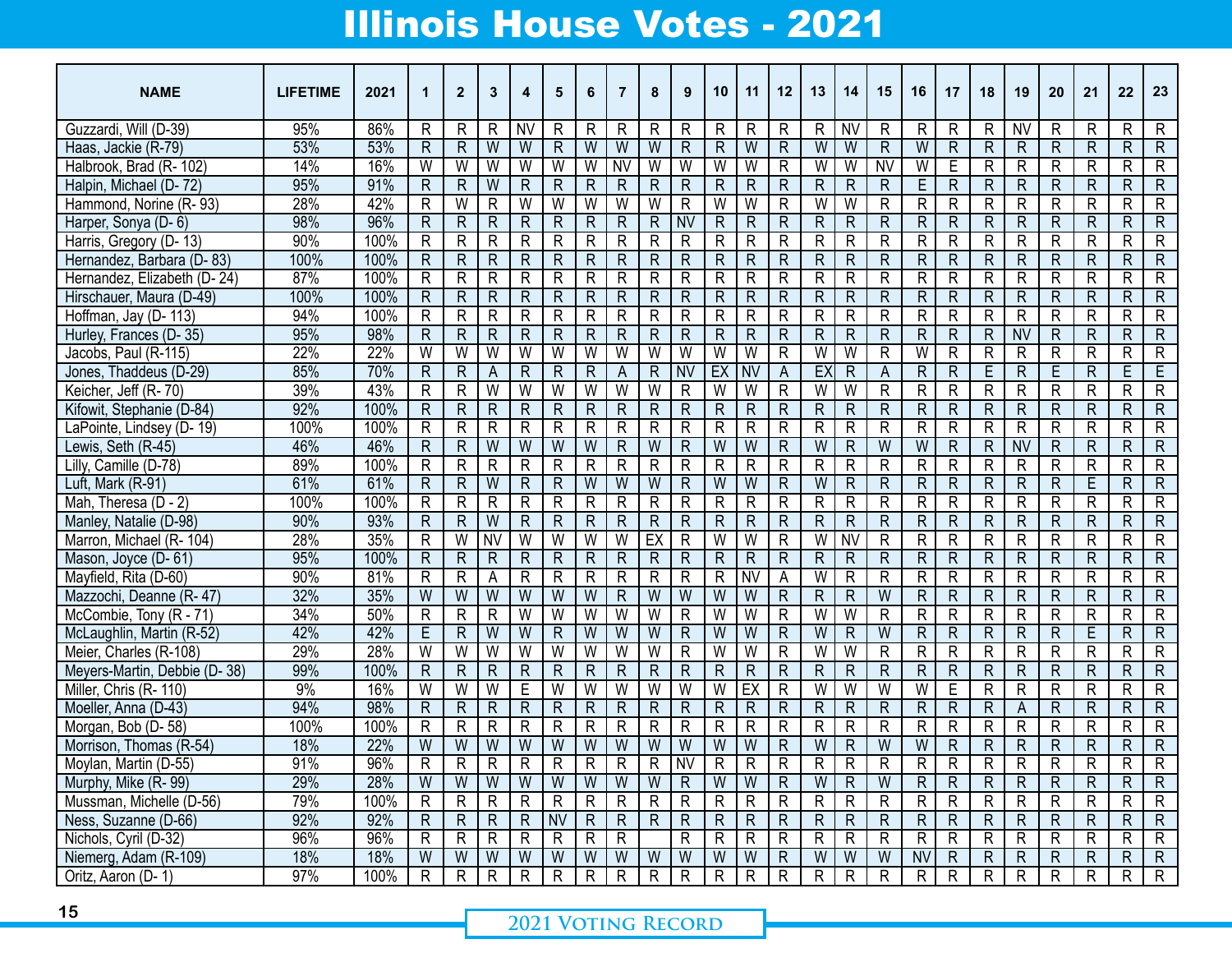| <b>NAME</b>                  | <b>LIFETIME</b> | 2021 | 1              | $\overline{2}$  | 3              | 4                       | 5                       | 6                       | 7                       | 8              | 9                       | 10             | 11                     | 12                      | 13             | 14                      | 15                     | 16             | 17                | 18                      | 19             | 20           | 21                | 22                      | 23             |
|------------------------------|-----------------|------|----------------|-----------------|----------------|-------------------------|-------------------------|-------------------------|-------------------------|----------------|-------------------------|----------------|------------------------|-------------------------|----------------|-------------------------|------------------------|----------------|-------------------|-------------------------|----------------|--------------|-------------------|-------------------------|----------------|
| Guzzardi, Will (D-39)        | 95%             | 86%  | R              | R               | R.             | <b>NV</b>               | R                       | $\mathsf{R}$            | $\mathsf{R}$            | R              | R                       | R              | R                      | R                       | R              | <b>NV</b>               | R                      | R              | $\mathsf{R}$      | R                       | <b>NV</b>      | R            | R                 | R                       | $\mathsf{R}$   |
| Haas, Jackie (R-79)          | 53%             | 53%  | $\mathsf{R}$   | R               | W              | W                       | $\mathsf{R}$            | W                       | W                       | W              | $\mathsf{R}$            | $\mathsf{R}$   | W                      | R                       | W              | W                       | $\mathsf{R}$           | W              | $\mathsf{R}$      | $\mathsf{R}$            | R              | $\mathsf{R}$ | R                 | $\overline{R}$          | $\mathsf R$    |
| Halbrook, Brad (R-102)       | 14%             | 16%  | W              | W               | W              | $\overline{W}$          | W                       | W                       | $\overline{\text{N}}$   | W              | W                       | W              | W                      | R                       | W              | W                       | $\overline{\text{NV}}$ | W              | E                 | R                       | R              | R            | R                 | R                       | R              |
| Halpin, Michael (D-72)       | 95%             | 91%  | $\overline{R}$ | R               | W              | $\mathsf R$             | R                       | $\mathsf{R}$            | $\mathsf{R}$            | $\mathsf{R}$   | $\overline{R}$          | $\mathsf R$    | R                      | R                       | $\overline{R}$ | $\overline{\mathsf{R}}$ | $\mathsf{R}$           | E              | $\overline{R}$    | R                       | R              | R            | R                 | $\mathsf{R}$            | $\mathsf R$    |
| Hammond, Norine (R-93)       | 28%             | 42%  | $\overline{R}$ | W               | R              | $\overline{\mathsf{W}}$ | W                       | W                       | W                       | W              | $\overline{\mathsf{R}}$ | W              | W                      | R                       | W              | W                       | $\overline{R}$         | $\mathsf{R}$   | $\overline{R}$    | R                       | R              | R            | R                 | $\overline{\mathsf{R}}$ | R              |
| Harper, Sonya (D-6)          | 98%             | 96%  | $\overline{R}$ | R               | $\mathsf R$    | $\mathsf R$             | $\overline{\mathsf{R}}$ | $\mathsf{R}$            | $\mathsf{R}$            | $\mathsf{R}$   | <b>NV</b>               | $\mathsf R$    | R                      | $\mathsf{R}$            | $\overline{R}$ | $\overline{\mathsf{R}}$ | $\overline{R}$         | $\overline{R}$ | $\overline{R}$    | R                       | R              | R            | R                 | $\mathsf{R}$            | $\mathsf R$    |
| Harris, Gregory (D-13)       | 90%             | 100% | $\mathsf{R}$   | R               | R              | $\mathsf R$             | R                       | R                       | $\mathsf{R}$            | R              | R                       | R              | R                      | R                       | $\mathsf{R}$   | R                       | $\overline{R}$         | $\mathsf{R}$   | $\overline{R}$    | R                       | R              | R            | R                 | $\overline{\mathsf{R}}$ | R              |
| Hernandez, Barbara (D-83)    | 100%            | 100% | $\overline{R}$ | R               | R              | $\mathsf R$             | $\overline{\mathsf{R}}$ | $\mathsf{R}$            | $\mathsf{R}$            | $\mathsf{R}$   | $\overline{\mathsf{R}}$ | $\mathsf R$    | R                      | R                       | $\mathsf{R}$   | R                       | $\overline{R}$         | $\overline{R}$ | $\overline{R}$    | R                       | $\mathsf{R}$   | R            | R                 | $\mathsf R$             | $\mathsf R$    |
| Hernandez, Elizabeth (D-24)  | 87%             | 100% | R              | R               | R              | $\mathsf R$             | R                       | R                       | $\mathsf{R}$            | R              | R                       | R              | R                      | R                       | R              | R                       | $\overline{R}$         | $\mathsf{R}$   | R                 | R                       | R              | R            | R                 | $\overline{\mathsf{R}}$ | R              |
| Hirschauer, Maura (D-49)     | 100%            | 100% | $\mathsf{R}$   | R               | R              | $\mathsf R$             | $\overline{\mathsf{R}}$ | $\mathsf{R}$            | $\mathsf{R}$            | $\mathsf{R}$   | $\overline{\mathsf{R}}$ | $\mathsf R$    | R                      | R                       | $\mathsf{R}$   | R                       | $\overline{R}$         | $\overline{R}$ | $\overline{R}$    | R                       | R              | R            | R                 | $\mathsf R$             | $\mathsf R$    |
| Hoffman, Jay (D-113)         | 94%             | 100% | R              | R               | R              | $\mathsf R$             | R                       | $\overline{R}$          | $\overline{R}$          | R              | $\overline{\mathsf{R}}$ | R              | R                      | R                       | $\mathsf{R}$   | R                       | $\overline{R}$         | $\mathsf{R}$   | $\overline{R}$    | R                       | R              | R            | R                 | $\overline{R}$          | R              |
| Hurley, Frances (D-35)       | 95%             | 98%  | $\overline{R}$ | R               | $\mathsf R$    | $\mathsf R$             | $\overline{\mathsf{R}}$ | $\mathsf{R}$            | $\overline{R}$          | $\mathsf{R}$   | $\overline{R}$          | $\mathsf R$    | R                      | $\mathsf{R}$            | $\overline{R}$ | R                       | $\overline{R}$         | $\overline{R}$ | $\overline{R}$    | $\overline{\mathsf{R}}$ | <b>NV</b>      | R            | R                 | $\overline{R}$          | $\mathsf R$    |
| Jacobs, Paul (R-115)         | 22%             | 22%  | W              | $\overline{W}$  | W              | $\overline{W}$          | W                       | W                       | W                       | W              | W                       | W              | W                      | R                       | W              | W                       | $\overline{R}$         | W              | $\overline{R}$    | R                       | R              | R            | R                 | $\overline{R}$          | R              |
| Jones, Thaddeus (D-29)       | 85%             | 70%  | $\overline{R}$ | $\overline{R}$  | A              | $\mathsf R$             | R                       | $\mathsf{R}$            | A                       | $\mathsf{R}$   | <b>NV</b>               | EX             | <b>NV</b>              | A                       | EX             | $\overline{R}$          | A                      | $\overline{R}$ | $\overline{R}$    | E                       | $\mathsf{R}$   | E            | R                 | E                       | E              |
| Keicher, Jeff (R-70)         | 39%             | 43%  | $\mathsf{R}$   | R               | W              | $\overline{W}$          | W                       | W                       | W                       | W              | R                       | W              | W                      | R                       | W              | W                       | $\overline{R}$         | $\mathsf{R}$   | $\overline{R}$    | R                       | R              | R            | R                 | R                       | R              |
| Kifowit, Stephanie (D-84)    | 92%             | 100% | $\overline{R}$ | R               | $\mathsf R$    | $\mathsf R$             | R                       | $\mathsf{R}$            | $\mathsf{R}$            | $\mathsf{R}$   | $\overline{R}$          | $\mathsf R$    | R                      | $\mathsf{R}$            | $\mathsf{R}$   | $\mathsf{R}$            | $\mathsf R$            | $\overline{R}$ | $\overline{R}$    | R                       | $\mathsf{R}$   | R            | R                 | $\mathsf R$             | $\mathsf{R}$   |
| LaPointe, Lindsey (D-19)     | 100%            | 100% | R              | R               | R              | $\mathsf R$             | R                       | R                       | R                       | R              | R                       | R              | R                      | R                       | $\mathsf{R}$   | R                       | R                      | $\mathsf{R}$   | $\overline{R}$    | R                       | R              | R            | R                 | R                       | R              |
| Lewis, Seth (R-45)           | 46%             | 46%  | $\mathsf{R}$   | R               | W              | W                       | W                       | W                       | $\mathsf{R}$            | W              | $\overline{R}$          | W              | W                      | R                       | W              | R                       | $\overline{W}$         | W              | $\overline{R}$    | $\overline{R}$          | <b>NV</b>      | R            | $\mathsf{R}$      | $\mathsf R$             | $\mathsf{R}$   |
| Lilly, Camille (D-78)        | 89%             | 100% | $\mathsf{R}$   | R               | R              | $\mathsf R$             | R                       | $\overline{\mathsf{R}}$ | $\mathsf{R}$            | R              | R                       | R              | R                      | R                       | $\mathsf{R}$   | R                       | R                      | $\overline{R}$ | $\mathsf{R}$      | R                       | R              | R            | R                 | R                       | R              |
| Luft, Mark (R-91)            | 61%             | 61%  | $\mathsf{R}$   | R               | W              | $\mathsf R$             | $\overline{\mathsf{R}}$ | W                       | W                       | W              | $\overline{R}$          | W              | W                      | R                       | W              | $\overline{\mathsf{R}}$ | $\mathsf{R}$           | $\overline{R}$ | $\overline{R}$    | $\overline{\mathsf{R}}$ | $\mathsf R$    | R            | E                 | $\mathsf{R}$            | $\mathsf{R}$   |
| Mah, Theresa (D - 2)         | 100%            | 100% | $\mathsf{R}$   | R               | R              | $\mathsf R$             | R                       | $\mathsf{R}$            | $\mathsf{R}$            | R              | R                       | R              | R                      | R                       | $\mathsf{R}$   | R                       | $\overline{R}$         | $\mathsf{R}$   | $\mathsf{R}$      | R                       | $\overline{R}$ | R            | R                 | R                       | R              |
| Manley, Natalie (D-98)       | 90%             | 93%  | $\overline{R}$ | $\overline{R}$  | W              | $\mathsf R$             | $\overline{\mathsf{R}}$ | $\mathsf{R}$            | $\overline{R}$          | R              | $\mathsf{R}$            | R              | $\mathsf R$            | R                       | $\overline{R}$ | R                       | $\overline{R}$         | $\overline{R}$ | $\overline{R}$    | $\overline{\mathsf{R}}$ | $\mathsf R$    | R            | R                 | $\mathsf R$             | $\mathsf R$    |
| Marron, Michael (R- 104)     | 28%             | 35%  | $\mathsf{R}$   | W               | <b>NV</b>      | W                       | W                       | W                       | W                       | EX             | R                       | W              | W                      | R                       | W              | $\overline{\text{NV}}$  | R                      | $\mathsf{R}$   | $\mathsf{R}$      | R                       | $\mathsf{R}$   | R            | R                 | R                       | R              |
| Mason, Joyce (D-61)          | 95%             | 100% | $\mathsf{R}$   | R               | R              | $\mathsf R$             | $\mathsf{R}$            | $\overline{R}$          | $\mathsf{R}$            | R              | $\mathsf{R}$            | R              | $\mathsf{R}$           | R                       | R              | $\overline{\mathsf{R}}$ | $\overline{R}$         | $\mathsf{R}$   | $\overline{R}$    | $\overline{R}$          | R              | R            | R                 | $\mathsf R$             | $\mathsf R$    |
| Mayfield, Rita (D-60)        | 90%             | 81%  | R              | R               | А              | $\mathsf{R}$            | R                       | R                       | $\mathsf{R}$            | R              | R                       | R              | $\overline{\text{NV}}$ | Α                       | W              | R                       | R                      | $\mathsf{R}$   | $\mathsf{R}$      | R                       | R              | R            | R                 | R                       | R              |
| Mazzochi, Deanne (R-47)      | 32%             | 35%  | W              | $\overline{W}$  | W              | W                       | W                       | W                       | $\overline{R}$          | W              | W                       | W              | W                      | R                       | $\overline{R}$ | R                       | W                      | $\overline{R}$ | $\overline{R}$    | $\overline{\mathsf{R}}$ | $\mathsf R$    | R            | $\mathsf{R}$      | $\mathsf R$             | $\mathsf R$    |
| McCombie, Tony (R - 71)      | 34%             | 50%  | $\mathsf{R}$   | R               | R              | W                       | W                       | W                       | W                       | W              | $\mathsf{R}$            | W              | W                      | R                       | W              | W                       | $\overline{R}$         | $\mathsf{R}$   | $\mathsf{R}$      | R                       | R              | R            | R                 | $\overline{R}$          | R              |
| McLaughlin, Martin (R-52)    | 42%             | 42%  | E              | R.              | W              | W                       | $\mathsf{R}$            | W                       | W                       | W              | $\overline{R}$          | W              | W                      | R                       | W              | $\overline{R}$          | W                      | $\overline{R}$ | $\overline{R}$    | $\overline{R}$          | $\mathsf R$    | R            | E                 | $\mathsf{R}$            | $\mathsf R$    |
| Meier, Charles (R-108)       | 29%             | 28%  | W              | $\overline{W}$  | W              | W                       | W                       | W                       | W                       | W              | R                       | W              | W                      | R                       | W              | W                       | R                      | $\mathsf{R}$   | $\mathsf{R}$      | R                       | $\mathsf R$    | R            | R                 | R                       | $\mathsf{R}$   |
| Meyers-Martin, Debbie (D-38) | 99%             | 100% | $\overline{R}$ | R               | R              | ${\sf R}$               | $\mathsf R$             | $\mathsf{R}$            | $\overline{R}$          | $\mathsf{R}$   | $\overline{R}$          | R              | $\mathsf R$            | R                       | $\mathsf{R}$   | R                       | $\mathsf R$            | $\mathsf{R}$   | $\overline{R}$    | $\overline{\mathsf{R}}$ | $\mathsf R$    | R            | R                 | R                       | R              |
| Miller, Chris (R- 110)       | 9%              | 16%  | W              | W               | W              | E                       | W                       | W                       | W                       | W              | W                       | W              | EX                     | R                       | W              | W                       | $\overline{W}$         | W              | E                 | R                       | R              | R            | R                 | R                       | $\mathsf{R}$   |
| Moeller, Anna (D-43)         | 94%             | 98%  | $\mathsf{R}$   | R               | R              | ${\sf R}$               | R                       | $\mathsf{R}$            | $\mathsf{R}$            | $\mathsf{R}$   | $\mathsf{R}$            | R              | R                      | R                       | $\mathsf{R}$   | $\mathsf{R}$            | $\mathsf R$            | $\mathsf{R}$   | $\overline{R}$    | $\overline{\mathsf{R}}$ | Α              | R            | R                 | R                       | R              |
| Morgan, Bob (D-58)           | 100%            | 100% | R              | R               | R              | R                       | R                       | R                       | R                       | R              | R                       | R              | R                      | R                       | R              | R                       | R                      | $\mathsf{R}$   | $\mathsf{R}$      | R                       | R              | R            | R                 | R                       | $\mathsf{R}$   |
| Morrison, Thomas (R-54)      | 18%             | 22%  | W              | W               | W              | W                       | W                       | W                       | W                       | W              | W                       | W              | W                      | $\overline{\mathsf{R}}$ | W              | $\mathsf{R}$            | W                      | W              | $\overline{R}$    | R                       | $\mathsf{R}$   | $\mathsf{R}$ | R                 | $\mathsf{R}$            | $\mathsf R$    |
| Moylan, Martin (D-55)        | 91%             | 96%  | $\overline{R}$ | D<br>n.         | $\overline{R}$ | D<br>$\mathbf{r}$       | D<br>$\mathbf{L}$       | D<br>IN.                | $\overline{\mathsf{R}}$ | $\overline{R}$ | $\overline{N}$          | $\overline{R}$ | $\overline{D}$<br>n,   | D<br>n,                 | $\overline{R}$ | $\overline{R}$          | Б<br>$\mathbf{r}$      | $\overline{R}$ | D<br>$\mathbf{r}$ | $\overline{R}$          | $\overline{R}$ | Б<br>n.      | D<br>$\mathbf{r}$ | Б<br>n.                 | $\overline{D}$ |
| Murphy, Mike (R-99)          | 29%             | 28%  | $\overline{W}$ | $\overline{W}$  | $\overline{W}$ | $\overline{W}$          | $\overline{W}$          | $\overline{W}$          | $\overline{W}$          | W              | $\mathsf{R}$            | $\overline{W}$ | $\overline{W}$         | $\mathsf R$             | W              | $\mathsf R$             | $\overline{W}$         | ${\sf R}$      | $\mathsf{R}$      | $\overline{R}$          | $\mathsf{R}$   | R            | $\mathsf R$       | R                       | $\mathsf{R}$   |
| Mussman, Michelle (D-56)     | 79%             | 100% | $\overline{R}$ | $\overline{R}$  | $\overline{R}$ | $\overline{R}$          | $\mathsf R$             | $\mathsf{R}$            | $\overline{R}$          | R              | $\overline{R}$          | $\overline{R}$ | $\overline{R}$         | R                       | $\overline{R}$ | ${\sf R}$               | $\overline{R}$         | $\overline{R}$ | $\mathsf{R}$      | $\overline{R}$          | $\mathsf{R}$   | R            | R                 | R                       | $\overline{R}$ |
| Ness, Suzanne (D-66)         | 92%             | 92%  | ${\sf R}$      | $\overline{R}$  | $\overline{R}$ | $\overline{R}$          | <b>NV</b>               | $\mathsf{R}$            | $\mathsf{R}$            | $\mathsf{R}$   | ${\sf R}$               | $\overline{R}$ | $\mathsf{R}$           | R                       | $\mathsf{R}$   | $\mathsf{R}$            | $\overline{R}$         | $\mathsf{R}$   | $\mathsf{R}$      | $\overline{R}$          | $\mathsf{R}$   | R            | $\mathsf R$       | R                       | $\overline{R}$ |
| Nichols, Cyril (D-32)        | 96%             | 96%  | $\mathsf{R}$   | $R_{\parallel}$ | $\overline{R}$ | $\mathsf{R}$            | $\mathsf{R}$            | R                       | $\overline{R}$          |                | ${\sf R}$               | $\overline{R}$ | $\mathsf{R}$           | R                       | $\overline{R}$ | R                       | $\overline{R}$         | R              | $\mathsf{R}$      | $\overline{R}$          | $\mathsf{R}$   | R            | R                 | R.                      | $\overline{R}$ |
| Niemerg, Adam (R-109)        | 18%             | 18%  | $\overline{W}$ | $\overline{W}$  | $\overline{W}$ | $\overline{W}$          | $\overline{W}$          | $\overline{W}$          | $\overline{W}$          | W              | $\overline{W}$          | $\overline{W}$ | $\overline{W}$         | R.                      | $\overline{W}$ | $\overline{W}$          | $\overline{W}$         | <b>NV</b>      | $\mathsf{R}$      | $\overline{R}$          | $\mathsf{R}$   | R            | $\mathsf R$       | $\mathsf{R}$            | $\overline{R}$ |
| Oritz, Aaron (D-1)           | 97%             | 100% | $\overline{R}$ | R               | $\overline{R}$ | $\overline{R}$          | $\overline{R}$          | $\mathsf{R}$            | $\overline{R}$          | $\overline{R}$ | $\overline{R}$          | $\overline{R}$ | $\overline{R}$         | R                       | $\overline{R}$ | $\overline{R}$          | $\overline{R}$         | $\overline{R}$ | $\mathsf{R}$      | $\overline{R}$          | $\mathsf{R}$   | $\mathsf{R}$ | $\overline{R}$    | $\overline{R}$          | $\overline{R}$ |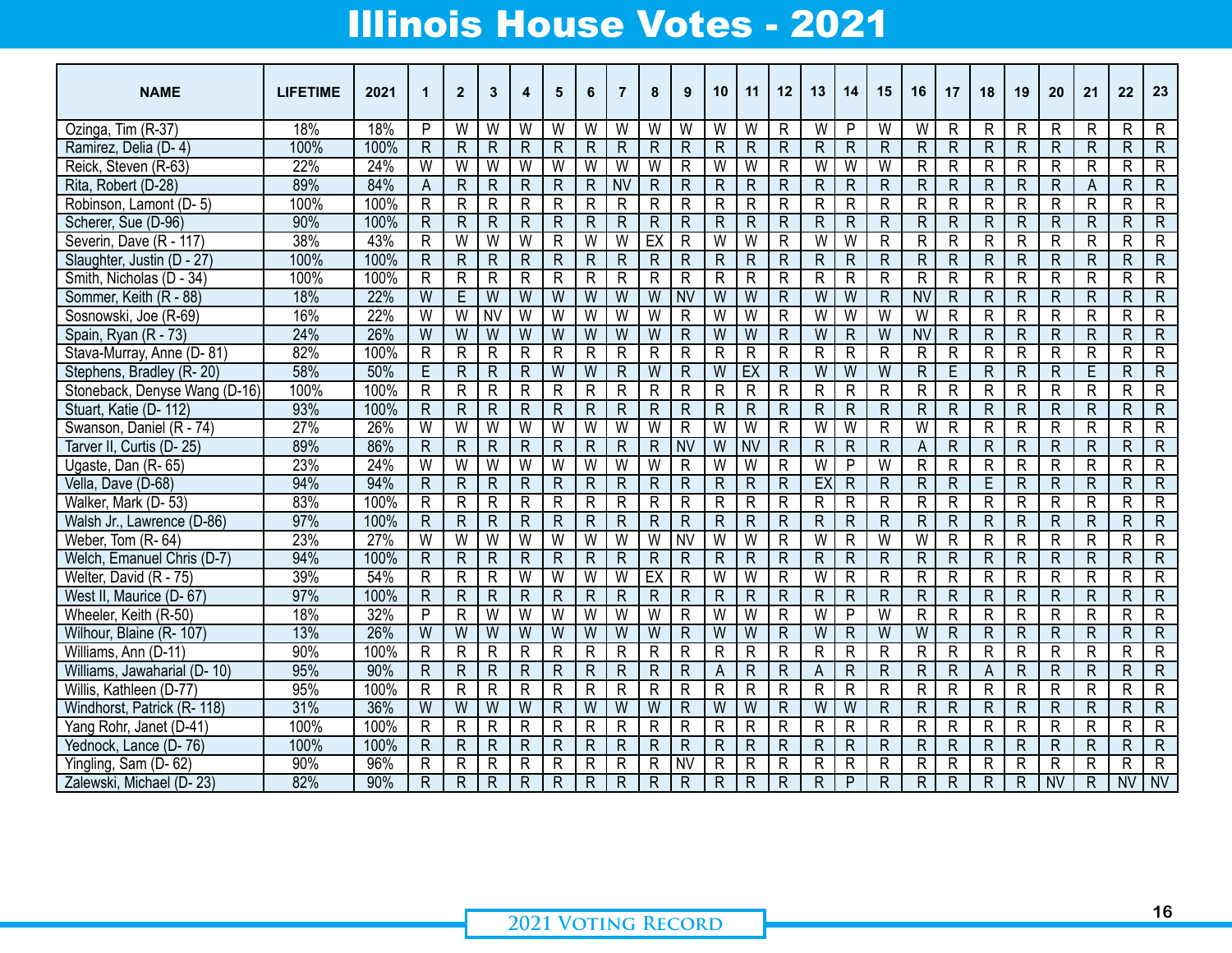| <b>NAME</b>                   | <b>LIFETIME</b> | 2021 | 1                       | $\mathbf{2}$   | 3                       | 4                       | 5                       | 6                       | $\overline{7}$ | 8                       | 9                       | 10                      | 11                      | 12                      | 13             | 14                      | 15                      | 16                      | 17                      | 18                      | 19             | 20                      | 21                      | 22                      | 23                      |
|-------------------------------|-----------------|------|-------------------------|----------------|-------------------------|-------------------------|-------------------------|-------------------------|----------------|-------------------------|-------------------------|-------------------------|-------------------------|-------------------------|----------------|-------------------------|-------------------------|-------------------------|-------------------------|-------------------------|----------------|-------------------------|-------------------------|-------------------------|-------------------------|
|                               |                 |      |                         |                |                         |                         |                         |                         |                |                         |                         |                         |                         |                         |                |                         |                         |                         |                         |                         |                |                         |                         |                         |                         |
| Ozinga, Tim (R-37)            | 18%             | 18%  | P                       | W              | W                       | W                       | W                       | W                       | W              | W                       | W                       | W                       | W                       | $\mathsf{R}$            | W              | P                       | $\overline{W}$          | W                       | $\overline{R}$          | R                       | R              | R                       | $\overline{R}$          | R                       | $\overline{R}$          |
| Ramirez, Delia (D-4)          | 100%            | 100% | $\overline{R}$          | R              | $\overline{R}$          | $\overline{R}$          | $\overline{\mathsf{R}}$ | $\overline{R}$          | $\overline{R}$ | $\overline{R}$          | $\overline{R}$          | $\mathsf{R}$            | $\overline{R}$          | $\overline{\mathsf{R}}$ | R              | $\overline{\mathsf{R}}$ | $\overline{R}$          | $\overline{R}$          | $\overline{R}$          | R                       | $\mathsf{R}$   | $\mathsf{R}$            | $\overline{\mathsf{R}}$ | $\overline{\mathsf{R}}$ | $\overline{R}$          |
| Reick, Steven (R-63)          | 22%             | 24%  | W                       | W              | W                       | W                       | W                       | W                       | W              | W                       | $\mathsf{R}$            | W                       | W                       | R                       | W              | W                       | W                       | $\mathsf{R}$            | $\overline{R}$          | $\overline{\mathsf{R}}$ | R              | R                       | R                       | R                       | R                       |
| Rita, Robert (D-28)           | 89%             | 84%  | A                       | R.             | R                       | $\mathsf R$             | R                       | $\overline{R}$          | <b>NV</b>      | $\mathsf{R}$            | $\mathsf{R}$            | R                       | R                       | R                       | R              | R                       | $\mathsf R$             | $\overline{R}$          | $\mathsf{R}$            | R                       | R              | $\mathsf{R}$            | A                       | R                       | R                       |
| Robinson, Lamont (D-5)        | 100%            | 100% | $\mathsf{R}$            | R.             | R                       | R                       | R                       | $\overline{R}$          | $\mathsf{R}$   | R                       | $\overline{R}$          | R                       | R                       | R                       | R              | R                       | R                       | $\mathsf{R}$            | $\mathsf{R}$            | $\overline{\mathsf{R}}$ | R              | R                       | R                       | $\overline{R}$          | $\overline{R}$          |
| Scherer, Sue (D-96)           | 90%             | 100% | $\mathsf{R}$            | R              | $\mathsf{R}$            | $\mathsf{R}$            | R                       | $\overline{R}$          | $\mathsf{R}$   | R                       | R                       | R                       | R                       | $\mathsf{R}$            | R              | R                       | $\mathsf{R}$            | $\overline{R}$          | $\overline{R}$          | $\overline{\mathsf{R}}$ | R              | R                       | $\overline{\mathsf{R}}$ | $\mathsf{R}$            | $\overline{R}$          |
| Severin, Dave (R - 117)       | 38%             | 43%  | R                       | W              | $\overline{\mathsf{W}}$ | $\overline{\mathsf{W}}$ | $\overline{R}$          | $\overline{\mathsf{W}}$ | $\overline{W}$ | EX                      | R                       | $\overline{\mathsf{W}}$ | $\overline{\mathsf{W}}$ | R                       | W              | W                       | $\overline{R}$          | $\overline{\mathsf{R}}$ | $\overline{\mathsf{R}}$ | $\overline{R}$          | R              | $\overline{R}$          | $\overline{\mathsf{R}}$ | $\overline{\mathsf{R}}$ | $\overline{R}$          |
| Slaughter, Justin (D - 27)    | 100%            | 100% | $\mathsf{R}$            | $\mathsf{R}$   | $\overline{R}$          | $\overline{R}$          | $\overline{R}$          | $\overline{R}$          | $\overline{R}$ | $\overline{R}$          | $\overline{R}$          | R                       | R                       | $\overline{R}$          | $\mathsf{R}$   | $\overline{\mathsf{R}}$ | $\overline{R}$          | $\overline{R}$          | $\overline{R}$          | $\overline{\mathsf{R}}$ | R              | $\mathsf{R}$            | $\overline{\mathsf{R}}$ | $\overline{R}$          | $\overline{R}$          |
| Smith, Nicholas (D - 34)      | 100%            | 100% | $\overline{\mathsf{R}}$ | R              | R                       | R                       | $\mathsf{R}$            | $\overline{R}$          | $\overline{R}$ | $\overline{\mathsf{R}}$ | $\overline{R}$          | R                       | R                       | $\overline{\mathsf{R}}$ | R              | R                       | $\overline{\mathsf{R}}$ | $\mathsf{R}$            | $\mathsf{R}$            | R                       | R              | R                       | $\overline{\mathsf{R}}$ | $\overline{\mathsf{R}}$ | $\overline{R}$          |
| Sommer, Keith (R - 88)        | 18%             | 22%  | $\overline{W}$          | Ē              | $\overline{\mathsf{W}}$ | $\overline{\mathsf{W}}$ | $\overline{W}$          | W                       | $\overline{W}$ | W                       | $\overline{N}$          | $\overline{\mathsf{W}}$ | $\overline{\mathsf{W}}$ | $\overline{R}$          | W              | W                       | $\overline{R}$          | $\overline{\text{N}}$   | $\overline{R}$          | $\overline{R}$          | $\overline{R}$ | $\overline{R}$          | $\overline{\mathsf{R}}$ | $\overline{\mathsf{R}}$ | $\overline{R}$          |
| Sosnowski, Joe (R-69)         | 16%             | 22%  | $\overline{W}$          | W              | $\overline{\text{NV}}$  | $\overline{\mathsf{W}}$ | $\overline{\mathsf{W}}$ | $\overline{W}$          | $\overline{W}$ | W                       | $\overline{R}$          | $\overline{\mathsf{W}}$ | $\overline{\mathsf{W}}$ | $\overline{\mathsf{R}}$ | W              | W                       | $\overline{\mathsf{W}}$ | W                       | $\overline{\mathsf{R}}$ | $\overline{R}$          | R              | $\overline{R}$          | R                       | $\overline{\mathsf{R}}$ | $\overline{R}$          |
| Spain, Ryan (R - 73)          | 24%             | 26%  | $\overline{W}$          | W              | $\overline{\mathsf{W}}$ | $\overline{\mathsf{W}}$ | $\overline{W}$          | W                       | W              | W                       | $\overline{R}$          | $\overline{W}$          | $\overline{\mathsf{W}}$ | $\overline{\mathsf{R}}$ | W              | $\overline{R}$          | $\overline{W}$          | <b>NV</b>               | $\overline{R}$          | $\overline{R}$          | R              | R                       | $\overline{\mathsf{R}}$ | $\overline{\mathsf{R}}$ | $\overline{R}$          |
| Stava-Murray, Anne (D-81)     | 82%             | 100% | R                       | R              | R                       | R                       | R                       | $\overline{R}$          | $\mathsf{R}$   | R                       | $\overline{R}$          | R                       | $\overline{R}$          | R                       | $\mathsf{R}$   | R                       | R                       | $\overline{R}$          | $\mathsf{R}$            | R                       | R              | R                       | $\overline{\mathsf{R}}$ | $\overline{\mathsf{R}}$ | $\overline{R}$          |
| Stephens, Bradley (R-20)      | 58%             | 50%  | E                       | R              | $\mathsf{R}$            | R                       | W                       | W                       | $\overline{R}$ | W                       | $\overline{R}$          | W                       | EX                      | $\overline{R}$          | W              | W                       | W                       | $\overline{R}$          | E                       | R                       | $\mathsf{R}$   | $\overline{\mathsf{R}}$ | E                       | $\overline{R}$          | $\overline{R}$          |
| Stoneback, Denyse Wang (D-16) | 100%            | 100% | $\mathsf{R}$            | R              | $\overline{R}$          | $\overline{\mathsf{R}}$ | $\overline{\mathsf{R}}$ | $\overline{R}$          | $\overline{R}$ | R                       | $\overline{R}$          | R                       | $\overline{R}$          | $\overline{\mathsf{R}}$ | $\mathsf{R}$   | R                       | $\overline{\mathsf{R}}$ | $\overline{\mathsf{R}}$ | $\overline{R}$          | $\overline{R}$          | R              | R                       | $\overline{\mathsf{R}}$ | $\overline{\mathsf{R}}$ | $\overline{R}$          |
| Stuart, Katie (D-112)         | 93%             | 100% | $\overline{R}$          | R              | $\mathsf{R}$            | R                       | $\overline{R}$          | $\overline{R}$          | $\overline{R}$ | $\overline{\mathsf{R}}$ | $\overline{R}$          | R                       | R                       | $\overline{R}$          | $\mathsf{R}$   | $\overline{\mathsf{R}}$ | R                       | $\overline{R}$          | $\overline{R}$          | R                       | $\mathsf{R}$   | $\mathsf{R}$            | R                       | $\overline{R}$          | $\overline{\mathsf{R}}$ |
| Swanson, Daniel (R - 74)      | 27%             | 26%  | W                       | W              | W                       | W                       | W                       | W                       | W              | W                       | R                       | W                       | W                       | R                       | W              | W                       | R                       | W                       | $\overline{R}$          | R.                      | R              | R                       | R                       | R                       | $\overline{R}$          |
| Tarver II, Curtis (D- 25)     | 89%             | 86%  | $\overline{R}$          | R.             | $\mathsf{R}$            | R                       | R                       | $\overline{R}$          | $\overline{R}$ | $\mathsf{R}$            | <b>NV</b>               | W                       | <b>NV</b>               | R                       | R              | R                       | R                       | A                       | $\overline{R}$          | $\overline{\mathsf{R}}$ | $\mathsf{R}$   | R                       | R                       | $\mathsf R$             | $\mathsf R$             |
| Ugaste, Dan (R-65)            | 23%             | 24%  | W                       | W              | W                       | W                       | W                       | W                       | W              | W                       | $\overline{R}$          | W                       | W                       | R                       | W              | P                       | W                       | $\mathsf{R}$            | $\mathsf{R}$            | R                       | R              | R                       | R                       | R                       | R                       |
| Vella, Dave (D-68)            | 94%             | 94%  | R                       | R              | $\mathsf{R}$            | $\mathsf{R}$            | $\mathsf{R}$            | $\overline{R}$          | $\mathsf{R}$   | R                       | $\overline{R}$          | R                       | $\mathsf{R}$            | $\mathsf{R}$            | <b>EX</b>      | $\mathsf{R}$            | $\mathsf{R}$            | $\overline{R}$          | $\mathsf{R}$            | E                       | $\overline{R}$ | $\mathsf{R}$            | R                       | $\overline{R}$          | $\overline{R}$          |
| Walker, Mark (D-53)           | 83%             | 100% | $\overline{R}$          | R              | $\overline{\mathsf{R}}$ | $\overline{R}$          | $\overline{R}$          | $\overline{R}$          | $\overline{R}$ | R                       | $\overline{R}$          | $\mathsf R$             | $\overline{R}$          | $\overline{\mathsf{R}}$ | R              | $\overline{R}$          | $\overline{R}$          | $\overline{R}$          | $\overline{R}$          | $\overline{R}$          | $\mathsf{R}$   | $\overline{\mathsf{R}}$ | $\overline{\mathsf{R}}$ | $\overline{\mathsf{R}}$ | $\overline{\mathsf{R}}$ |
| Walsh Jr., Lawrence (D-86)    | 97%             | 100% | $\overline{R}$          | R              | R                       | R                       | $\overline{R}$          | $\overline{R}$          | $\overline{R}$ | R                       | $\overline{R}$          | $\mathsf{R}$            | R                       | $\mathsf{R}$            | R              | $\overline{R}$          | $\mathsf{R}$            | $\overline{R}$          | $\overline{R}$          | R                       | $\overline{R}$ | $\mathsf{R}$            | R                       | $\mathsf{R}$            | $\overline{R}$          |
| Weber, Tom (R-64)             | 23%             | 27%  | $\overline{\mathsf{W}}$ | $\overline{W}$ | $\overline{\mathsf{W}}$ | $\overline{\mathsf{W}}$ | $\overline{\mathsf{W}}$ | $\overline{W}$          | W              | W                       | N <sub>V</sub>          | $\overline{\mathsf{W}}$ | $\overline{\mathsf{W}}$ | $\overline{\mathsf{R}}$ | W              | $\mathsf{R}$            | $\overline{\mathsf{W}}$ | $\overline{\mathsf{W}}$ | $\overline{R}$          | $\overline{\mathsf{R}}$ | $\mathsf{R}$   | $\overline{\mathsf{R}}$ | R                       | $\overline{\mathsf{R}}$ | $\overline{R}$          |
| Welch, Emanuel Chris (D-7)    | 94%             | 100% | $\overline{R}$          | R              | $\overline{R}$          | $\overline{R}$          | $\overline{R}$          | $\overline{R}$          | $\overline{R}$ | $\overline{\mathsf{R}}$ | $\overline{R}$          | $\overline{\mathsf{R}}$ | $\overline{R}$          | $\overline{R}$          | $\mathsf{R}$   | $\overline{\mathsf{R}}$ | $\overline{\mathsf{R}}$ | $\overline{R}$          | $\overline{R}$          | $\overline{R}$          | $\mathsf R$    | $\mathsf{R}$            | R                       | $\overline{R}$          | $\overline{R}$          |
| Welter, David (R - 75)        | 39%             | 54%  | $\overline{R}$          | R              | $\overline{\mathsf{R}}$ | $\overline{\mathsf{W}}$ | W                       | $\overline{W}$          | W              | EX                      | $\overline{R}$          | W                       | $\overline{\mathsf{W}}$ | R                       | W              | $\overline{R}$          | $\overline{\mathsf{R}}$ | $\overline{R}$          | $\overline{R}$          | $\overline{R}$          | $\mathsf{R}$   | R                       | R                       | R                       | $\overline{R}$          |
| West II, Maurice (D-67)       | 97%             | 100% | $\overline{R}$          | R              | $\overline{R}$          | $\overline{R}$          | $\mathsf{R}$            | $\overline{R}$          | $\overline{R}$ | R                       | $\overline{\mathsf{R}}$ | $\mathsf{R}$            | $\mathsf{R}$            | $\mathsf{R}$            | $\overline{R}$ | $\overline{R}$          | $\mathsf{R}$            | $\overline{R}$          | $\overline{R}$          | $\overline{R}$          | $\mathsf{R}$   | $\overline{\mathsf{R}}$ | $\overline{\mathsf{R}}$ | $\overline{R}$          | $\overline{R}$          |
| Wheeler, Keith (R-50)         | 18%             | 32%  | P                       | R              | $\overline{\mathsf{W}}$ | $\overline{\mathsf{W}}$ | W                       | W                       | W              | W                       | $\overline{R}$          | W                       | W                       | R                       | W              | P                       | $\overline{W}$          | $\overline{R}$          | $\overline{R}$          | R                       | $\mathsf{R}$   | R                       | R                       | R                       | $\overline{R}$          |
| Wilhour, Blaine (R- 107)      | 13%             | 26%  | W                       | W              | W                       | $\overline{W}$          | W                       | W                       | W              | W                       | $\overline{\mathsf{R}}$ | W                       | $\overline{\mathsf{W}}$ | $\overline{\mathsf{R}}$ | W              | $\overline{R}$          | W                       | $\overline{W}$          | $\overline{R}$          | R                       | $\mathsf{R}$   | $\overline{\mathsf{R}}$ | $\overline{\mathsf{R}}$ | R                       | $\overline{R}$          |
| Williams, Ann (D-11)          | 90%             | 100% | $\overline{R}$          | $\overline{R}$ | R                       | R                       | $\overline{\mathsf{R}}$ | $\overline{R}$          | $\overline{R}$ | R                       | $\overline{\mathsf{R}}$ | R                       | $\overline{R}$          | R                       | R              | $\overline{\mathsf{R}}$ | $\mathsf{R}$            | $\overline{R}$          | $\overline{R}$          | R                       | R              | R                       | R                       | R                       | R                       |
| Williams, Jawaharial (D- 10)  | 95%             | 90%  | $\overline{R}$          | R              | $\overline{R}$          | $\overline{R}$          | $\overline{R}$          | $\overline{R}$          | $\overline{R}$ | $\overline{\mathsf{R}}$ | $\overline{\mathsf{R}}$ | А                       | $\overline{R}$          | $\overline{\mathsf{R}}$ | Α              | $\mathsf{R}$            | $\overline{R}$          | $\overline{R}$          | $\overline{R}$          | А                       | $\mathsf{R}$   | R                       | R                       | $\overline{R}$          | $\overline{R}$          |
| Willis, Kathleen (D-77)       | 95%             | 100% | $\overline{R}$          | R.             | $\overline{\mathsf{R}}$ | R                       | $\overline{\mathsf{R}}$ | $\overline{R}$          | $\overline{R}$ | R                       | $\overline{\mathsf{R}}$ | R                       | $\mathsf{R}$            | R                       | R              | $\overline{R}$          | $\overline{\mathsf{R}}$ | $\overline{R}$          | $\overline{R}$          | $\overline{\mathsf{R}}$ | $\mathsf{R}$   | R                       | R                       | $\overline{\mathsf{R}}$ | $\overline{R}$          |
| Windhorst, Patrick (R- 118)   | 31%             | 36%  | W                       | W              | W                       | W                       | R                       | W                       | W              | W                       | $\overline{\mathsf{R}}$ | W                       | W                       | R                       | W              | W                       | R                       | $\overline{R}$          | $\overline{R}$          | R                       | R              | R                       | R                       | R                       | $\overline{R}$          |
| Yang Rohr, Janet (D-41)       | 100%            | 100% | $\mathsf{R}$            | R              | R                       | R                       | R                       | $\overline{R}$          | R              | R                       | R                       | R                       | R                       | R                       | R              | $\overline{\mathsf{R}}$ | R                       | $\overline{R}$          | $\overline{R}$          | R                       | $\mathsf{R}$   | R                       | R                       | $\overline{\mathsf{R}}$ | $\overline{R}$          |
| Yednock, Lance (D-76)         | 100%            | 100% | $\mathsf{R}$            | R              | R                       | $\mathsf R$             | $\mathsf{R}$            | $\overline{R}$          | $\overline{R}$ | R                       | $\overline{R}$          | $\mathsf{R}$            | $\mathsf R$             | $\mathsf R$             | $\mathsf{R}$   | $\overline{R}$          | R                       | $\overline{R}$          | $\overline{R}$          | R                       | $\mathsf{R}$   | R                       | $\overline{\mathsf{R}}$ | $\overline{R}$          | $\overline{R}$          |
| Yingling, Sam (D-62)          | 90%             | 96%  | $\overline{R}$          | R              | R                       | $\overline{\mathsf{R}}$ | $\overline{\mathsf{R}}$ | $\overline{R}$          | $\overline{R}$ | R                       | $\overline{\text{NV}}$  | $\overline{R}$          | $\mathsf{R}$            | R                       | $\mathsf{R}$   | $\overline{R}$          | $\overline{\mathsf{R}}$ | $\overline{R}$          | $\overline{R}$          | $\overline{\mathsf{R}}$ | $\mathsf{R}$   | $\overline{\mathsf{R}}$ | R                       | $\overline{\mathsf{R}}$ | $\overline{R}$          |
| Zalewski, Michael (D-23)      | 82%             | 90%  | $\overline{\mathsf{R}}$ | R              | R                       | $\overline{\mathsf{R}}$ | R                       | $\overline{\mathsf{R}}$ | R              | R                       | R                       | R                       | $\overline{\mathsf{R}}$ | R                       | $\mathsf{R}$   | P                       | $\overline{\mathsf{R}}$ | $\overline{\mathsf{R}}$ | $\overline{R}$          | R                       | R              | $\overline{\text{NV}}$  | R                       | $\overline{\text{NV}}$  | $\overline{NV}$         |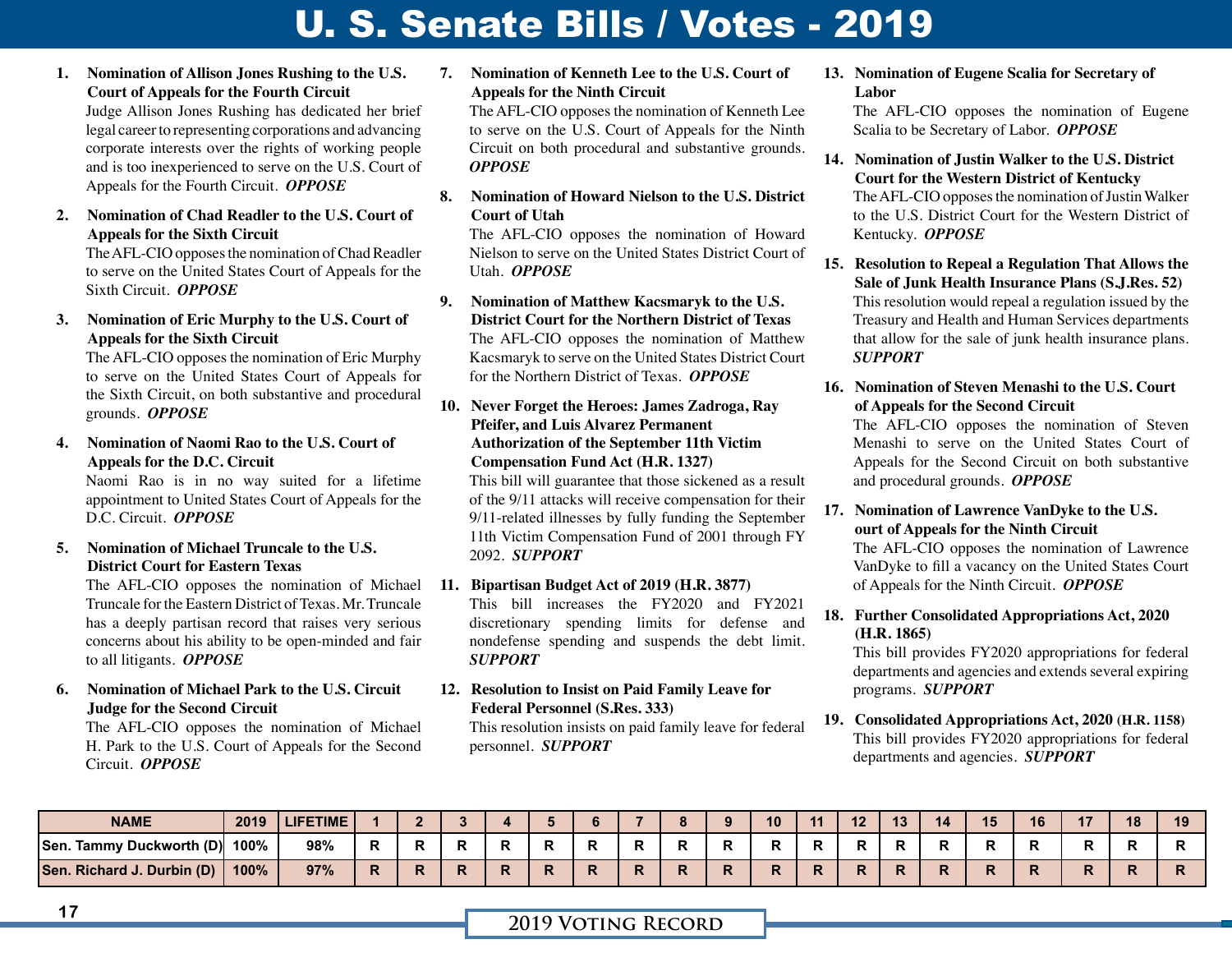## U. S. Senate Bills / Votes - 2019

**1. Nomination of Allison Jones Rushing to the U.S. Court of Appeals for the Fourth Circuit**

Judge Allison Jones Rushing has dedicated her brief legal career to representing corporations and advancing corporate interests over the rights of working people and is too inexperienced to serve on the U.S. Court of Appeals for the Fourth Circuit. *OPPOSE*

**2. Nomination of Chad Readler to the U.S. Court of Appeals for the Sixth Circuit**

The AFL-CIO opposes the nomination of Chad Readler to serve on the United States Court of Appeals for the Sixth Circuit. *OPPOSE*

**3. Nomination of Eric Murphy to the U.S. Court of Appeals for the Sixth Circuit**

The AFL-CIO opposes the nomination of Eric Murphy to serve on the United States Court of Appeals for the Sixth Circuit, on both substantive and procedural grounds. *OPPOSE*

**4. Nomination of Naomi Rao to the U.S. Court of Appeals for the D.C. Circuit**

Naomi Rao is in no way suited for a lifetime appointment to United States Court of Appeals for the D.C. Circuit. *OPPOSE*

**5. Nomination of Michael Truncale to the U.S. District Court for Eastern Texas**

The AFL-CIO opposes the nomination of Michael Truncale for the Eastern District of Texas. Mr. Truncale has a deeply partisan record that raises very serious concerns about his ability to be open-minded and fair to all litigants. *OPPOSE*

**6. Nomination of Michael Park to the U.S. Circuit Judge for the Second Circuit**

The AFL-CIO opposes the nomination of Michael H. Park to the U.S. Court of Appeals for the Second Circuit. *OPPOSE*

**7. Nomination of Kenneth Lee to the U.S. Court of Appeals for the Ninth Circuit**

The AFL-CIO opposes the nomination of Kenneth Lee to serve on the U.S. Court of Appeals for the Ninth Circuit on both procedural and substantive grounds. *OPPOSE*

**8. Nomination of Howard Nielson to the U.S. District Court of Utah**

The AFL-CIO opposes the nomination of Howard Nielson to serve on the United States District Court of Utah. *OPPOSE*

- **9. Nomination of Matthew Kacsmaryk to the U.S. District Court for the Northern District of Texas** The AFL-CIO opposes the nomination of Matthew Kacsmaryk to serve on the United States District Court for the Northern District of Texas. *OPPOSE*
- **10. Never Forget the Heroes: James Zadroga, Ray Pfeifer, and Luis Alvarez Permanent Authorization of the September 11th Victim Compensation Fund Act (H.R. 1327)**

This bill will guarantee that those sickened as a result of the 9/11 attacks will receive compensation for their 9/11-related illnesses by fully funding the September 11th Victim Compensation Fund of 2001 through FY 2092. *SUPPORT*

- **11. Bipartisan Budget Act of 2019 (H.R. 3877)** This bill increases the FY2020 and FY2021 discretionary spending limits for defense and nondefense spending and suspends the debt limit. *SUPPORT*
- **12. Resolution to Insist on Paid Family Leave for Federal Personnel (S.Res. 333)**

This resolution insists on paid family leave for federal personnel. *SUPPORT*

**13. Nomination of Eugene Scalia for Secretary of Labor**

The AFL-CIO opposes the nomination of Eugene Scalia to be Secretary of Labor. *OPPOSE*

- **14. Nomination of Justin Walker to the U.S. District Court for the Western District of Kentucky** The AFL-CIO opposes the nomination of Justin Walker to the U.S. District Court for the Western District of Kentucky. *OPPOSE*
- **15. Resolution to Repeal a Regulation That Allows the Sale of Junk Health Insurance Plans (S.J.Res. 52)** This resolution would repeal a regulation issued by the Treasury and Health and Human Services departments that allow for the sale of junk health insurance plans. *SUPPORT*
- **16. Nomination of Steven Menashi to the U.S. Court of Appeals for the Second Circuit**

The AFL-CIO opposes the nomination of Steven Menashi to serve on the United States Court of Appeals for the Second Circuit on both substantive and procedural grounds. *OPPOSE*

**17. Nomination of Lawrence VanDyke to the U.S. ourt of Appeals for the Ninth Circuit**

The AFL-CIO opposes the nomination of Lawrence VanDyke to fill a vacancy on the United States Court of Appeals for the Ninth Circuit. *OPPOSE*

**18. Further Consolidated Appropriations Act, 2020 (H.R. 1865)**

This bill provides FY2020 appropriations for federal departments and agencies and extends several expiring programs. *SUPPORT*

**19. Consolidated Appropriations Act, 2020 (H.R. 1158)** This bill provides FY2020 appropriations for federal departments and agencies. *SUPPORT*

| <b>NAME</b>                        | 2019 | <b>LIFETIME</b> |  |  |  |  | 10 | 11 |  | 14 | 15 | 16 |  | 19 |
|------------------------------------|------|-----------------|--|--|--|--|----|----|--|----|----|----|--|----|
| Tammy Duckworth (D)<br><b>Sen.</b> | 100% | 98%             |  |  |  |  |    |    |  |    |    |    |  |    |
| Sen. Richard J. Durbin (D)         | 100% | 97%             |  |  |  |  |    |    |  |    |    |    |  | K. |

**2019 VOTING RECORD**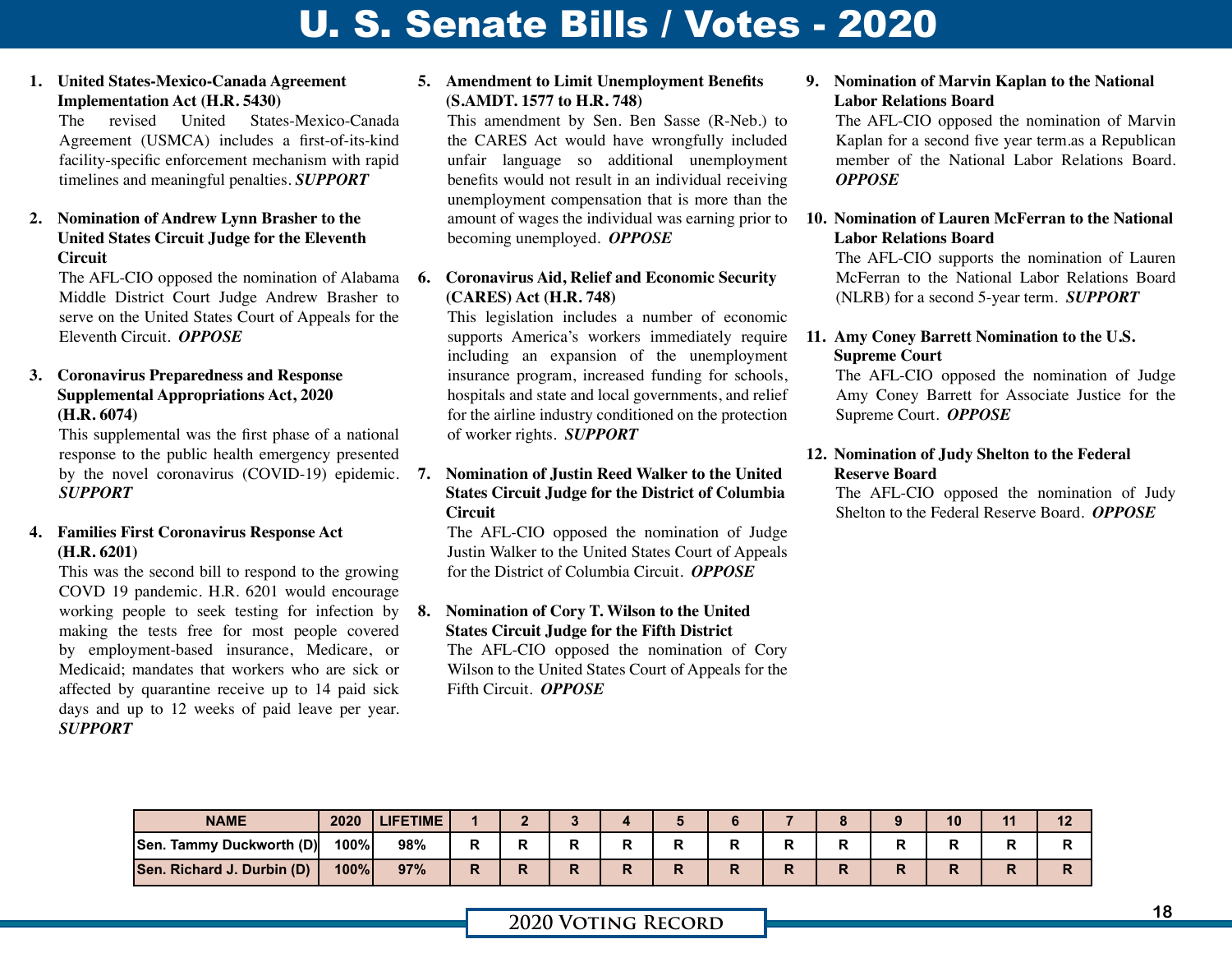## U. S. Senate Bills / Votes - 2020

#### **1. United States-Mexico-Canada Agreement Implementation Act (H.R. 5430)**

The revised United States-Mexico-Canada Agreement (USMCA) includes a first-of-its-kind facility-specific enforcement mechanism with rapid timelines and meaningful penalties. *SUPPORT*

#### **2. Nomination of Andrew Lynn Brasher to the United States Circuit Judge for the Eleventh Circuit**

The AFL-CIO opposed the nomination of Alabama 6. Middle District Court Judge Andrew Brasher to serve on the United States Court of Appeals for the Eleventh Circuit. *OPPOSE*

#### **3. Coronavirus Preparedness and Response Supplemental Appropriations Act, 2020 (H.R. 6074)**

This supplemental was the first phase of a national response to the public health emergency presented by the novel coronavirus (COVID-19) epidemic. 7. *SUPPORT*

#### **4. Families First Coronavirus Response Act (H.R. 6201)**

This was the second bill to respond to the growing COVD 19 pandemic. H.R. 6201 would encourage working people to seek testing for infection by 8. making the tests free for most people covered by employment-based insurance, Medicare, or Medicaid; mandates that workers who are sick or affected by quarantine receive up to 14 paid sick days and up to 12 weeks of paid leave per year. *SUPPORT*

#### **5. Amendment to Limit Unemployment Benefits (S.AMDT. 1577 to H.R. 748)**

This amendment by Sen. Ben Sasse (R-Neb.) to the CARES Act would have wrongfully included unfair language so additional unemployment benefits would not result in an individual receiving unemployment compensation that is more than the amount of wages the individual was earning prior to becoming unemployed. *OPPOSE*

#### **6. Coronavirus Aid, Relief and Economic Security (CARES) Act (H.R. 748)**

This legislation includes a number of economic supports America's workers immediately require including an expansion of the unemployment insurance program, increased funding for schools, hospitals and state and local governments, and relief for the airline industry conditioned on the protection of worker rights. *SUPPORT*

#### **7. Nomination of Justin Reed Walker to the United States Circuit Judge for the District of Columbia Circuit**

The AFL-CIO opposed the nomination of Judge Justin Walker to the United States Court of Appeals for the District of Columbia Circuit. *OPPOSE*

#### **8. Nomination of Cory T. Wilson to the United States Circuit Judge for the Fifth District**

The AFL-CIO opposed the nomination of Cory Wilson to the United States Court of Appeals for the Fifth Circuit. *OPPOSE*

#### **9. Nomination of Marvin Kaplan to the National Labor Relations Board**

The AFL-CIO opposed the nomination of Marvin Kaplan for a second five year term.as a Republican member of the National Labor Relations Board. *OPPOSE*

#### **10. Nomination of Lauren McFerran to the National Labor Relations Board**

The AFL-CIO supports the nomination of Lauren McFerran to the National Labor Relations Board (NLRB) for a second 5-year term. *SUPPORT*

#### **11. Amy Coney Barrett Nomination to the U.S. Supreme Court**

The AFL-CIO opposed the nomination of Judge Amy Coney Barrett for Associate Justice for the Supreme Court. *OPPOSE*

#### **12. Nomination of Judy Shelton to the Federal Reserve Board**

The AFL-CIO opposed the nomination of Judy Shelton to the Federal Reserve Board. *OPPOSE*

| <b>NAME</b>                | 2020 | <b>LIFETIME</b> |   |   |   |    |  |  | 10 | $\overline{1}$<br>L |
|----------------------------|------|-----------------|---|---|---|----|--|--|----|---------------------|
| Sen. Tammy Duckworth (D)   | 100% | 98%             | Р | r | D | в  |  |  |    |                     |
| Sen. Richard J. Durbin (D) | 100% | 97%             |   | n | R | r. |  |  |    |                     |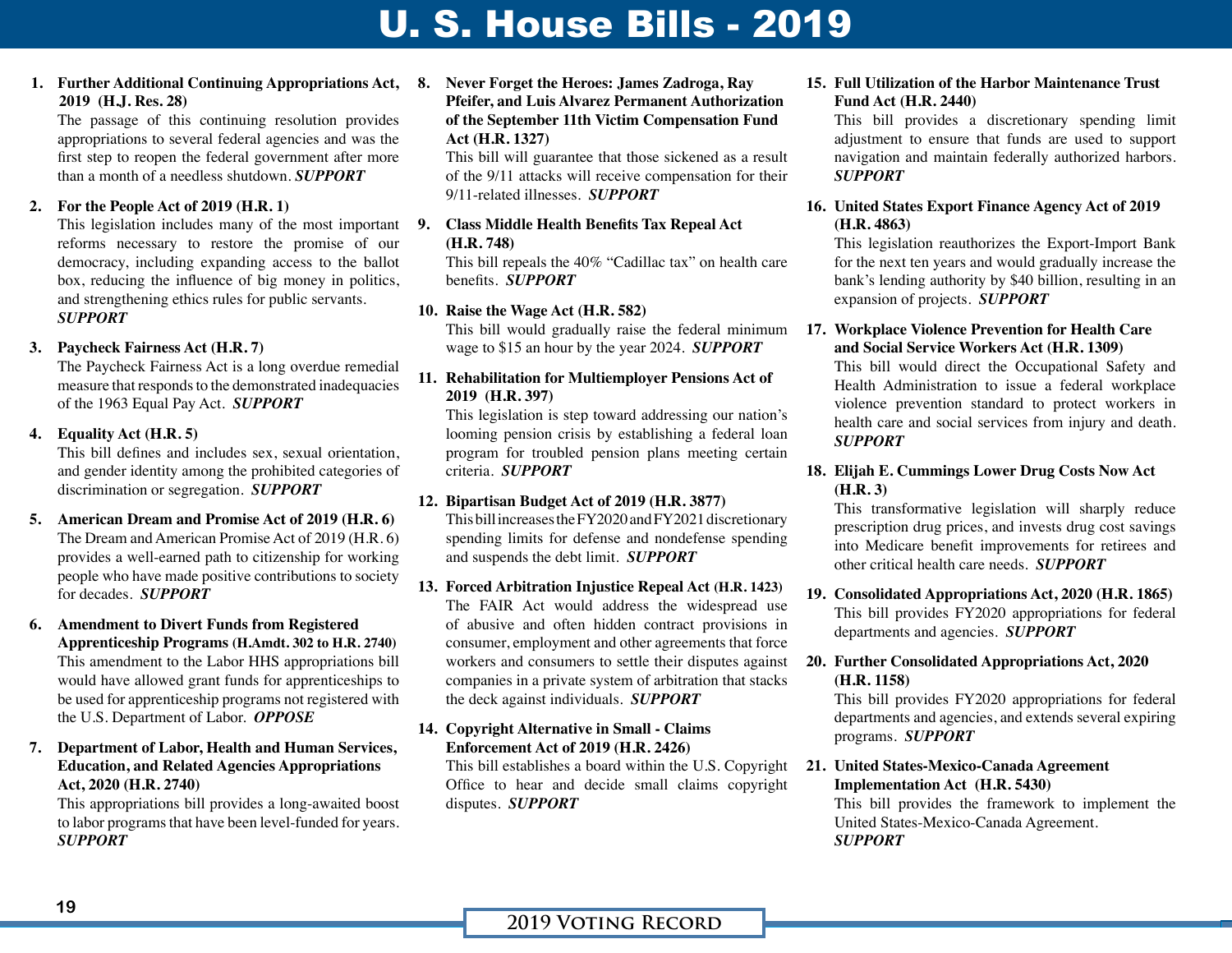## U. S. House Bills - 2019

#### **1. Further Additional Continuing Appropriations Act, 2019 (H.J. Res. 28)**

The passage of this continuing resolution provides appropriations to several federal agencies and was the first step to reopen the federal government after more than a month of a needless shutdown. *SUPPORT*

#### **2. For the People Act of 2019 (H.R. 1)**

This legislation includes many of the most important **9. Class Middle Health Benefits Tax Repeal Act** reforms necessary to restore the promise of our democracy, including expanding access to the ballot box, reducing the influence of big money in politics, and strengthening ethics rules for public servants. *SUPPORT*

#### **3. Paycheck Fairness Act (H.R. 7)**

The Paycheck Fairness Act is a long overdue remedial measure that responds to the demonstrated inadequacies of the 1963 Equal Pay Act. *SUPPORT*

#### **4. Equality Act (H.R. 5)**

This bill defines and includes sex, sexual orientation, and gender identity among the prohibited categories of discrimination or segregation. *SUPPORT*

- **5. American Dream and Promise Act of 2019 (H.R. 6)** The Dream and American Promise Act of 2019 (H.R. 6) provides a well-earned path to citizenship for working people who have made positive contributions to society for decades. *SUPPORT*
- **6. Amendment to Divert Funds from Registered Apprenticeship Programs (H.Amdt. 302 to H.R. 2740)** This amendment to the Labor HHS appropriations bill would have allowed grant funds for apprenticeships to be used for apprenticeship programs not registered with the U.S. Department of Labor. *OPPOSE*

#### **7. Department of Labor, Health and Human Services, Education, and Related Agencies Appropriations Act, 2020 (H.R. 2740)**

This appropriations bill provides a long-awaited boost to labor programs that have been level-funded for years. *SUPPORT*

#### **8. Never Forget the Heroes: James Zadroga, Ray Pfeifer, and Luis Alvarez Permanent Authorization of the September 11th Victim Compensation Fund Act (H.R. 1327)**

This bill will guarantee that those sickened as a result of the 9/11 attacks will receive compensation for their 9/11-related illnesses. *SUPPORT*

## **(H.R. 748)**

This bill repeals the 40% "Cadillac tax" on health care benefits. *SUPPORT*

#### **10. Raise the Wage Act (H.R. 582)**

This bill would gradually raise the federal minimum wage to \$15 an hour by the year 2024. *SUPPORT*

#### **11. Rehabilitation for Multiemployer Pensions Act of 2019 (H.R. 397)**

This legislation is step toward addressing our nation's looming pension crisis by establishing a federal loan program for troubled pension plans meeting certain criteria. *SUPPORT*

#### **12. Bipartisan Budget Act of 2019 (H.R. 3877)**

This bill increases the FY2020 and FY2021 discretionary spending limits for defense and nondefense spending and suspends the debt limit. *SUPPORT*

#### **13. Forced Arbitration Injustice Repeal Act (H.R. 1423)** The FAIR Act would address the widespread use of abusive and often hidden contract provisions in consumer, employment and other agreements that force workers and consumers to settle their disputes against companies in a private system of arbitration that stacks the deck against individuals. *SUPPORT*

#### **14. Copyright Alternative in Small - Claims Enforcement Act of 2019 (H.R. 2426)**

This bill establishes a board within the U.S. Copyright Office to hear and decide small claims copyright disputes. *SUPPORT*

#### **15. Full Utilization of the Harbor Maintenance Trust Fund Act (H.R. 2440)**

This bill provides a discretionary spending limit adjustment to ensure that funds are used to support navigation and maintain federally authorized harbors. *SUPPORT*

#### **16. United States Export Finance Agency Act of 2019 (H.R. 4863)**

This legislation reauthorizes the Export-Import Bank for the next ten years and would gradually increase the bank's lending authority by \$40 billion, resulting in an expansion of projects. *SUPPORT*

#### **17. Workplace Violence Prevention for Health Care and Social Service Workers Act (H.R. 1309)**

This bill would direct the Occupational Safety and Health Administration to issue a federal workplace violence prevention standard to protect workers in health care and social services from injury and death. *SUPPORT*

#### **18. Elijah E. Cummings Lower Drug Costs Now Act (H.R. 3)**

This transformative legislation will sharply reduce prescription drug prices, and invests drug cost savings into Medicare benefit improvements for retirees and other critical health care needs. *SUPPORT*

**19. Consolidated Appropriations Act, 2020 (H.R. 1865)** This bill provides FY2020 appropriations for federal departments and agencies. *SUPPORT*

#### **20. Further Consolidated Appropriations Act, 2020 (H.R. 1158)**

This bill provides FY2020 appropriations for federal departments and agencies, and extends several expiring programs. *SUPPORT*

#### **21. United States-Mexico-Canada Agreement Implementation Act (H.R. 5430)**

This bill provides the framework to implement the United States-Mexico-Canada Agreement. *SUPPORT*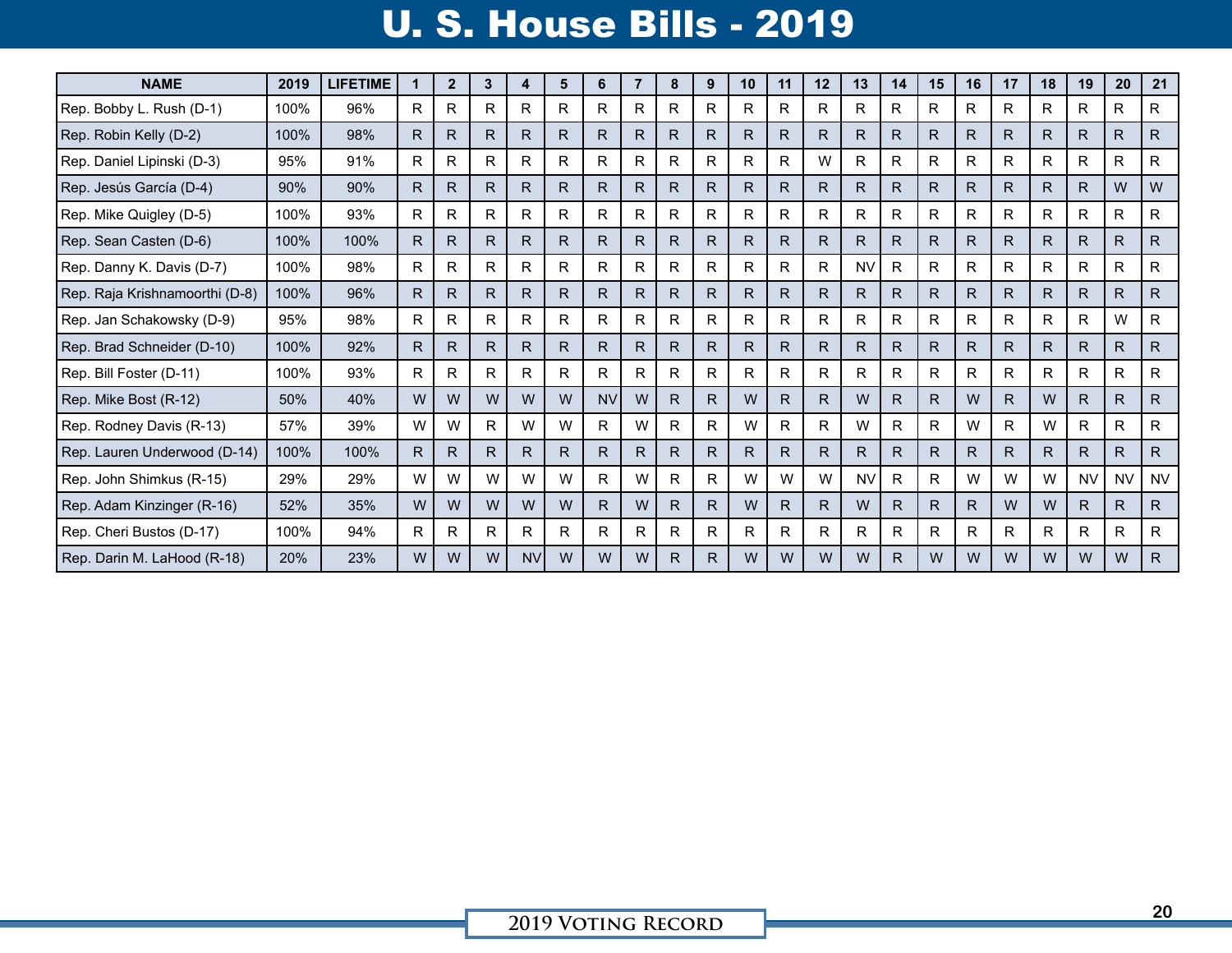## **U. S. House Bills - 2019**

| <b>NAME</b>                    | 2019 | <b>LIFETIME</b> | $\mathbf 1$ | $\overline{2}$ | 3  | 4            | 5            | 6            | $\overline{7}$ | 8            | 9  | 10           | 11 | 12 | 13        | 14 | 15 | 16 | 17           | 18 | 19           | 20        | 21           |
|--------------------------------|------|-----------------|-------------|----------------|----|--------------|--------------|--------------|----------------|--------------|----|--------------|----|----|-----------|----|----|----|--------------|----|--------------|-----------|--------------|
| Rep. Bobby L. Rush (D-1)       | 100% | 96%             | R           | R              | R. | R            | R.           | R            | R.             | R.           | R  | R.           | R  | R  | R         | R. | R  | R. | R            | R. | R            | R         | R            |
| Rep. Robin Kelly (D-2)         | 100% | 98%             | R.          | R              | R. | R            | R.           | R            | R.             | R.           | R. | $\mathsf{R}$ | R  | R. | R         | R. | R  | R. | R            | R. | R            | R.        | $\mathsf{R}$ |
| Rep. Daniel Lipinski (D-3)     | 95%  | 91%             | R           | R              | R. | R            | R.           | R            | R.             | R            | R  | R.           | R  | W  | R         | R. | R  | R. | R            | R. | R            | R         | $\mathsf{R}$ |
| Rep. Jesús García (D-4)        | 90%  | 90%             | R           | $\mathsf{R}$   | R. | R            | R.           | R            | R.             | R.           | R. | $\mathsf{R}$ | R  | R. | R         | R. | R. | R. | R            | R. | R            | W         | W            |
| Rep. Mike Quigley (D-5)        | 100% | 93%             | R           | R.             | R. | R            | R            | R            | R.             | R.           | R  | R.           | R. | R. | R         | R. | R. | R. | R            | R. | R            | R         | $\mathsf{R}$ |
| Rep. Sean Casten (D-6)         | 100% | 100%            | R.          | R              | R. | R.           | $\mathsf{R}$ | R            | R.             | $\mathsf{R}$ | R. | R.           | R  | R. | R         | R  | R  | R. | R            | R. | $\mathsf{R}$ | R.        | $\mathsf{R}$ |
| Rep. Danny K. Davis (D-7)      | 100% | 98%             | R           | R.             | R. | R            | R.           | R            | R.             | R            | R. | R.           | R  | R  | <b>NV</b> | R  | R  | R. | R            | R. | R            | R         | $\mathsf{R}$ |
| Rep. Raja Krishnamoorthi (D-8) | 100% | 96%             | R           | R              | R. | R.           | $\mathsf{R}$ | R            | R.             | R.           | R. | R.           | R  | R. | R         | R  | R  | R. | R            | R. | $\mathsf{R}$ | R.        | $\mathsf{R}$ |
| Rep. Jan Schakowsky (D-9)      | 95%  | 98%             | R           | R              | R. | R            | R.           | $\mathsf{R}$ | R.             | R            | R. | R            | R  | R  | R         | R. | R  | R. | $\mathsf{R}$ | R  | R            | W         | R            |
| Rep. Brad Schneider (D-10)     | 100% | 92%             | R.          | R.             | R. | $\mathsf{R}$ | R.           | R.           | R.             | R.           | R. | $\mathsf{R}$ | R. | R. | R         | R. | R. | R. | R            | R. | $\mathsf{R}$ | R.        | $\mathsf{R}$ |
| Rep. Bill Foster (D-11)        | 100% | 93%             | R           | R              | R. | R            | R.           | R.           | R.             | R            | R. | R            | R  | R  | R         | R  | R  | R. | R            | R. | R            | R         | R            |
| Rep. Mike Bost (R-12)          | 50%  | 40%             | W           | W              | W  | W            | W            | <b>NV</b>    | W              | R.           | R. | W            | R. | R. | W         | R. | R  | W  | R            | W  | R            | R.        | $\mathsf{R}$ |
| Rep. Rodney Davis (R-13)       | 57%  | 39%             | W           | W              | R  | w            | W            | R.           | W              | R            | R. | W            | R  | R. | W         | R. | R  | W  | R            | W  | R            | R.        | R            |
| Rep. Lauren Underwood (D-14)   | 100% | 100%            | R.          | R              | R. | R            | R.           | R.           | R.             | $\mathsf{R}$ | R. | R.           | R  | R. | R         | R. | R  | R. | R            | R. | R            | R.        | $\mathsf{R}$ |
| Rep. John Shimkus (R-15)       | 29%  | 29%             | W           | W              | W  | w            | W            | R.           | W              | R            | R. | W            | w  | W  | <b>NV</b> | R  | R  | W  | w            | W  | <b>NV</b>    | <b>NV</b> | <b>NV</b>    |
| Rep. Adam Kinzinger (R-16)     | 52%  | 35%             | W           | W              | W  | W            | W            | R            | w              | R.           | R. | W            | R  | R. | W         | R. | R  | R. | W            | W  | $\mathsf{R}$ | R.        | $\mathsf{R}$ |
| Rep. Cheri Bustos (D-17)       | 100% | 94%             | R           | R              | R  | R            | R.           | R            | R.             | R            | R. | R            | R  | R  | R         | R  | R  | R. | R            | R  | R            | R         | $\mathsf{R}$ |
| Rep. Darin M. LaHood (R-18)    | 20%  | 23%             | W           | W              | W  | <b>NV</b>    | W            | w            | W              | R.           | R. | w            | w  | w  | w         | R. | w  | w  | w            | w  | w            | W         | $\mathsf{R}$ |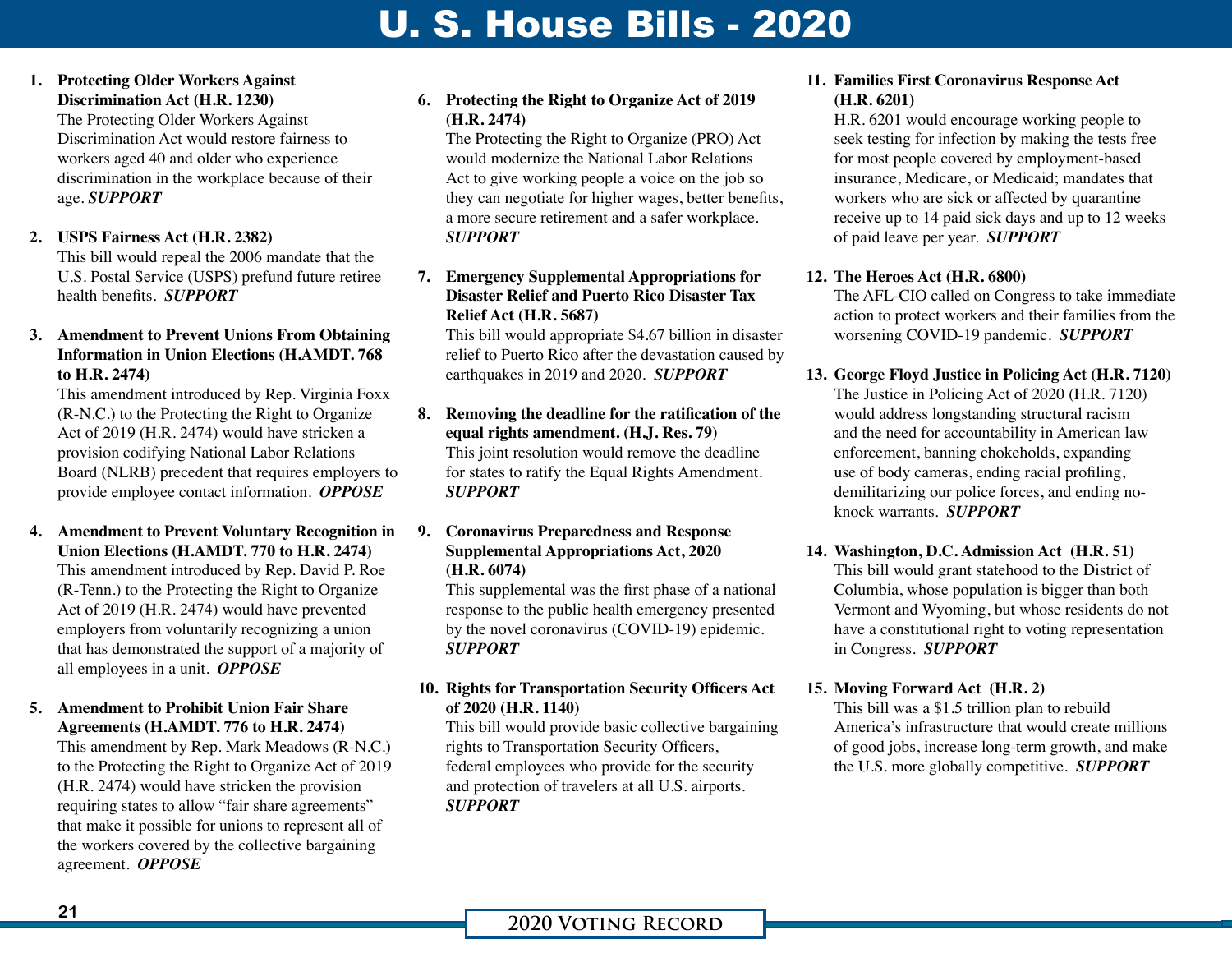## U. S. House Bills - 2020

#### **1. Protecting Older Workers Against Discrimination Act (H.R. 1230)**

The Protecting Older Workers Against Discrimination Act would restore fairness to workers aged 40 and older who experience discrimination in the workplace because of their age. *SUPPORT*

#### **2. USPS Fairness Act (H.R. 2382)**

This bill would repeal the 2006 mandate that the U.S. Postal Service (USPS) prefund future retiree health benefits. *SUPPORT*

#### **3. Amendment to Prevent Unions From Obtaining Information in Union Elections (H.AMDT. 768 to H.R. 2474)**

This amendment introduced by Rep. Virginia Foxx (R-N.C.) to the Protecting the Right to Organize Act of 2019 (H.R. 2474) would have stricken a provision codifying National Labor Relations Board (NLRB) precedent that requires employers to provide employee contact information. *OPPOSE*

**4. Amendment to Prevent Voluntary Recognition in Union Elections (H.AMDT. 770 to H.R. 2474)** This amendment introduced by Rep. David P. Roe (R-Tenn.) to the Protecting the Right to Organize Act of 2019 (H.R. 2474) would have prevented employers from voluntarily recognizing a union that has demonstrated the support of a majority of all employees in a unit. *OPPOSE*

#### **5. Amendment to Prohibit Union Fair Share Agreements (H.AMDT. 776 to H.R. 2474)**

This amendment by Rep. Mark Meadows (R-N.C.) to the Protecting the Right to Organize Act of 2019 (H.R. 2474) would have stricken the provision requiring states to allow "fair share agreements" that make it possible for unions to represent all of the workers covered by the collective bargaining agreement. *OPPOSE*

#### **6. Protecting the Right to Organize Act of 2019 (H.R. 2474)**

The Protecting the Right to Organize (PRO) Act would modernize the National Labor Relations Act to give working people a voice on the job so they can negotiate for higher wages, better benefits, a more secure retirement and a safer workplace. *SUPPORT*

#### **7. Emergency Supplemental Appropriations for Disaster Relief and Puerto Rico Disaster Tax Relief Act (H.R. 5687)**

This bill would appropriate \$4.67 billion in disaster relief to Puerto Rico after the devastation caused by earthquakes in 2019 and 2020. *SUPPORT*

#### **8. Removing the deadline for the ratification of the equal rights amendment. (H.J. Res. 79)** This joint resolution would remove the deadline for states to ratify the Equal Rights Amendment. *SUPPORT*

#### **9. Coronavirus Preparedness and Response Supplemental Appropriations Act, 2020 (H.R. 6074)**

This supplemental was the first phase of a national response to the public health emergency presented by the novel coronavirus (COVID-19) epidemic. *SUPPORT*

#### **10. Rights for Transportation Security Officers Act of 2020 (H.R. 1140)**

This bill would provide basic collective bargaining rights to Transportation Security Officers, federal employees who provide for the security and protection of travelers at all U.S. airports. *SUPPORT*

#### **11. Families First Coronavirus Response Act (H.R. 6201)**

H.R. 6201 would encourage working people to seek testing for infection by making the tests free for most people covered by employment-based insurance, Medicare, or Medicaid; mandates that workers who are sick or affected by quarantine receive up to 14 paid sick days and up to 12 weeks of paid leave per year. *SUPPORT*

#### **12. The Heroes Act (H.R. 6800)**

The AFL-CIO called on Congress to take immediate action to protect workers and their families from the worsening COVID-19 pandemic. *SUPPORT*

#### **13. George Floyd Justice in Policing Act (H.R. 7120)**

The Justice in Policing Act of 2020 (H.R. 7120) would address longstanding structural racism and the need for accountability in American law enforcement, banning chokeholds, expanding use of body cameras, ending racial profiling, demilitarizing our police forces, and ending noknock warrants. *SUPPORT*

#### **14. Washington, D.C. Admission Act (H.R. 51)**

This bill would grant statehood to the District of Columbia, whose population is bigger than both Vermont and Wyoming, but whose residents do not have a constitutional right to voting representation in Congress. *SUPPORT*

#### **15. Moving Forward Act (H.R. 2)**

This bill was a \$1.5 trillion plan to rebuild America's infrastructure that would create millions of good jobs, increase long-term growth, and make the U.S. more globally competitive. *SUPPORT*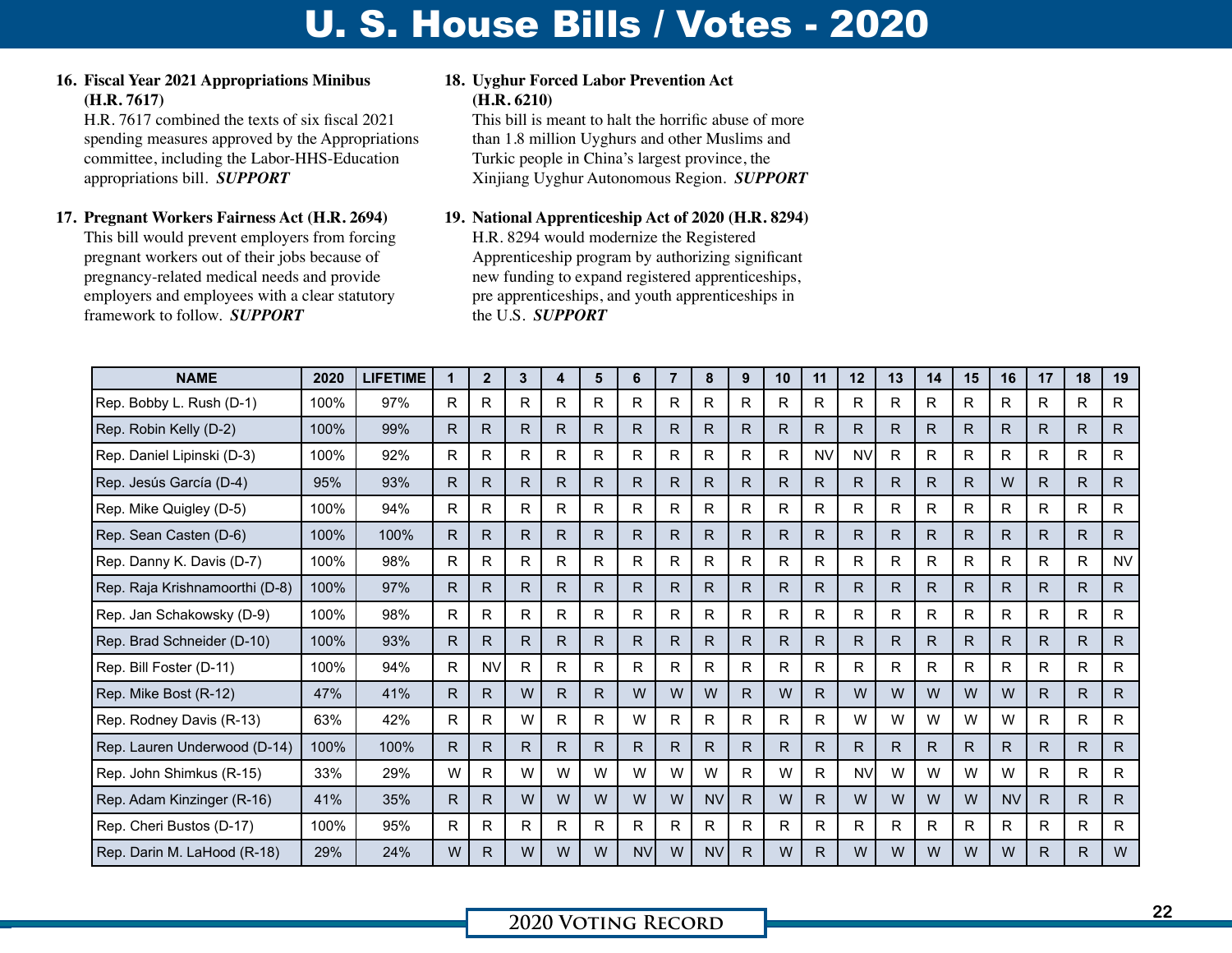## U. S. House Bills / Votes - 2020

#### **16. Fiscal Year 2021 Appropriations Minibus (H.R. 7617)**

H.R. 7617 combined the texts of six fiscal 2021 spending measures approved by the Appropriations committee, including the Labor-HHS-Education appropriations bill. *SUPPORT*

#### **17. Pregnant Workers Fairness Act (H.R. 2694)**

This bill would prevent employers from forcing pregnant workers out of their jobs because of pregnancy-related medical needs and provide employers and employees with a clear statutory framework to follow. *SUPPORT*

#### **18. Uyghur Forced Labor Prevention Act (H.R. 6210)**

This bill is meant to halt the horrific abuse of more than 1.8 million Uyghurs and other Muslims and Turkic people in China's largest province, the Xinjiang Uyghur Autonomous Region. *SUPPORT*

#### **19. National Apprenticeship Act of 2020 (H.R. 8294)**

H.R. 8294 would modernize the Registered Apprenticeship program by authorizing significant new funding to expand registered apprenticeships, pre apprenticeships, and youth apprenticeships in the U.S. *SUPPORT*

| <b>NAME</b>                    | 2020 | <b>LIFETIME</b> |    | $\mathbf{2}$ | 3  | 4 | 5  | 6         | $\overline{7}$ | 8         | 9            | 10 | 11        | 12        | 13 | 14 | 15 | 16        | 17 | 18           | 19        |
|--------------------------------|------|-----------------|----|--------------|----|---|----|-----------|----------------|-----------|--------------|----|-----------|-----------|----|----|----|-----------|----|--------------|-----------|
| Rep. Bobby L. Rush (D-1)       | 100% | 97%             | R  | R            | R  | R | R. | R         | R              | R.        | R            | R  | R         | R         | R. | R. | R  | R         | R. | R            | R         |
| Rep. Robin Kelly (D-2)         | 100% | 99%             | R. | R.           | R. | R | R. | R.        | R              | R.        | R.           | R. | R.        | R.        | R. | R. | R  | R.        | R. | $\mathsf{R}$ | R.        |
| Rep. Daniel Lipinski (D-3)     | 100% | 92%             | R  | R.           | R. | R | R  | R.        | R              | R.        | R            | R  | <b>NV</b> | <b>NV</b> | R  | R. | R  | R         | R. | R            | R.        |
| Rep. Jesús García (D-4)        | 95%  | 93%             | R  | R.           | R. | R | R. | R.        | R              | R.        | R            | R. | R.        | R         | R. | R. | R  | W         | R. | R            | R.        |
| Rep. Mike Quigley (D-5)        | 100% | 94%             | R  | R            | R. | R | R  | R.        | R              | R.        | R            | R  | R.        | R         | R  | R  | R  | R         | R  | R            | R.        |
| Rep. Sean Casten (D-6)         | 100% | 100%            | R  | R.           | R. | R | R. | R.        | R              | R.        | R            | R. | R         | R         | R. | R. | R  | R         | R. | R            | R.        |
| Rep. Danny K. Davis (D-7)      | 100% | 98%             | R  | R            | R. | R | R  | R.        | R              | R.        | R            | R  | R.        | R         | R  | R  | R  | R         | R  | R            | <b>NV</b> |
| Rep. Raja Krishnamoorthi (D-8) | 100% | 97%             | R  | R.           | R. | R | R. | R.        | R              | R         | R            | R  | R.        | R         | R  | R. | R  | R         | R. | R            | R.        |
| Rep. Jan Schakowsky (D-9)      | 100% | 98%             | R  | R            | R. | R | R  | R.        | R              | R.        | R            | R  | R.        | R         | R  | R. | R  | R         | R. | R            | R.        |
| Rep. Brad Schneider (D-10)     | 100% | 93%             | R  | R.           | R. | R | R. | R.        | R.             | R.        | R            | R. | R.        | R         | R  | R. | R  | R         | R. | R            | R.        |
| Rep. Bill Foster (D-11)        | 100% | 94%             | R  | <b>NV</b>    | R. | R | R  | R         | R              | R.        | R            | R  | R.        | R         | R  | R. | R  | R.        | R. | R            | R.        |
| Rep. Mike Bost (R-12)          | 47%  | 41%             | R  | R            | W  | R | R  | W         | W              | W         | R.           | W  | R.        | W         | W  | W  | W  | W         | R. | R            | R.        |
| Rep. Rodney Davis (R-13)       | 63%  | 42%             | R  | R            | W  | R | R  | W         | R              | R.        | R            | R  | R.        | W         | W  | W  | W  | W         | R  | R            | R         |
| Rep. Lauren Underwood (D-14)   | 100% | 100%            | R  | R            | R. | R | R  | R.        | R              | R.        | R            | R. | R.        | R         | R  | R. | R  | R         | R. | R            | R         |
| Rep. John Shimkus (R-15)       | 33%  | 29%             | W  | R            | W  | W | W  | W         | W              | W         | R            | W  | R.        | <b>NV</b> | W  | W  | W  | W         | R  | R            | R         |
| Rep. Adam Kinzinger (R-16)     | 41%  | 35%             | R  | R.           | W  | W | W  | W         | W              | <b>NV</b> | $\mathsf{R}$ | W  | R.        | W         | W  | W  | W  | <b>NV</b> | R  | R            | R.        |
| Rep. Cheri Bustos (D-17)       | 100% | 95%             | R  | R            | R. | R | R  | R         | R              | R         | R            | R  | R.        | R         | R  | R  | R  | R         | R  | R            | R         |
| Rep. Darin M. LaHood (R-18)    | 29%  | 24%             | w  | R            | W  | w | w  | <b>NV</b> | w              | <b>NV</b> | R            | W  | R.        | W         | w  | W  | w  | W         | R. | R            | W         |